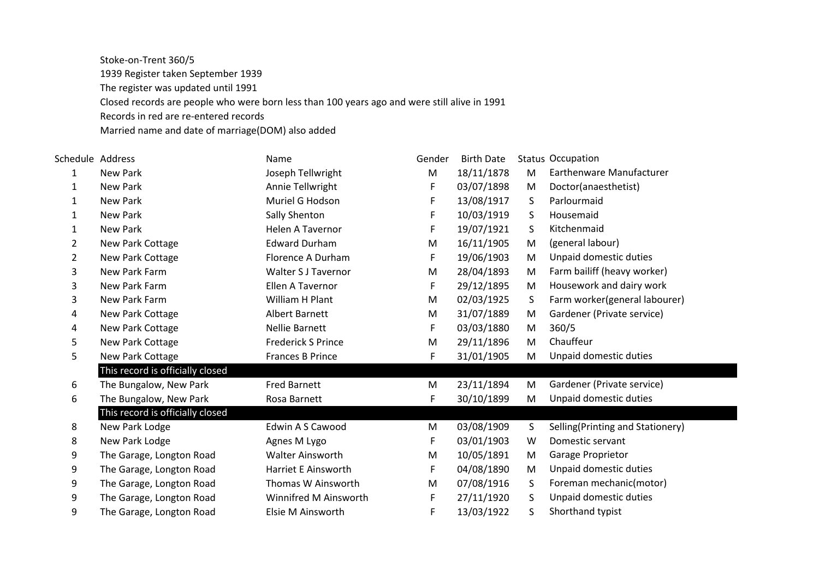Stoke-on-Trent 360/5 1939 Register taken September 1939 The register was updated until 1991 Closed records are people who were born less than 100 years ago and were still alive in 1991 Records in red are re-entered records

Married name and date of marriage(DOM) also added

| Schedule Address |                                  | Name                       | Gender | <b>Birth Date</b> |   | <b>Status Occupation</b>         |
|------------------|----------------------------------|----------------------------|--------|-------------------|---|----------------------------------|
| 1                | New Park                         | Joseph Tellwright          | M      | 18/11/1878        | M | Earthenware Manufacturer         |
| 1                | <b>New Park</b>                  | Annie Tellwright           | F      | 03/07/1898        | M | Doctor(anaesthetist)             |
| 1                | New Park                         | Muriel G Hodson            | F      | 13/08/1917        | S | Parlourmaid                      |
| 1                | <b>New Park</b>                  | Sally Shenton              | F      | 10/03/1919        | S | Housemaid                        |
| 1                | <b>New Park</b>                  | <b>Helen A Tavernor</b>    | F      | 19/07/1921        | S | Kitchenmaid                      |
| $\overline{2}$   | New Park Cottage                 | <b>Edward Durham</b>       | M      | 16/11/1905        | M | (general labour)                 |
| 2                | New Park Cottage                 | Florence A Durham          | F      | 19/06/1903        | M | Unpaid domestic duties           |
| 3                | New Park Farm                    | <b>Walter S J Tavernor</b> | M      | 28/04/1893        | M | Farm bailiff (heavy worker)      |
| 3                | New Park Farm                    | Ellen A Tavernor           | F.     | 29/12/1895        | M | Housework and dairy work         |
| 3                | New Park Farm                    | William H Plant            | M      | 02/03/1925        | S | Farm worker(general labourer)    |
| 4                | New Park Cottage                 | <b>Albert Barnett</b>      | M      | 31/07/1889        | M | Gardener (Private service)       |
| 4                | New Park Cottage                 | Nellie Barnett             | F      | 03/03/1880        | M | 360/5                            |
| 5                | New Park Cottage                 | <b>Frederick S Prince</b>  | M      | 29/11/1896        | M | Chauffeur                        |
| 5                | New Park Cottage                 | Frances B Prince           | F      | 31/01/1905        | M | Unpaid domestic duties           |
|                  | This record is officially closed |                            |        |                   |   |                                  |
| 6                | The Bungalow, New Park           | <b>Fred Barnett</b>        | M      | 23/11/1894        | M | Gardener (Private service)       |
| 6                | The Bungalow, New Park           | Rosa Barnett               | F      | 30/10/1899        | M | Unpaid domestic duties           |
|                  | This record is officially closed |                            |        |                   |   |                                  |
| 8                | New Park Lodge                   | Edwin A S Cawood           | M      | 03/08/1909        | S | Selling(Printing and Stationery) |
| 8                | New Park Lodge                   | Agnes M Lygo               | F      | 03/01/1903        | W | Domestic servant                 |
| 9                | The Garage, Longton Road         | <b>Walter Ainsworth</b>    | M      | 10/05/1891        | M | Garage Proprietor                |
| 9                | The Garage, Longton Road         | <b>Harriet E Ainsworth</b> | F      | 04/08/1890        | M | Unpaid domestic duties           |
| 9                | The Garage, Longton Road         | Thomas W Ainsworth         | M      | 07/08/1916        | S | Foreman mechanic(motor)          |
| 9                | The Garage, Longton Road         | Winnifred M Ainsworth      | F      | 27/11/1920        | S | Unpaid domestic duties           |
| 9                | The Garage, Longton Road         | Elsie M Ainsworth          | F      | 13/03/1922        | S | Shorthand typist                 |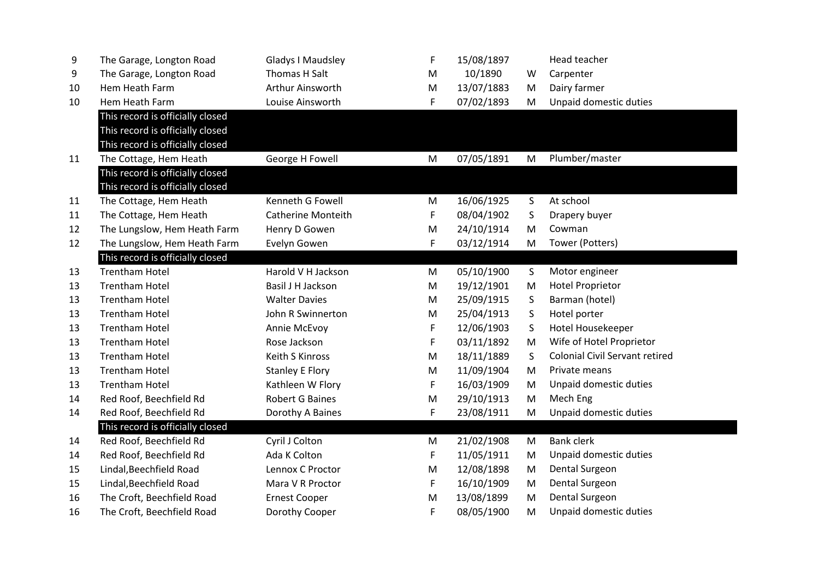| 9  | The Garage, Longton Road         | <b>Gladys I Maudsley</b> | F | 15/08/1897 |   | Head teacher                          |
|----|----------------------------------|--------------------------|---|------------|---|---------------------------------------|
| 9  | The Garage, Longton Road         | Thomas H Salt            | M | 10/1890    | W | Carpenter                             |
| 10 | Hem Heath Farm                   | Arthur Ainsworth         | M | 13/07/1883 | M | Dairy farmer                          |
| 10 | Hem Heath Farm                   | Louise Ainsworth         | F | 07/02/1893 | M | Unpaid domestic duties                |
|    | This record is officially closed |                          |   |            |   |                                       |
|    | This record is officially closed |                          |   |            |   |                                       |
|    | This record is officially closed |                          |   |            |   |                                       |
| 11 | The Cottage, Hem Heath           | George H Fowell          | M | 07/05/1891 | M | Plumber/master                        |
|    | This record is officially closed |                          |   |            |   |                                       |
|    | This record is officially closed |                          |   |            |   |                                       |
| 11 | The Cottage, Hem Heath           | Kenneth G Fowell         | M | 16/06/1925 | S | At school                             |
| 11 | The Cottage, Hem Heath           | Catherine Monteith       | F | 08/04/1902 | S | Drapery buyer                         |
| 12 | The Lungslow, Hem Heath Farm     | Henry D Gowen            | M | 24/10/1914 | M | Cowman                                |
| 12 | The Lungslow, Hem Heath Farm     | Evelyn Gowen             | F | 03/12/1914 | M | Tower (Potters)                       |
|    | This record is officially closed |                          |   |            |   |                                       |
| 13 | <b>Trentham Hotel</b>            | Harold V H Jackson       | M | 05/10/1900 | S | Motor engineer                        |
| 13 | <b>Trentham Hotel</b>            | Basil J H Jackson        | M | 19/12/1901 | M | <b>Hotel Proprietor</b>               |
| 13 | <b>Trentham Hotel</b>            | <b>Walter Davies</b>     | M | 25/09/1915 | S | Barman (hotel)                        |
| 13 | <b>Trentham Hotel</b>            | John R Swinnerton        | M | 25/04/1913 | S | Hotel porter                          |
| 13 | <b>Trentham Hotel</b>            | Annie McEvoy             | F | 12/06/1903 | S | Hotel Housekeeper                     |
| 13 | <b>Trentham Hotel</b>            | Rose Jackson             | F | 03/11/1892 | M | Wife of Hotel Proprietor              |
| 13 | <b>Trentham Hotel</b>            | <b>Keith S Kinross</b>   | M | 18/11/1889 | S | <b>Colonial Civil Servant retired</b> |
| 13 | <b>Trentham Hotel</b>            | <b>Stanley E Flory</b>   | M | 11/09/1904 | M | Private means                         |
| 13 | <b>Trentham Hotel</b>            | Kathleen W Flory         | F | 16/03/1909 | M | Unpaid domestic duties                |
| 14 | Red Roof, Beechfield Rd          | <b>Robert G Baines</b>   | M | 29/10/1913 | M | Mech Eng                              |
| 14 | Red Roof, Beechfield Rd          | Dorothy A Baines         | F | 23/08/1911 | M | Unpaid domestic duties                |
|    | This record is officially closed |                          |   |            |   |                                       |
| 14 | Red Roof, Beechfield Rd          | Cyril J Colton           | M | 21/02/1908 | M | <b>Bank clerk</b>                     |
| 14 | Red Roof, Beechfield Rd          | Ada K Colton             | F | 11/05/1911 | M | Unpaid domestic duties                |
| 15 | Lindal, Beechfield Road          | Lennox C Proctor         | M | 12/08/1898 | M | Dental Surgeon                        |
| 15 | Lindal, Beechfield Road          | Mara V R Proctor         | F | 16/10/1909 | M | Dental Surgeon                        |
| 16 | The Croft, Beechfield Road       | <b>Ernest Cooper</b>     | M | 13/08/1899 | M | Dental Surgeon                        |
| 16 | The Croft, Beechfield Road       | Dorothy Cooper           | F | 08/05/1900 | M | Unpaid domestic duties                |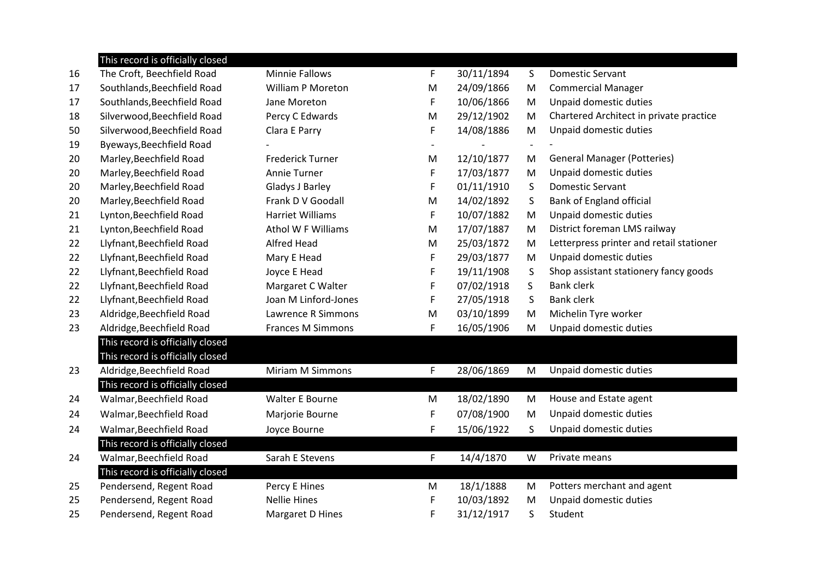|    | This record is officially closed |                          |                |            |                          |                                          |
|----|----------------------------------|--------------------------|----------------|------------|--------------------------|------------------------------------------|
| 16 | The Croft, Beechfield Road       | <b>Minnie Fallows</b>    | F              | 30/11/1894 | S                        | <b>Domestic Servant</b>                  |
| 17 | Southlands, Beechfield Road      | <b>William P Moreton</b> | M              | 24/09/1866 | M                        | <b>Commercial Manager</b>                |
| 17 | Southlands, Beechfield Road      | Jane Moreton             | F              | 10/06/1866 | M                        | Unpaid domestic duties                   |
| 18 | Silverwood, Beechfield Road      | Percy C Edwards          | M              | 29/12/1902 | M                        | Chartered Architect in private practice  |
| 50 | Silverwood, Beechfield Road      | Clara E Parry            | F              | 14/08/1886 | M                        | Unpaid domestic duties                   |
| 19 | Byeways, Beechfield Road         |                          | $\blacksquare$ |            | $\overline{\phantom{a}}$ |                                          |
| 20 | Marley, Beechfield Road          | <b>Frederick Turner</b>  | M              | 12/10/1877 | M                        | <b>General Manager (Potteries)</b>       |
| 20 | Marley, Beechfield Road          | Annie Turner             | F              | 17/03/1877 | M                        | Unpaid domestic duties                   |
| 20 | Marley, Beechfield Road          | Gladys J Barley          | F              | 01/11/1910 | S                        | <b>Domestic Servant</b>                  |
| 20 | Marley, Beechfield Road          | Frank D V Goodall        | M              | 14/02/1892 | S                        | Bank of England official                 |
| 21 | Lynton, Beechfield Road          | <b>Harriet Williams</b>  | F              | 10/07/1882 | M                        | Unpaid domestic duties                   |
| 21 | Lynton, Beechfield Road          | Athol W F Williams       | M              | 17/07/1887 | M                        | District foreman LMS railway             |
| 22 | Llyfnant, Beechfield Road        | <b>Alfred Head</b>       | M              | 25/03/1872 | M                        | Letterpress printer and retail stationer |
| 22 | Llyfnant, Beechfield Road        | Mary E Head              | F              | 29/03/1877 | M                        | Unpaid domestic duties                   |
| 22 | Llyfnant, Beechfield Road        | Joyce E Head             | F              | 19/11/1908 | S                        | Shop assistant stationery fancy goods    |
| 22 | Llyfnant, Beechfield Road        | Margaret C Walter        | F              | 07/02/1918 | $\mathsf{S}$             | <b>Bank clerk</b>                        |
| 22 | Llyfnant, Beechfield Road        | Joan M Linford-Jones     | F              | 27/05/1918 | S                        | <b>Bank clerk</b>                        |
| 23 | Aldridge, Beechfield Road        | Lawrence R Simmons       | M              | 03/10/1899 | M                        | Michelin Tyre worker                     |
| 23 | Aldridge, Beechfield Road        | <b>Frances M Simmons</b> | F              | 16/05/1906 | M                        | Unpaid domestic duties                   |
|    | This record is officially closed |                          |                |            |                          |                                          |
|    | This record is officially closed |                          |                |            |                          |                                          |
| 23 | Aldridge, Beechfield Road        | <b>Miriam M Simmons</b>  | F              | 28/06/1869 | M                        | Unpaid domestic duties                   |
|    | This record is officially closed |                          |                |            |                          |                                          |
| 24 | Walmar, Beechfield Road          | Walter E Bourne          | M              | 18/02/1890 | M                        | House and Estate agent                   |
| 24 | Walmar, Beechfield Road          | Marjorie Bourne          | F              | 07/08/1900 | M                        | Unpaid domestic duties                   |
| 24 | Walmar, Beechfield Road          | Joyce Bourne             | F              | 15/06/1922 | S                        | Unpaid domestic duties                   |
|    | This record is officially closed |                          |                |            |                          |                                          |
| 24 | Walmar, Beechfield Road          | Sarah E Stevens          | F              | 14/4/1870  | W                        | Private means                            |
|    | This record is officially closed |                          |                |            |                          |                                          |
| 25 | Pendersend, Regent Road          | Percy E Hines            | M              | 18/1/1888  | M                        | Potters merchant and agent               |
| 25 | Pendersend, Regent Road          | <b>Nellie Hines</b>      | F              | 10/03/1892 | M                        | Unpaid domestic duties                   |
| 25 | Pendersend, Regent Road          | Margaret D Hines         | F              | 31/12/1917 | S                        | Student                                  |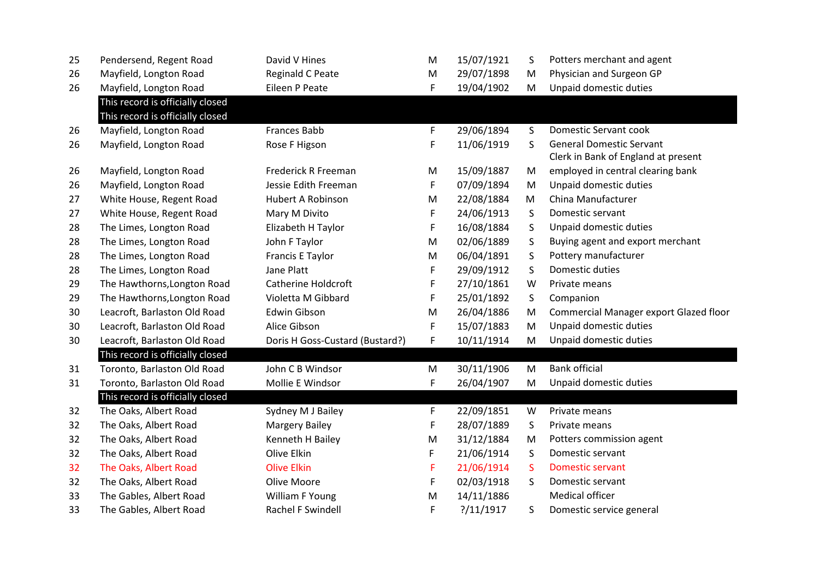| 25 | Pendersend, Regent Road          | David V Hines                   | M | 15/07/1921    | S  | Potters merchant and agent             |
|----|----------------------------------|---------------------------------|---|---------------|----|----------------------------------------|
| 26 | Mayfield, Longton Road           | <b>Reginald C Peate</b>         | M | 29/07/1898    | M  | Physician and Surgeon GP               |
| 26 | Mayfield, Longton Road           | Eileen P Peate                  | F | 19/04/1902    | M  | Unpaid domestic duties                 |
|    | This record is officially closed |                                 |   |               |    |                                        |
|    | This record is officially closed |                                 |   |               |    |                                        |
| 26 | Mayfield, Longton Road           | <b>Frances Babb</b>             | F | 29/06/1894    | S  | Domestic Servant cook                  |
| 26 | Mayfield, Longton Road           | Rose F Higson                   | F | 11/06/1919    | S. | <b>General Domestic Servant</b>        |
|    |                                  |                                 |   |               |    | Clerk in Bank of England at present    |
| 26 | Mayfield, Longton Road           | Frederick R Freeman             | M | 15/09/1887    | M  | employed in central clearing bank      |
| 26 | Mayfield, Longton Road           | Jessie Edith Freeman            | F | 07/09/1894    | M  | Unpaid domestic duties                 |
| 27 | White House, Regent Road         | Hubert A Robinson               | M | 22/08/1884    | M  | China Manufacturer                     |
| 27 | White House, Regent Road         | Mary M Divito                   | F | 24/06/1913    | S  | Domestic servant                       |
| 28 | The Limes, Longton Road          | Elizabeth H Taylor              | F | 16/08/1884    | S  | Unpaid domestic duties                 |
| 28 | The Limes, Longton Road          | John F Taylor                   | M | 02/06/1889    | S  | Buying agent and export merchant       |
| 28 | The Limes, Longton Road          | Francis E Taylor                | M | 06/04/1891    | S  | Pottery manufacturer                   |
| 28 | The Limes, Longton Road          | Jane Platt                      | F | 29/09/1912    | S  | Domestic duties                        |
| 29 | The Hawthorns, Longton Road      | <b>Catherine Holdcroft</b>      | F | 27/10/1861    | W  | Private means                          |
| 29 | The Hawthorns, Longton Road      | Violetta M Gibbard              | F | 25/01/1892    | S  | Companion                              |
| 30 | Leacroft, Barlaston Old Road     | Edwin Gibson                    | M | 26/04/1886    | M  | Commercial Manager export Glazed floor |
| 30 | Leacroft, Barlaston Old Road     | Alice Gibson                    | F | 15/07/1883    | M  | Unpaid domestic duties                 |
| 30 | Leacroft, Barlaston Old Road     | Doris H Goss-Custard (Bustard?) | F | 10/11/1914    | M  | Unpaid domestic duties                 |
|    | This record is officially closed |                                 |   |               |    |                                        |
| 31 | Toronto, Barlaston Old Road      | John C B Windsor                | M | 30/11/1906    | M  | <b>Bank official</b>                   |
| 31 | Toronto, Barlaston Old Road      | Mollie E Windsor                | F | 26/04/1907    | M  | Unpaid domestic duties                 |
|    | This record is officially closed |                                 |   |               |    |                                        |
| 32 | The Oaks, Albert Road            | Sydney M J Bailey               | F | 22/09/1851    | W  | Private means                          |
| 32 | The Oaks, Albert Road            | <b>Margery Bailey</b>           | F | 28/07/1889    | S  | Private means                          |
| 32 | The Oaks, Albert Road            | Kenneth H Bailey                | M | 31/12/1884    | M  | Potters commission agent               |
| 32 | The Oaks, Albert Road            | Olive Elkin                     | F | 21/06/1914    | S  | Domestic servant                       |
| 32 | The Oaks, Albert Road            | <b>Olive Elkin</b>              | F | 21/06/1914    | S. | <b>Domestic servant</b>                |
| 32 | The Oaks, Albert Road            | Olive Moore                     | F | 02/03/1918    | S  | Domestic servant                       |
| 33 | The Gables, Albert Road          | William F Young                 | M | 14/11/1886    |    | Medical officer                        |
| 33 | The Gables, Albert Road          | Rachel F Swindell               | F | ? / 11 / 1917 | S  | Domestic service general               |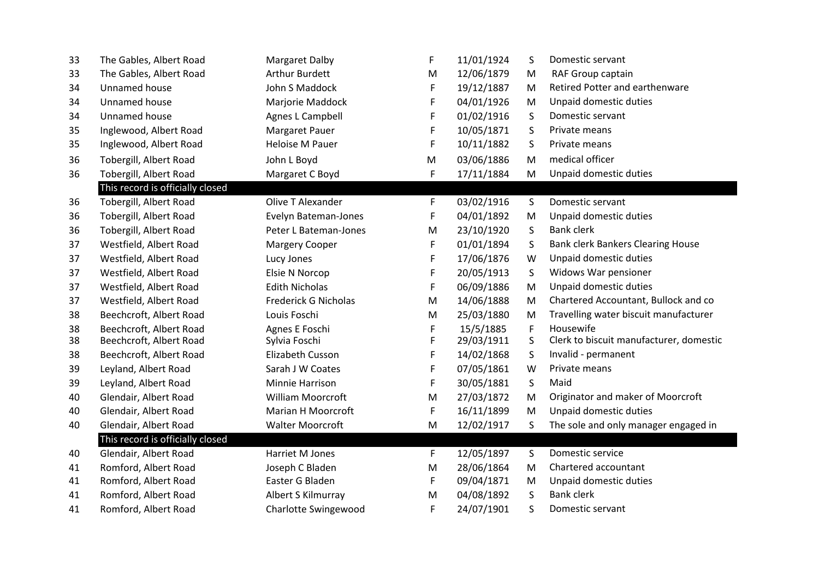| 33 | The Gables, Albert Road          | <b>Margaret Dalby</b>       | F  | 11/01/1924 | S           | Domestic servant                         |
|----|----------------------------------|-----------------------------|----|------------|-------------|------------------------------------------|
| 33 | The Gables, Albert Road          | <b>Arthur Burdett</b>       | M  | 12/06/1879 | M           | RAF Group captain                        |
| 34 | Unnamed house                    | John S Maddock              | F  | 19/12/1887 | M           | Retired Potter and earthenware           |
| 34 | Unnamed house                    | Marjorie Maddock            | F  | 04/01/1926 | M           | Unpaid domestic duties                   |
| 34 | Unnamed house                    | Agnes L Campbell            | F  | 01/02/1916 | S           | Domestic servant                         |
| 35 | Inglewood, Albert Road           | Margaret Pauer              | F  | 10/05/1871 | S           | Private means                            |
| 35 | Inglewood, Albert Road           | <b>Heloise M Pauer</b>      | F  | 10/11/1882 | S           | Private means                            |
| 36 | Tobergill, Albert Road           | John L Boyd                 | M  | 03/06/1886 | M           | medical officer                          |
| 36 | Tobergill, Albert Road           | Margaret C Boyd             | F  | 17/11/1884 | M           | Unpaid domestic duties                   |
|    | This record is officially closed |                             |    |            |             |                                          |
| 36 | Tobergill, Albert Road           | Olive T Alexander           | F  | 03/02/1916 | S           | Domestic servant                         |
| 36 | Tobergill, Albert Road           | Evelyn Bateman-Jones        | F  | 04/01/1892 | M           | Unpaid domestic duties                   |
| 36 | Tobergill, Albert Road           | Peter L Bateman-Jones       | M  | 23/10/1920 | S           | <b>Bank clerk</b>                        |
| 37 | Westfield, Albert Road           | <b>Margery Cooper</b>       | F  | 01/01/1894 | S           | <b>Bank clerk Bankers Clearing House</b> |
| 37 | Westfield, Albert Road           | Lucy Jones                  | F  | 17/06/1876 | W           | Unpaid domestic duties                   |
| 37 | Westfield, Albert Road           | Elsie N Norcop              | F  | 20/05/1913 | S           | Widows War pensioner                     |
| 37 | Westfield, Albert Road           | <b>Edith Nicholas</b>       | F  | 06/09/1886 | M           | Unpaid domestic duties                   |
| 37 | Westfield, Albert Road           | <b>Frederick G Nicholas</b> | M  | 14/06/1888 | M           | Chartered Accountant, Bullock and co     |
| 38 | Beechcroft, Albert Road          | Louis Foschi                | M  | 25/03/1880 | M           | Travelling water biscuit manufacturer    |
| 38 | Beechcroft, Albert Road          | Agnes E Foschi              | F  | 15/5/1885  | $\mathsf F$ | Housewife                                |
| 38 | Beechcroft, Albert Road          | Sylvia Foschi               | F  | 29/03/1911 | S           | Clerk to biscuit manufacturer, domestic  |
| 38 | Beechcroft, Albert Road          | Elizabeth Cusson            | F  | 14/02/1868 | S           | Invalid - permanent                      |
| 39 | Leyland, Albert Road             | Sarah J W Coates            | F  | 07/05/1861 | W           | Private means                            |
| 39 | Leyland, Albert Road             | Minnie Harrison             | F  | 30/05/1881 | S           | Maid                                     |
| 40 | Glendair, Albert Road            | <b>William Moorcroft</b>    | M  | 27/03/1872 | M           | Originator and maker of Moorcroft        |
| 40 | Glendair, Albert Road            | Marian H Moorcroft          | F  | 16/11/1899 | M           | Unpaid domestic duties                   |
| 40 | Glendair, Albert Road            | <b>Walter Moorcroft</b>     | M  | 12/02/1917 | S           | The sole and only manager engaged in     |
|    | This record is officially closed |                             |    |            |             |                                          |
| 40 | Glendair, Albert Road            | Harriet M Jones             | F. | 12/05/1897 | S           | Domestic service                         |
| 41 | Romford, Albert Road             | Joseph C Bladen             | M  | 28/06/1864 | M           | Chartered accountant                     |
| 41 | Romford, Albert Road             | Easter G Bladen             | F  | 09/04/1871 | M           | Unpaid domestic duties                   |
| 41 | Romford, Albert Road             | Albert S Kilmurray          | M  | 04/08/1892 | S           | <b>Bank clerk</b>                        |
| 41 | Romford, Albert Road             | Charlotte Swingewood        | F  | 24/07/1901 | S           | Domestic servant                         |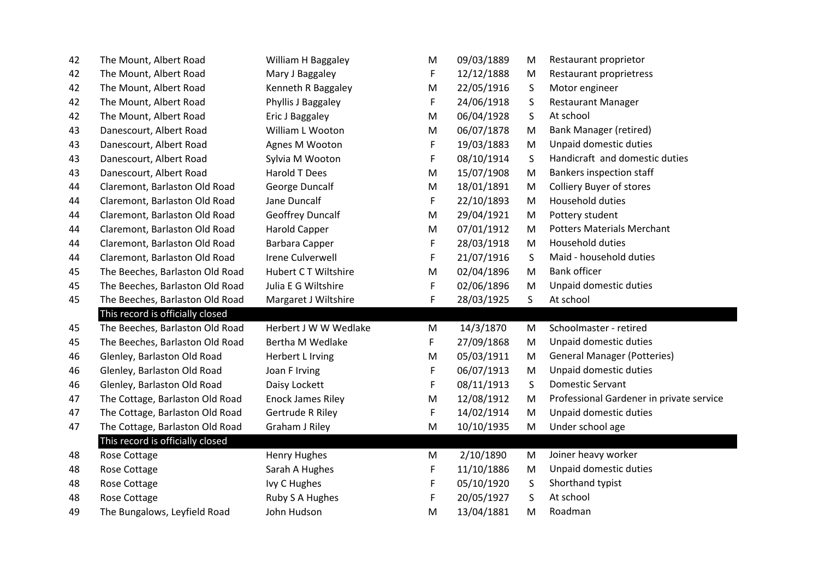| 42 | The Mount, Albert Road           | William H Baggaley       | M | 09/03/1889 | M  | Restaurant proprietor                    |
|----|----------------------------------|--------------------------|---|------------|----|------------------------------------------|
| 42 | The Mount, Albert Road           | Mary J Baggaley          | F | 12/12/1888 | M  | Restaurant proprietress                  |
| 42 | The Mount, Albert Road           | Kenneth R Baggaley       | M | 22/05/1916 | S  | Motor engineer                           |
| 42 | The Mount, Albert Road           | Phyllis J Baggaley       | F | 24/06/1918 | S  | <b>Restaurant Manager</b>                |
| 42 | The Mount, Albert Road           | Eric J Baggaley          | M | 06/04/1928 | S  | At school                                |
| 43 | Danescourt, Albert Road          | William L Wooton         | M | 06/07/1878 | M  | <b>Bank Manager (retired)</b>            |
| 43 | Danescourt, Albert Road          | Agnes M Wooton           | F | 19/03/1883 | M  | Unpaid domestic duties                   |
| 43 | Danescourt, Albert Road          | Sylvia M Wooton          | F | 08/10/1914 | S  | Handicraft and domestic duties           |
| 43 | Danescourt, Albert Road          | Harold T Dees            | M | 15/07/1908 | M  | <b>Bankers inspection staff</b>          |
| 44 | Claremont, Barlaston Old Road    | George Duncalf           | M | 18/01/1891 | M  | <b>Colliery Buyer of stores</b>          |
| 44 | Claremont, Barlaston Old Road    | Jane Duncalf             | F | 22/10/1893 | M  | Household duties                         |
| 44 | Claremont, Barlaston Old Road    | <b>Geoffrey Duncalf</b>  | M | 29/04/1921 | M  | Pottery student                          |
| 44 | Claremont, Barlaston Old Road    | <b>Harold Capper</b>     | M | 07/01/1912 | M  | <b>Potters Materials Merchant</b>        |
| 44 | Claremont, Barlaston Old Road    | Barbara Capper           | F | 28/03/1918 | M  | Household duties                         |
| 44 | Claremont, Barlaston Old Road    | <b>Irene Culverwell</b>  | F | 21/07/1916 | S  | Maid - household duties                  |
| 45 | The Beeches, Barlaston Old Road  | Hubert CT Wiltshire      | M | 02/04/1896 | M  | <b>Bank officer</b>                      |
| 45 | The Beeches, Barlaston Old Road  | Julia E G Wiltshire      | F | 02/06/1896 | M  | Unpaid domestic duties                   |
| 45 | The Beeches, Barlaston Old Road  | Margaret J Wiltshire     | F | 28/03/1925 | S. | At school                                |
|    | This record is officially closed |                          |   |            |    |                                          |
| 45 | The Beeches, Barlaston Old Road  | Herbert J W W Wedlake    | M | 14/3/1870  | M  | Schoolmaster - retired                   |
| 45 | The Beeches, Barlaston Old Road  | Bertha M Wedlake         | F | 27/09/1868 | M  | Unpaid domestic duties                   |
| 46 | Glenley, Barlaston Old Road      | Herbert L Irving         | M | 05/03/1911 | M  | <b>General Manager (Potteries)</b>       |
| 46 | Glenley, Barlaston Old Road      | Joan F Irving            | F | 06/07/1913 | M  | Unpaid domestic duties                   |
| 46 | Glenley, Barlaston Old Road      | Daisy Lockett            | F | 08/11/1913 | S  | <b>Domestic Servant</b>                  |
| 47 | The Cottage, Barlaston Old Road  | <b>Enock James Riley</b> | M | 12/08/1912 | M  | Professional Gardener in private service |
| 47 | The Cottage, Barlaston Old Road  | Gertrude R Riley         | F | 14/02/1914 | M  | Unpaid domestic duties                   |
| 47 | The Cottage, Barlaston Old Road  | <b>Graham J Riley</b>    | M | 10/10/1935 | M  | Under school age                         |
|    | This record is officially closed |                          |   |            |    |                                          |
| 48 | Rose Cottage                     | <b>Henry Hughes</b>      | M | 2/10/1890  | M  | Joiner heavy worker                      |
| 48 | Rose Cottage                     | Sarah A Hughes           | F | 11/10/1886 | M  | Unpaid domestic duties                   |
| 48 | Rose Cottage                     | Ivy C Hughes             | F | 05/10/1920 | S  | Shorthand typist                         |
| 48 | Rose Cottage                     | Ruby S A Hughes          | F | 20/05/1927 | S  | At school                                |
| 49 | The Bungalows, Leyfield Road     | John Hudson              | M | 13/04/1881 | M  | Roadman                                  |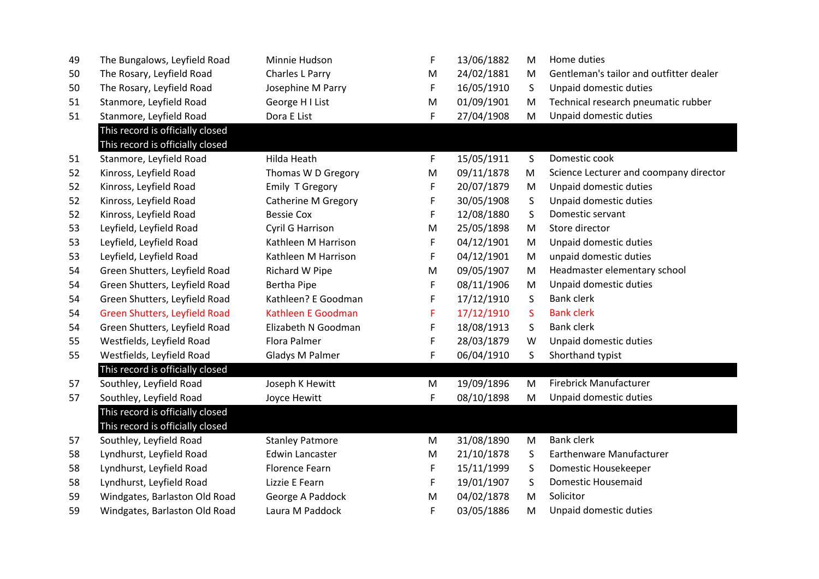| 49 | The Bungalows, Leyfield Road         | Minnie Hudson              | F  | 13/06/1882 | M            | Home duties                             |
|----|--------------------------------------|----------------------------|----|------------|--------------|-----------------------------------------|
| 50 | The Rosary, Leyfield Road            | Charles L Parry            | M  | 24/02/1881 | M            | Gentleman's tailor and outfitter dealer |
| 50 | The Rosary, Leyfield Road            | Josephine M Parry          | F  | 16/05/1910 | S            | Unpaid domestic duties                  |
| 51 | Stanmore, Leyfield Road              | George H I List            | M  | 01/09/1901 | M            | Technical research pneumatic rubber     |
| 51 | Stanmore, Leyfield Road              | Dora E List                | F  | 27/04/1908 | M            | Unpaid domestic duties                  |
|    | This record is officially closed     |                            |    |            |              |                                         |
|    | This record is officially closed     |                            |    |            |              |                                         |
| 51 | Stanmore, Leyfield Road              | Hilda Heath                | F  | 15/05/1911 | $\mathsf{S}$ | Domestic cook                           |
| 52 | Kinross, Leyfield Road               | Thomas W D Gregory         | M  | 09/11/1878 | M            | Science Lecturer and coompany director  |
| 52 | Kinross, Leyfield Road               | Emily T Gregory            | F  | 20/07/1879 | M            | Unpaid domestic duties                  |
| 52 | Kinross, Leyfield Road               | <b>Catherine M Gregory</b> | F  | 30/05/1908 | S            | Unpaid domestic duties                  |
| 52 | Kinross, Leyfield Road               | <b>Bessie Cox</b>          | F  | 12/08/1880 | S            | Domestic servant                        |
| 53 | Leyfield, Leyfield Road              | Cyril G Harrison           | M  | 25/05/1898 | M            | Store director                          |
| 53 | Leyfield, Leyfield Road              | Kathleen M Harrison        | F  | 04/12/1901 | M            | Unpaid domestic duties                  |
| 53 | Leyfield, Leyfield Road              | Kathleen M Harrison        | F  | 04/12/1901 | M            | unpaid domestic duties                  |
| 54 | Green Shutters, Leyfield Road        | Richard W Pipe             | M  | 09/05/1907 | M            | Headmaster elementary school            |
| 54 | Green Shutters, Leyfield Road        | <b>Bertha Pipe</b>         | F  | 08/11/1906 | M            | Unpaid domestic duties                  |
| 54 | Green Shutters, Leyfield Road        | Kathleen? E Goodman        | F  | 17/12/1910 | S            | <b>Bank clerk</b>                       |
| 54 | <b>Green Shutters, Leyfield Road</b> | Kathleen E Goodman         | F  | 17/12/1910 | S.           | <b>Bank clerk</b>                       |
| 54 | Green Shutters, Leyfield Road        | Elizabeth N Goodman        | F. | 18/08/1913 | S            | <b>Bank clerk</b>                       |
| 55 | Westfields, Leyfield Road            | Flora Palmer               | F  | 28/03/1879 | W            | Unpaid domestic duties                  |
| 55 | Westfields, Leyfield Road            | Gladys M Palmer            | F  | 06/04/1910 | S.           | Shorthand typist                        |
|    | This record is officially closed     |                            |    |            |              |                                         |
| 57 | Southley, Leyfield Road              | Joseph K Hewitt            | M  | 19/09/1896 | M            | <b>Firebrick Manufacturer</b>           |
| 57 | Southley, Leyfield Road              | Joyce Hewitt               | F  | 08/10/1898 | M            | Unpaid domestic duties                  |
|    | This record is officially closed     |                            |    |            |              |                                         |
|    | This record is officially closed     |                            |    |            |              |                                         |
| 57 | Southley, Leyfield Road              | <b>Stanley Patmore</b>     | M  | 31/08/1890 | M            | <b>Bank clerk</b>                       |
| 58 | Lyndhurst, Leyfield Road             | <b>Edwin Lancaster</b>     | M  | 21/10/1878 | S            | <b>Earthenware Manufacturer</b>         |
| 58 | Lyndhurst, Leyfield Road             | <b>Florence Fearn</b>      | F  | 15/11/1999 | S            | Domestic Housekeeper                    |
| 58 | Lyndhurst, Leyfield Road             | Lizzie E Fearn             | F  | 19/01/1907 | S            | Domestic Housemaid                      |
| 59 | Windgates, Barlaston Old Road        | George A Paddock           | M  | 04/02/1878 | M            | Solicitor                               |
| 59 | Windgates, Barlaston Old Road        | Laura M Paddock            | F  | 03/05/1886 | м            | Unpaid domestic duties                  |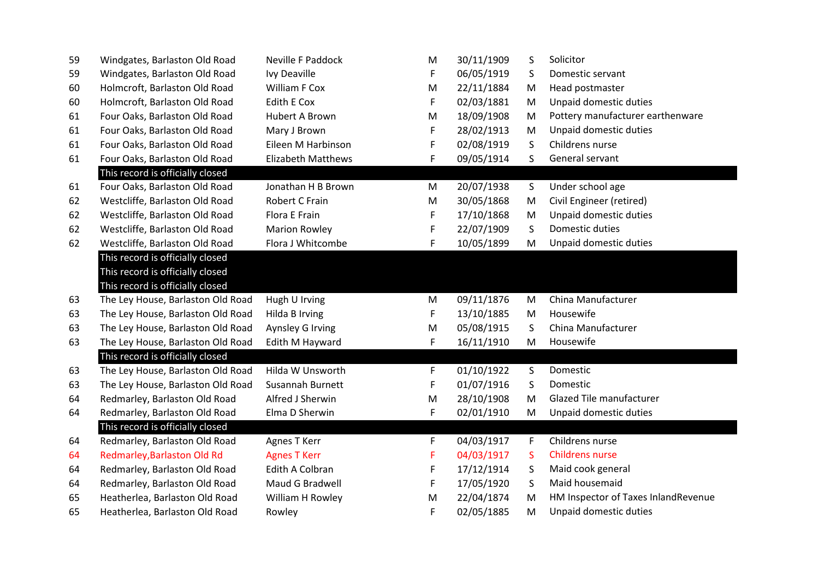| 59 | Windgates, Barlaston Old Road     | <b>Neville F Paddock</b>  | M | 30/11/1909 | S            | Solicitor                           |
|----|-----------------------------------|---------------------------|---|------------|--------------|-------------------------------------|
| 59 | Windgates, Barlaston Old Road     | <b>Ivy Deaville</b>       | F | 06/05/1919 | S            | Domestic servant                    |
| 60 | Holmcroft, Barlaston Old Road     | William F Cox             | M | 22/11/1884 | M            | Head postmaster                     |
| 60 | Holmcroft, Barlaston Old Road     | Edith E Cox               | F | 02/03/1881 | M            | Unpaid domestic duties              |
| 61 | Four Oaks, Barlaston Old Road     | <b>Hubert A Brown</b>     | M | 18/09/1908 | M            | Pottery manufacturer earthenware    |
| 61 | Four Oaks, Barlaston Old Road     | Mary J Brown              | F | 28/02/1913 | M            | Unpaid domestic duties              |
| 61 | Four Oaks, Barlaston Old Road     | Eileen M Harbinson        | F | 02/08/1919 | S            | Childrens nurse                     |
| 61 | Four Oaks, Barlaston Old Road     | <b>Elizabeth Matthews</b> | F | 09/05/1914 | S.           | General servant                     |
|    | This record is officially closed  |                           |   |            |              |                                     |
| 61 | Four Oaks, Barlaston Old Road     | Jonathan H B Brown        | M | 20/07/1938 | S            | Under school age                    |
| 62 | Westcliffe, Barlaston Old Road    | Robert C Frain            | M | 30/05/1868 | M            | Civil Engineer (retired)            |
| 62 | Westcliffe, Barlaston Old Road    | Flora E Frain             | F | 17/10/1868 | M            | Unpaid domestic duties              |
| 62 | Westcliffe, Barlaston Old Road    | <b>Marion Rowley</b>      | F | 22/07/1909 | S            | Domestic duties                     |
| 62 | Westcliffe, Barlaston Old Road    | Flora J Whitcombe         | F | 10/05/1899 | M            | Unpaid domestic duties              |
|    | This record is officially closed  |                           |   |            |              |                                     |
|    | This record is officially closed  |                           |   |            |              |                                     |
|    | This record is officially closed  |                           |   |            |              |                                     |
| 63 | The Ley House, Barlaston Old Road | Hugh U Irving             | M | 09/11/1876 | M            | China Manufacturer                  |
| 63 | The Ley House, Barlaston Old Road | Hilda B Irving            | F | 13/10/1885 | M            | Housewife                           |
| 63 | The Ley House, Barlaston Old Road | Aynsley G Irving          | M | 05/08/1915 | S            | China Manufacturer                  |
| 63 | The Ley House, Barlaston Old Road | Edith M Hayward           | F | 16/11/1910 | M            | Housewife                           |
|    | This record is officially closed  |                           |   |            |              |                                     |
| 63 | The Ley House, Barlaston Old Road | Hilda W Unsworth          | F | 01/10/1922 | $\mathsf{S}$ | Domestic                            |
| 63 | The Ley House, Barlaston Old Road | Susannah Burnett          | F | 01/07/1916 | S            | Domestic                            |
| 64 | Redmarley, Barlaston Old Road     | Alfred J Sherwin          | M | 28/10/1908 | M            | Glazed Tile manufacturer            |
| 64 | Redmarley, Barlaston Old Road     | Elma D Sherwin            | F | 02/01/1910 | M            | Unpaid domestic duties              |
|    | This record is officially closed  |                           |   |            |              |                                     |
| 64 | Redmarley, Barlaston Old Road     | Agnes T Kerr              | F | 04/03/1917 | F            | Childrens nurse                     |
| 64 | Redmarley, Barlaston Old Rd       | <b>Agnes T Kerr</b>       | F | 04/03/1917 | <sub>S</sub> | <b>Childrens nurse</b>              |
| 64 | Redmarley, Barlaston Old Road     | Edith A Colbran           | F | 17/12/1914 | S            | Maid cook general                   |
| 64 | Redmarley, Barlaston Old Road     | Maud G Bradwell           | F | 17/05/1920 | $\mathsf{S}$ | Maid housemaid                      |
| 65 | Heatherlea, Barlaston Old Road    | William H Rowley          | M | 22/04/1874 | M            | HM Inspector of Taxes InlandRevenue |
| 65 | Heatherlea, Barlaston Old Road    | Rowley                    | F | 02/05/1885 | M            | Unpaid domestic duties              |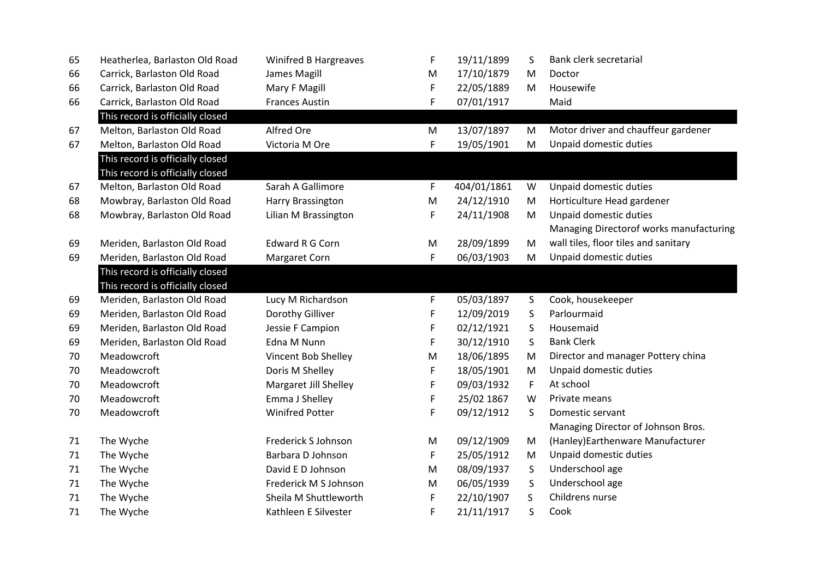| 65 | Heatherlea, Barlaston Old Road   | <b>Winifred B Hargreaves</b> | F | 19/11/1899  | S       | Bank clerk secretarial                  |
|----|----------------------------------|------------------------------|---|-------------|---------|-----------------------------------------|
| 66 | Carrick, Barlaston Old Road      | James Magill                 | M | 17/10/1879  | M       | Doctor                                  |
| 66 | Carrick, Barlaston Old Road      | Mary F Magill                | F | 22/05/1889  | M       | Housewife                               |
| 66 | Carrick, Barlaston Old Road      | <b>Frances Austin</b>        | F | 07/01/1917  |         | Maid                                    |
|    | This record is officially closed |                              |   |             |         |                                         |
| 67 | Melton, Barlaston Old Road       | Alfred Ore                   | M | 13/07/1897  | M       | Motor driver and chauffeur gardener     |
| 67 | Melton, Barlaston Old Road       | Victoria M Ore               | F | 19/05/1901  | M       | Unpaid domestic duties                  |
|    | This record is officially closed |                              |   |             |         |                                         |
|    | This record is officially closed |                              |   |             |         |                                         |
| 67 | Melton, Barlaston Old Road       | Sarah A Gallimore            | F | 404/01/1861 | W       | Unpaid domestic duties                  |
| 68 | Mowbray, Barlaston Old Road      | Harry Brassington            | M | 24/12/1910  | M       | Horticulture Head gardener              |
| 68 | Mowbray, Barlaston Old Road      | Lilian M Brassington         | F | 24/11/1908  | M       | Unpaid domestic duties                  |
|    |                                  |                              |   |             |         | Managing Directorof works manufacturing |
| 69 | Meriden, Barlaston Old Road      | Edward R G Corn              | M | 28/09/1899  | M       | wall tiles, floor tiles and sanitary    |
| 69 | Meriden, Barlaston Old Road      | Margaret Corn                | F | 06/03/1903  | M       | Unpaid domestic duties                  |
|    | This record is officially closed |                              |   |             |         |                                         |
|    | This record is officially closed |                              |   |             |         |                                         |
| 69 | Meriden, Barlaston Old Road      | Lucy M Richardson            | F | 05/03/1897  | S       | Cook, housekeeper                       |
| 69 | Meriden, Barlaston Old Road      | Dorothy Gilliver             | F | 12/09/2019  | S       | Parlourmaid                             |
| 69 | Meriden, Barlaston Old Road      | Jessie F Campion             | F | 02/12/1921  | $\sf S$ | Housemaid                               |
| 69 | Meriden, Barlaston Old Road      | Edna M Nunn                  | F | 30/12/1910  | S       | <b>Bank Clerk</b>                       |
| 70 | Meadowcroft                      | Vincent Bob Shelley          | M | 18/06/1895  | M       | Director and manager Pottery china      |
| 70 | Meadowcroft                      | Doris M Shelley              | F | 18/05/1901  | M       | Unpaid domestic duties                  |
| 70 | Meadowcroft                      | Margaret Jill Shelley        | F | 09/03/1932  | F       | At school                               |
| 70 | Meadowcroft                      | Emma J Shelley               | F | 25/02 1867  | W       | Private means                           |
| 70 | Meadowcroft                      | <b>Winifred Potter</b>       | F | 09/12/1912  | S       | Domestic servant                        |
|    |                                  |                              |   |             |         | Managing Director of Johnson Bros.      |
| 71 | The Wyche                        | Frederick S Johnson          | M | 09/12/1909  | M       | (Hanley) Earthenware Manufacturer       |
| 71 | The Wyche                        | Barbara D Johnson            | F | 25/05/1912  | M       | Unpaid domestic duties                  |
| 71 | The Wyche                        | David E D Johnson            | M | 08/09/1937  | $\sf S$ | Underschool age                         |
| 71 | The Wyche                        | Frederick M S Johnson        | M | 06/05/1939  | S       | Underschool age                         |
| 71 | The Wyche                        | Sheila M Shuttleworth        | F | 22/10/1907  | S       | Childrens nurse                         |
| 71 | The Wyche                        | Kathleen E Silvester         | F | 21/11/1917  | S       | Cook                                    |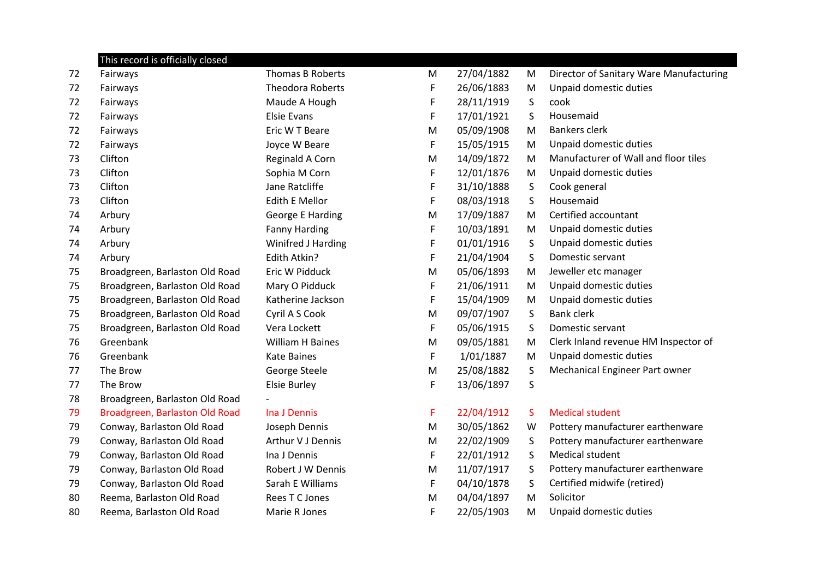|    | This record is officially closed |                         |    |            |         |                                         |
|----|----------------------------------|-------------------------|----|------------|---------|-----------------------------------------|
| 72 | Fairways                         | <b>Thomas B Roberts</b> | M  | 27/04/1882 | M       | Director of Sanitary Ware Manufacturing |
| 72 | Fairways                         | <b>Theodora Roberts</b> | F  | 26/06/1883 | M       | Unpaid domestic duties                  |
| 72 | Fairways                         | Maude A Hough           | F  | 28/11/1919 | S       | cook                                    |
| 72 | Fairways                         | <b>Elsie Evans</b>      | F  | 17/01/1921 | S       | Housemaid                               |
| 72 | Fairways                         | Eric W T Beare          | M  | 05/09/1908 | M       | Bankers clerk                           |
| 72 | Fairways                         | Joyce W Beare           | F  | 15/05/1915 | M       | Unpaid domestic duties                  |
| 73 | Clifton                          | Reginald A Corn         | M  | 14/09/1872 | M       | Manufacturer of Wall and floor tiles    |
| 73 | Clifton                          | Sophia M Corn           | F  | 12/01/1876 | M       | Unpaid domestic duties                  |
| 73 | Clifton                          | Jane Ratcliffe          | F  | 31/10/1888 | S       | Cook general                            |
| 73 | Clifton                          | <b>Edith E Mellor</b>   | F  | 08/03/1918 | S       | Housemaid                               |
| 74 | Arbury                           | <b>George E Harding</b> | M  | 17/09/1887 | M       | Certified accountant                    |
| 74 | Arbury                           | <b>Fanny Harding</b>    | F  | 10/03/1891 | M       | Unpaid domestic duties                  |
| 74 | Arbury                           | Winifred J Harding      | F  | 01/01/1916 | S       | Unpaid domestic duties                  |
| 74 | Arbury                           | Edith Atkin?            | F  | 21/04/1904 | S       | Domestic servant                        |
| 75 | Broadgreen, Barlaston Old Road   | Eric W Pidduck          | M  | 05/06/1893 | M       | Jeweller etc manager                    |
| 75 | Broadgreen, Barlaston Old Road   | Mary O Pidduck          | F  | 21/06/1911 | M       | Unpaid domestic duties                  |
| 75 | Broadgreen, Barlaston Old Road   | Katherine Jackson       | F  | 15/04/1909 | M       | Unpaid domestic duties                  |
| 75 | Broadgreen, Barlaston Old Road   | Cyril A S Cook          | M  | 09/07/1907 | S       | <b>Bank clerk</b>                       |
| 75 | Broadgreen, Barlaston Old Road   | Vera Lockett            | F  | 05/06/1915 | S       | Domestic servant                        |
| 76 | Greenbank                        | William H Baines        | M  | 09/05/1881 | M       | Clerk Inland revenue HM Inspector of    |
| 76 | Greenbank                        | <b>Kate Baines</b>      | F  | 1/01/1887  | M       | Unpaid domestic duties                  |
| 77 | The Brow                         | George Steele           | M  | 25/08/1882 | S       | Mechanical Engineer Part owner          |
| 77 | The Brow                         | <b>Elsie Burley</b>     | F  | 13/06/1897 | $\sf S$ |                                         |
| 78 | Broadgreen, Barlaston Old Road   |                         |    |            |         |                                         |
| 79 | Broadgreen, Barlaston Old Road   | Ina J Dennis            | F. | 22/04/1912 | S.      | <b>Medical student</b>                  |
| 79 | Conway, Barlaston Old Road       | Joseph Dennis           | M  | 30/05/1862 | W       | Pottery manufacturer earthenware        |
| 79 | Conway, Barlaston Old Road       | Arthur V J Dennis       | M  | 22/02/1909 | S       | Pottery manufacturer earthenware        |
| 79 | Conway, Barlaston Old Road       | Ina J Dennis            | F  | 22/01/1912 | $\sf S$ | <b>Medical student</b>                  |
| 79 | Conway, Barlaston Old Road       | Robert J W Dennis       | M  | 11/07/1917 | S       | Pottery manufacturer earthenware        |
| 79 | Conway, Barlaston Old Road       | Sarah E Williams        | F  | 04/10/1878 | S       | Certified midwife (retired)             |
| 80 | Reema, Barlaston Old Road        | Rees T C Jones          | M  | 04/04/1897 | M       | Solicitor                               |
| 80 | Reema, Barlaston Old Road        | Marie R Jones           | F  | 22/05/1903 | M       | Unpaid domestic duties                  |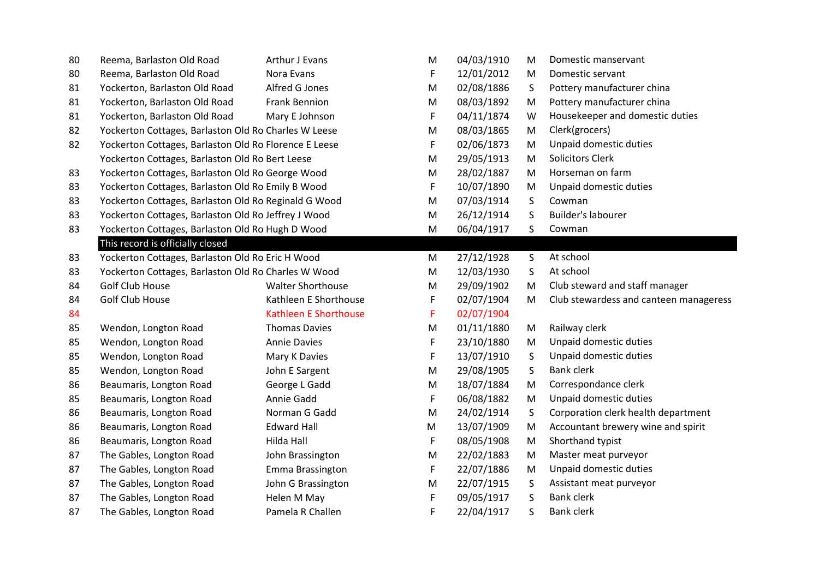| 80 | Reema, Barlaston Old Road                             | Arthur J Evans               | M | 04/03/1910 | M | Domestic manservant                    |
|----|-------------------------------------------------------|------------------------------|---|------------|---|----------------------------------------|
| 80 | Reema, Barlaston Old Road                             | Nora Evans                   | F | 12/01/2012 | M | Domestic servant                       |
| 81 | Yockerton, Barlaston Old Road                         | Alfred G Jones               | M | 02/08/1886 | S | Pottery manufacturer china             |
| 81 | Yockerton, Barlaston Old Road                         | <b>Frank Bennion</b>         | M | 08/03/1892 | M | Pottery manufacturer china             |
| 81 | Yockerton, Barlaston Old Road                         | Mary E Johnson               | F | 04/11/1874 | W | Housekeeper and domestic duties        |
| 82 | Yockerton Cottages, Barlaston Old Ro Charles W Leese  |                              | M | 08/03/1865 | M | Clerk(grocers)                         |
| 82 | Yockerton Cottages, Barlaston Old Ro Florence E Leese |                              | F | 02/06/1873 | M | Unpaid domestic duties                 |
|    | Yockerton Cottages, Barlaston Old Ro Bert Leese       |                              | M | 29/05/1913 | M | <b>Solicitors Clerk</b>                |
| 83 | Yockerton Cottages, Barlaston Old Ro George Wood      |                              | M | 28/02/1887 | M | Horseman on farm                       |
| 83 | Yockerton Cottages, Barlaston Old Ro Emily B Wood     |                              | F | 10/07/1890 | M | Unpaid domestic duties                 |
| 83 | Yockerton Cottages, Barlaston Old Ro Reginald G Wood  |                              | M | 07/03/1914 | S | Cowman                                 |
| 83 | Yockerton Cottages, Barlaston Old Ro Jeffrey J Wood   |                              | M | 26/12/1914 | S | Builder's labourer                     |
| 83 | Yockerton Cottages, Barlaston Old Ro Hugh D Wood      |                              | M | 06/04/1917 | S | Cowman                                 |
|    | This record is officially closed                      |                              |   |            |   |                                        |
| 83 | Yockerton Cottages, Barlaston Old Ro Eric H Wood      |                              |   | 27/12/1928 | S | At school                              |
| 83 | Yockerton Cottages, Barlaston Old Ro Charles W Wood   |                              |   | 12/03/1930 | S | At school                              |
| 84 | <b>Golf Club House</b>                                | <b>Walter Shorthouse</b>     | M | 29/09/1902 | M | Club steward and staff manager         |
| 84 | Golf Club House                                       | Kathleen E Shorthouse        | F | 02/07/1904 | M | Club stewardess and canteen manageress |
| 84 |                                                       | <b>Kathleen E Shorthouse</b> | F | 02/07/1904 |   |                                        |
| 85 | Wendon, Longton Road                                  | <b>Thomas Davies</b>         | M | 01/11/1880 | M | Railway clerk                          |
| 85 | Wendon, Longton Road                                  | <b>Annie Davies</b>          | F | 23/10/1880 | M | Unpaid domestic duties                 |
| 85 | Wendon, Longton Road                                  | Mary K Davies                | F | 13/07/1910 | S | Unpaid domestic duties                 |
| 85 | Wendon, Longton Road                                  | John E Sargent               | M | 29/08/1905 | S | <b>Bank clerk</b>                      |
| 86 | Beaumaris, Longton Road                               | George L Gadd                | M | 18/07/1884 | M | Correspondance clerk                   |
| 85 | Beaumaris, Longton Road                               | Annie Gadd                   | F | 06/08/1882 | M | Unpaid domestic duties                 |
| 86 | Beaumaris, Longton Road                               | Norman G Gadd                | M | 24/02/1914 | S | Corporation clerk health department    |
| 86 | Beaumaris, Longton Road                               | <b>Edward Hall</b>           | M | 13/07/1909 | M | Accountant brewery wine and spirit     |
| 86 | Beaumaris, Longton Road                               | Hilda Hall                   | F | 08/05/1908 | M | Shorthand typist                       |
| 87 | The Gables, Longton Road                              | John Brassington             | M | 22/02/1883 | M | Master meat purveyor                   |
| 87 | The Gables, Longton Road                              | Emma Brassington             | F | 22/07/1886 | M | Unpaid domestic duties                 |
| 87 | The Gables, Longton Road                              | John G Brassington           | M | 22/07/1915 | S | Assistant meat purveyor                |
| 87 | The Gables, Longton Road                              | Helen M May                  | F | 09/05/1917 | S | <b>Bank clerk</b>                      |
| 87 | The Gables, Longton Road                              | Pamela R Challen             | F | 22/04/1917 | S | <b>Bank clerk</b>                      |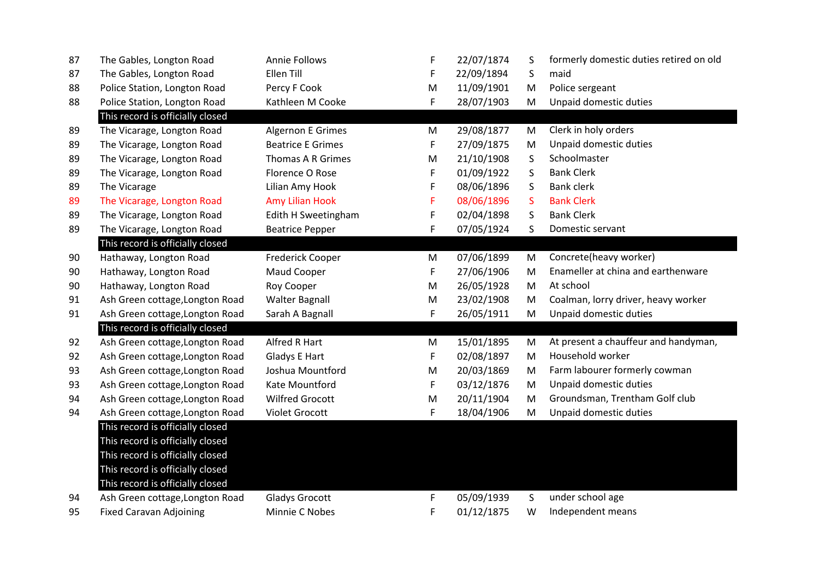| 87 | The Gables, Longton Road         | <b>Annie Follows</b>     | F         | 22/07/1874 | S         | formerly domestic duties retired on old |
|----|----------------------------------|--------------------------|-----------|------------|-----------|-----------------------------------------|
| 87 | The Gables, Longton Road         | <b>Ellen Till</b>        | F         | 22/09/1894 | S         | maid                                    |
| 88 | Police Station, Longton Road     | Percy F Cook             | M         | 11/09/1901 | ${\sf M}$ | Police sergeant                         |
| 88 | Police Station, Longton Road     | Kathleen M Cooke         | F.        | 28/07/1903 | M         | Unpaid domestic duties                  |
|    | This record is officially closed |                          |           |            |           |                                         |
| 89 | The Vicarage, Longton Road       | Algernon E Grimes        | ${\sf M}$ | 29/08/1877 | M         | Clerk in holy orders                    |
| 89 | The Vicarage, Longton Road       | <b>Beatrice E Grimes</b> | F         | 27/09/1875 | M         | Unpaid domestic duties                  |
| 89 | The Vicarage, Longton Road       | Thomas A R Grimes        | M         | 21/10/1908 | S         | Schoolmaster                            |
| 89 | The Vicarage, Longton Road       | Florence O Rose          | F         | 01/09/1922 | S         | <b>Bank Clerk</b>                       |
| 89 | The Vicarage                     | Lilian Amy Hook          | F         | 08/06/1896 | S         | <b>Bank clerk</b>                       |
| 89 | The Vicarage, Longton Road       | Amy Lilian Hook          | F         | 08/06/1896 | S         | <b>Bank Clerk</b>                       |
| 89 | The Vicarage, Longton Road       | Edith H Sweetingham      | F         | 02/04/1898 | S         | <b>Bank Clerk</b>                       |
| 89 | The Vicarage, Longton Road       | <b>Beatrice Pepper</b>   | F.        | 07/05/1924 | S         | Domestic servant                        |
|    | This record is officially closed |                          |           |            |           |                                         |
| 90 | Hathaway, Longton Road           | Frederick Cooper         | ${\sf M}$ | 07/06/1899 | M         | Concrete(heavy worker)                  |
| 90 | Hathaway, Longton Road           | Maud Cooper              | F         | 27/06/1906 | M         | Enameller at china and earthenware      |
| 90 | Hathaway, Longton Road           | Roy Cooper               | ${\sf M}$ | 26/05/1928 | M         | At school                               |
| 91 | Ash Green cottage, Longton Road  | <b>Walter Bagnall</b>    | M         | 23/02/1908 | M         | Coalman, lorry driver, heavy worker     |
| 91 | Ash Green cottage, Longton Road  | Sarah A Bagnall          | F         | 26/05/1911 | ${\sf M}$ | Unpaid domestic duties                  |
|    | This record is officially closed |                          |           |            |           |                                         |
| 92 | Ash Green cottage, Longton Road  | Alfred R Hart            | M         | 15/01/1895 | M         | At present a chauffeur and handyman,    |
| 92 | Ash Green cottage, Longton Road  | <b>Gladys E Hart</b>     | F         | 02/08/1897 | M         | Household worker                        |
| 93 | Ash Green cottage, Longton Road  | Joshua Mountford         | M         | 20/03/1869 | M         | Farm labourer formerly cowman           |
| 93 | Ash Green cottage, Longton Road  | Kate Mountford           | F.        | 03/12/1876 | M         | Unpaid domestic duties                  |
| 94 | Ash Green cottage, Longton Road  | <b>Wilfred Grocott</b>   | M         | 20/11/1904 | M         | Groundsman, Trentham Golf club          |
| 94 | Ash Green cottage, Longton Road  | Violet Grocott           | F         | 18/04/1906 | M         | Unpaid domestic duties                  |
|    | This record is officially closed |                          |           |            |           |                                         |
|    | This record is officially closed |                          |           |            |           |                                         |
|    | This record is officially closed |                          |           |            |           |                                         |
|    | This record is officially closed |                          |           |            |           |                                         |
|    | This record is officially closed |                          |           |            |           |                                         |
| 94 | Ash Green cottage, Longton Road  | <b>Gladys Grocott</b>    | F         | 05/09/1939 | S         | under school age                        |
| 95 | <b>Fixed Caravan Adjoining</b>   | Minnie C Nobes           | F         | 01/12/1875 | W         | Independent means                       |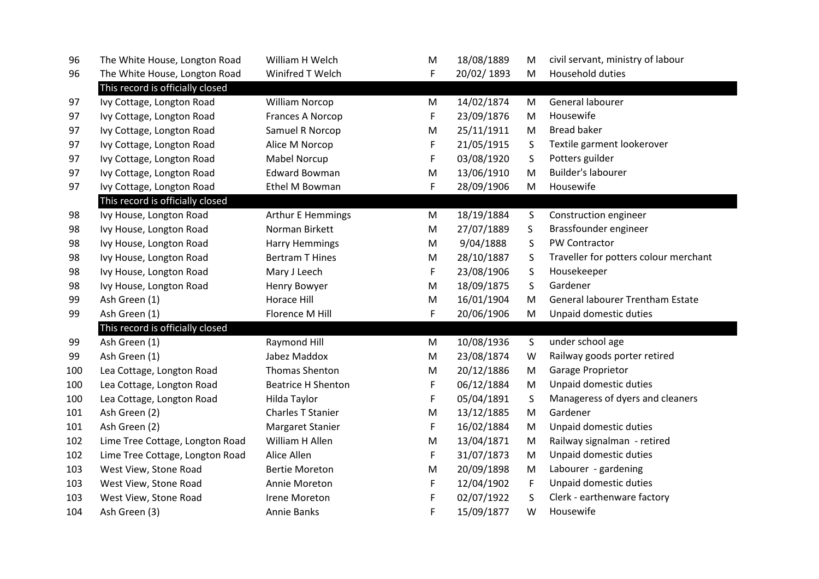| 96  | The White House, Longton Road    | William H Welch           | M | 18/08/1889 | M            | civil servant, ministry of labour       |
|-----|----------------------------------|---------------------------|---|------------|--------------|-----------------------------------------|
| 96  | The White House, Longton Road    | Winifred T Welch          | F | 20/02/1893 | M            | Household duties                        |
|     | This record is officially closed |                           |   |            |              |                                         |
| 97  | Ivy Cottage, Longton Road        | William Norcop            | M | 14/02/1874 | M            | General labourer                        |
| 97  | Ivy Cottage, Longton Road        | Frances A Norcop          | F | 23/09/1876 | M            | Housewife                               |
| 97  | Ivy Cottage, Longton Road        | Samuel R Norcop           | M | 25/11/1911 | M            | <b>Bread baker</b>                      |
| 97  | Ivy Cottage, Longton Road        | Alice M Norcop            | F | 21/05/1915 | S            | Textile garment lookerover              |
| 97  | Ivy Cottage, Longton Road        | <b>Mabel Norcup</b>       | F | 03/08/1920 | S            | Potters guilder                         |
| 97  | Ivy Cottage, Longton Road        | <b>Edward Bowman</b>      | M | 13/06/1910 | M            | <b>Builder's labourer</b>               |
| 97  | Ivy Cottage, Longton Road        | Ethel M Bowman            | F | 28/09/1906 | M            | Housewife                               |
|     | This record is officially closed |                           |   |            |              |                                         |
| 98  | Ivy House, Longton Road          | <b>Arthur E Hemmings</b>  | M | 18/19/1884 | S            | Construction engineer                   |
| 98  | Ivy House, Longton Road          | Norman Birkett            | M | 27/07/1889 | S            | Brassfounder engineer                   |
| 98  | Ivy House, Longton Road          | <b>Harry Hemmings</b>     | M | 9/04/1888  | S            | PW Contractor                           |
| 98  | Ivy House, Longton Road          | <b>Bertram T Hines</b>    | M | 28/10/1887 | S            | Traveller for potters colour merchant   |
| 98  | Ivy House, Longton Road          | Mary J Leech              | F | 23/08/1906 | S            | Housekeeper                             |
| 98  | Ivy House, Longton Road          | Henry Bowyer              | M | 18/09/1875 | S            | Gardener                                |
| 99  | Ash Green (1)                    | <b>Horace Hill</b>        | M | 16/01/1904 | M            | <b>General labourer Trentham Estate</b> |
| 99  | Ash Green (1)                    | Florence M Hill           | F | 20/06/1906 | M            | Unpaid domestic duties                  |
|     | This record is officially closed |                           |   |            |              |                                         |
| 99  | Ash Green (1)                    | Raymond Hill              | M | 10/08/1936 | $\mathsf{S}$ | under school age                        |
| 99  | Ash Green (1)                    | Jabez Maddox              | M | 23/08/1874 | W            | Railway goods porter retired            |
| 100 | Lea Cottage, Longton Road        | <b>Thomas Shenton</b>     | M | 20/12/1886 | M            | Garage Proprietor                       |
| 100 | Lea Cottage, Longton Road        | <b>Beatrice H Shenton</b> | F | 06/12/1884 | M            | Unpaid domestic duties                  |
| 100 | Lea Cottage, Longton Road        | Hilda Taylor              | F | 05/04/1891 | S            | Manageress of dyers and cleaners        |
| 101 | Ash Green (2)                    | <b>Charles T Stanier</b>  | M | 13/12/1885 | M            | Gardener                                |
| 101 | Ash Green (2)                    | Margaret Stanier          | F | 16/02/1884 | M            | Unpaid domestic duties                  |
| 102 | Lime Tree Cottage, Longton Road  | William H Allen           | M | 13/04/1871 | M            | Railway signalman - retired             |
| 102 | Lime Tree Cottage, Longton Road  | Alice Allen               | F | 31/07/1873 | M            | Unpaid domestic duties                  |
| 103 | West View, Stone Road            | <b>Bertie Moreton</b>     | M | 20/09/1898 | M            | Labourer - gardening                    |
| 103 | West View, Stone Road            | Annie Moreton             | F | 12/04/1902 | F            | Unpaid domestic duties                  |
| 103 | West View, Stone Road            | Irene Moreton             | F | 02/07/1922 | S            | Clerk - earthenware factory             |
| 104 | Ash Green (3)                    | Annie Banks               | F | 15/09/1877 | W            | Housewife                               |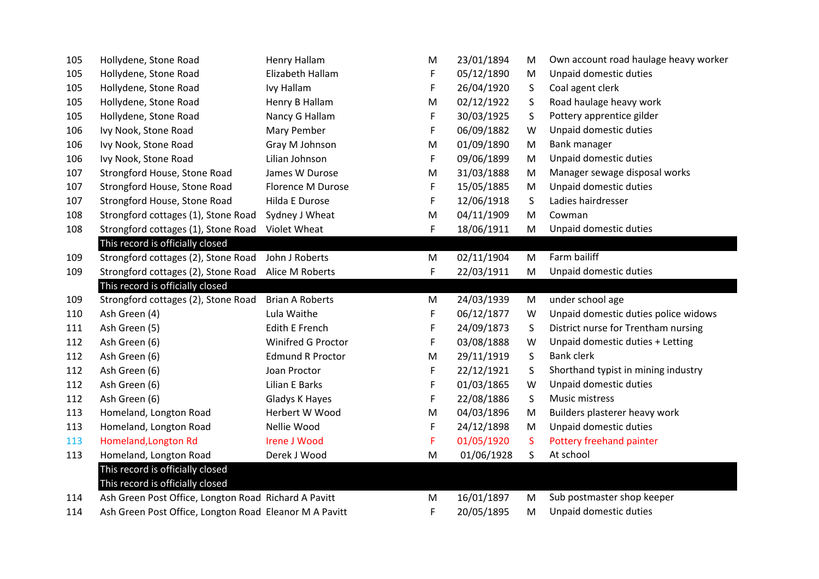| 105 | Hollydene, Stone Road                                | Henry Hallam             | M | 23/01/1894 | M  | Own account road haulage heavy worker |
|-----|------------------------------------------------------|--------------------------|---|------------|----|---------------------------------------|
| 105 | Hollydene, Stone Road                                | Elizabeth Hallam         | F | 05/12/1890 | M  | Unpaid domestic duties                |
| 105 | Hollydene, Stone Road                                | Ivy Hallam               | F | 26/04/1920 | S  | Coal agent clerk                      |
| 105 | Hollydene, Stone Road                                | Henry B Hallam           | M | 02/12/1922 | S  | Road haulage heavy work               |
| 105 | Hollydene, Stone Road                                | Nancy G Hallam           | F | 30/03/1925 | S  | Pottery apprentice gilder             |
| 106 | Ivy Nook, Stone Road                                 | Mary Pember              | F | 06/09/1882 | W  | Unpaid domestic duties                |
| 106 | Ivy Nook, Stone Road                                 | Gray M Johnson           | M | 01/09/1890 | M  | Bank manager                          |
| 106 | Ivy Nook, Stone Road                                 | Lilian Johnson           | F | 09/06/1899 | M  | Unpaid domestic duties                |
| 107 | Strongford House, Stone Road                         | James W Durose           | M | 31/03/1888 | M  | Manager sewage disposal works         |
| 107 | Strongford House, Stone Road                         | <b>Florence M Durose</b> | F | 15/05/1885 | M  | Unpaid domestic duties                |
| 107 | Strongford House, Stone Road                         | Hilda E Durose           | F | 12/06/1918 | S  | Ladies hairdresser                    |
| 108 | Strongford cottages (1), Stone Road                  | Sydney J Wheat           | M | 04/11/1909 | M  | Cowman                                |
| 108 | Strongford cottages (1), Stone Road                  | Violet Wheat             | F | 18/06/1911 | M  | Unpaid domestic duties                |
|     | This record is officially closed                     |                          |   |            |    |                                       |
| 109 | Strongford cottages (2), Stone Road                  | John J Roberts           | M | 02/11/1904 | M  | Farm bailiff                          |
| 109 | Strongford cottages (2), Stone Road                  | Alice M Roberts          | F | 22/03/1911 | M  | Unpaid domestic duties                |
|     |                                                      |                          |   |            |    |                                       |
|     | This record is officially closed                     |                          |   |            |    |                                       |
| 109 | Strongford cottages (2), Stone Road                  | <b>Brian A Roberts</b>   | M | 24/03/1939 | M  | under school age                      |
| 110 | Ash Green (4)                                        | Lula Waithe              | F | 06/12/1877 | W  | Unpaid domestic duties police widows  |
| 111 | Ash Green (5)                                        | <b>Edith E French</b>    | F | 24/09/1873 | S  | District nurse for Trentham nursing   |
| 112 | Ash Green (6)                                        | Winifred G Proctor       | F | 03/08/1888 | W  | Unpaid domestic duties + Letting      |
| 112 | Ash Green (6)                                        | <b>Edmund R Proctor</b>  | M | 29/11/1919 | S  | <b>Bank clerk</b>                     |
| 112 | Ash Green (6)                                        | Joan Proctor             | F | 22/12/1921 | S  | Shorthand typist in mining industry   |
| 112 | Ash Green (6)                                        | Lilian E Barks           | F | 01/03/1865 | W  | Unpaid domestic duties                |
| 112 | Ash Green (6)                                        | Gladys K Hayes           | F | 22/08/1886 | S  | Music mistress                        |
| 113 | Homeland, Longton Road                               | Herbert W Wood           | M | 04/03/1896 | M  | Builders plasterer heavy work         |
| 113 | Homeland, Longton Road                               | Nellie Wood              | F | 24/12/1898 | M  | Unpaid domestic duties                |
| 113 | Homeland, Longton Rd                                 | <b>Irene J Wood</b>      | F | 01/05/1920 | S. | Pottery freehand painter              |
| 113 | Homeland, Longton Road                               | Derek J Wood             | M | 01/06/1928 | S  | At school                             |
|     | This record is officially closed                     |                          |   |            |    |                                       |
|     | This record is officially closed                     |                          |   |            |    |                                       |
| 114 | Ash Green Post Office, Longton Road Richard A Pavitt |                          | M | 16/01/1897 | M  | Sub postmaster shop keeper            |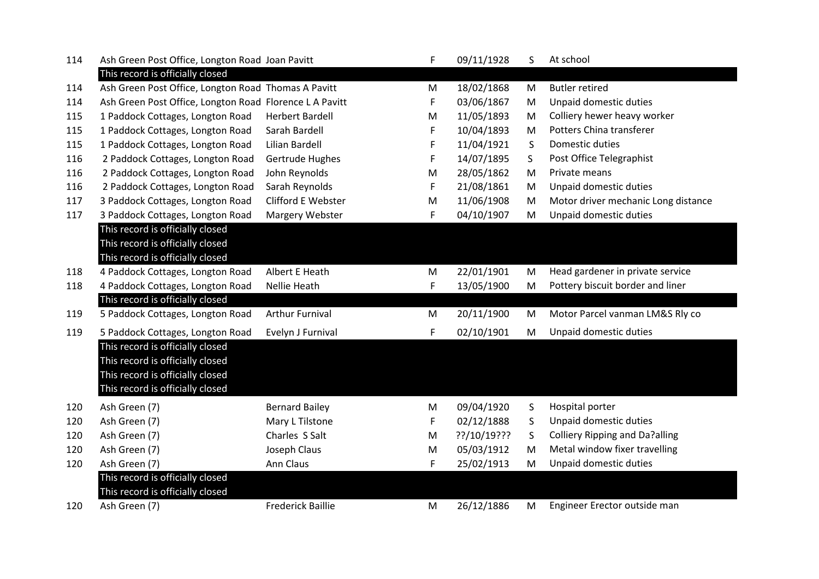| 114 | Ash Green Post Office, Longton Road Joan Pavitt         |                          | F | 09/11/1928  | S.        | At school                             |
|-----|---------------------------------------------------------|--------------------------|---|-------------|-----------|---------------------------------------|
|     | This record is officially closed                        |                          |   |             |           |                                       |
| 114 | Ash Green Post Office, Longton Road Thomas A Pavitt     |                          | M | 18/02/1868  | M         | <b>Butler retired</b>                 |
| 114 | Ash Green Post Office, Longton Road Florence L A Pavitt |                          | F | 03/06/1867  | M         | Unpaid domestic duties                |
| 115 | 1 Paddock Cottages, Longton Road                        | <b>Herbert Bardell</b>   | M | 11/05/1893  | M         | Colliery hewer heavy worker           |
| 115 | 1 Paddock Cottages, Longton Road                        | Sarah Bardell            | F | 10/04/1893  | ${\sf M}$ | Potters China transferer              |
| 115 | 1 Paddock Cottages, Longton Road                        | Lilian Bardell           | F | 11/04/1921  | S         | Domestic duties                       |
| 116 | 2 Paddock Cottages, Longton Road                        | Gertrude Hughes          | F | 14/07/1895  | S         | Post Office Telegraphist              |
| 116 | 2 Paddock Cottages, Longton Road                        | John Reynolds            | M | 28/05/1862  | M         | Private means                         |
| 116 | 2 Paddock Cottages, Longton Road                        | Sarah Reynolds           | F | 21/08/1861  | M         | Unpaid domestic duties                |
| 117 | 3 Paddock Cottages, Longton Road                        | Clifford E Webster       | M | 11/06/1908  | M         | Motor driver mechanic Long distance   |
| 117 | 3 Paddock Cottages, Longton Road                        | Margery Webster          | F | 04/10/1907  | M         | Unpaid domestic duties                |
|     | This record is officially closed                        |                          |   |             |           |                                       |
|     | This record is officially closed                        |                          |   |             |           |                                       |
|     | This record is officially closed                        |                          |   |             |           |                                       |
| 118 | 4 Paddock Cottages, Longton Road                        | Albert E Heath           | M | 22/01/1901  | M         | Head gardener in private service      |
| 118 | 4 Paddock Cottages, Longton Road                        | Nellie Heath             | F | 13/05/1900  | M         | Pottery biscuit border and liner      |
|     | This record is officially closed                        |                          |   |             |           |                                       |
| 119 | 5 Paddock Cottages, Longton Road                        | <b>Arthur Furnival</b>   | M | 20/11/1900  | M         | Motor Parcel vanman LM&S Rly co       |
| 119 | 5 Paddock Cottages, Longton Road                        | Evelyn J Furnival        | F | 02/10/1901  | M         | Unpaid domestic duties                |
|     | This record is officially closed                        |                          |   |             |           |                                       |
|     | This record is officially closed                        |                          |   |             |           |                                       |
|     | This record is officially closed                        |                          |   |             |           |                                       |
|     | This record is officially closed                        |                          |   |             |           |                                       |
| 120 | Ash Green (7)                                           | <b>Bernard Bailey</b>    | M | 09/04/1920  | S         | Hospital porter                       |
| 120 | Ash Green (7)                                           | Mary L Tilstone          | F | 02/12/1888  | S         | Unpaid domestic duties                |
| 120 | Ash Green (7)                                           | Charles S Salt           | M | ??/10/19??? | S         | <b>Colliery Ripping and Da?alling</b> |
| 120 | Ash Green (7)                                           | Joseph Claus             | M | 05/03/1912  | M         | Metal window fixer travelling         |
| 120 | Ash Green (7)                                           | Ann Claus                | F | 25/02/1913  | M         | Unpaid domestic duties                |
|     | This record is officially closed                        |                          |   |             |           |                                       |
|     | This record is officially closed                        |                          |   |             |           |                                       |
| 120 | Ash Green (7)                                           | <b>Frederick Baillie</b> | M | 26/12/1886  | M         | Engineer Erector outside man          |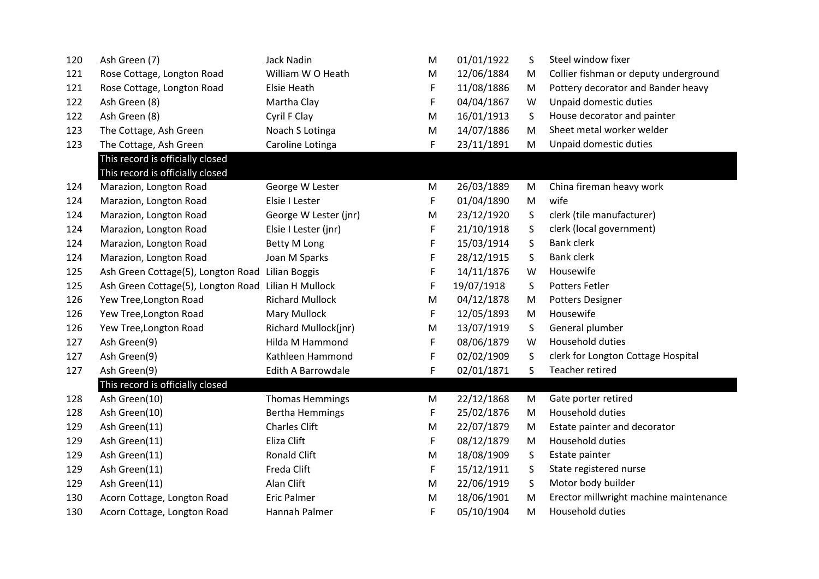| 120 | Ash Green (7)                      | <b>Jack Nadin</b>      | M | 01/01/1922 | S       | Steel window fixer                     |
|-----|------------------------------------|------------------------|---|------------|---------|----------------------------------------|
| 121 | Rose Cottage, Longton Road         | William W O Heath      | M | 12/06/1884 | M       | Collier fishman or deputy underground  |
| 121 | Rose Cottage, Longton Road         | Elsie Heath            | F | 11/08/1886 | M       | Pottery decorator and Bander heavy     |
| 122 | Ash Green (8)                      | Martha Clay            | F | 04/04/1867 | W       | Unpaid domestic duties                 |
| 122 | Ash Green (8)                      | Cyril F Clay           | M | 16/01/1913 | S       | House decorator and painter            |
| 123 | The Cottage, Ash Green             | Noach S Lotinga        | M | 14/07/1886 | M       | Sheet metal worker welder              |
| 123 | The Cottage, Ash Green             | Caroline Lotinga       | F | 23/11/1891 | M       | Unpaid domestic duties                 |
|     | This record is officially closed   |                        |   |            |         |                                        |
|     | This record is officially closed   |                        |   |            |         |                                        |
| 124 | Marazion, Longton Road             | George W Lester        | M | 26/03/1889 | M       | China fireman heavy work               |
| 124 | Marazion, Longton Road             | Elsie I Lester         | F | 01/04/1890 | M       | wife                                   |
| 124 | Marazion, Longton Road             | George W Lester (jnr)  | M | 23/12/1920 | $\sf S$ | clerk (tile manufacturer)              |
| 124 | Marazion, Longton Road             | Elsie I Lester (jnr)   | F | 21/10/1918 | S       | clerk (local government)               |
| 124 | Marazion, Longton Road             | <b>Betty M Long</b>    | F | 15/03/1914 | S       | <b>Bank clerk</b>                      |
| 124 | Marazion, Longton Road             | Joan M Sparks          | F | 28/12/1915 | S       | <b>Bank clerk</b>                      |
| 125 | Ash Green Cottage(5), Longton Road | Lilian Boggis          | F | 14/11/1876 | W       | Housewife                              |
| 125 | Ash Green Cottage(5), Longton Road | Lilian H Mullock       | F | 19/07/1918 | S       | <b>Potters Fetler</b>                  |
| 126 | Yew Tree, Longton Road             | <b>Richard Mullock</b> | M | 04/12/1878 | M       | Potters Designer                       |
| 126 | Yew Tree, Longton Road             | Mary Mullock           | F | 12/05/1893 | M       | Housewife                              |
| 126 | Yew Tree, Longton Road             | Richard Mullock(jnr)   | M | 13/07/1919 | S       | General plumber                        |
| 127 | Ash Green(9)                       | Hilda M Hammond        | F | 08/06/1879 | W       | Household duties                       |
| 127 | Ash Green(9)                       | Kathleen Hammond       | F | 02/02/1909 | S       | clerk for Longton Cottage Hospital     |
| 127 | Ash Green(9)                       | Edith A Barrowdale     | F | 02/01/1871 | S.      | Teacher retired                        |
|     | This record is officially closed   |                        |   |            |         |                                        |
| 128 | Ash Green(10)                      | <b>Thomas Hemmings</b> | M | 22/12/1868 | M       | Gate porter retired                    |
| 128 | Ash Green(10)                      | <b>Bertha Hemmings</b> | F | 25/02/1876 | M       | Household duties                       |
| 129 | Ash Green(11)                      | <b>Charles Clift</b>   | M | 22/07/1879 | M       | Estate painter and decorator           |
| 129 | Ash Green(11)                      | Eliza Clift            | F | 08/12/1879 | M       | Household duties                       |
| 129 | Ash Green(11)                      | Ronald Clift           | M | 18/08/1909 | S       | Estate painter                         |
| 129 | Ash Green(11)                      | Freda Clift            | F | 15/12/1911 | S       | State registered nurse                 |
| 129 | Ash Green(11)                      | Alan Clift             | M | 22/06/1919 | S       | Motor body builder                     |
| 130 | Acorn Cottage, Longton Road        | <b>Eric Palmer</b>     | M | 18/06/1901 | M       | Erector millwright machine maintenance |
| 130 | Acorn Cottage, Longton Road        | Hannah Palmer          | F | 05/10/1904 | M       | Household duties                       |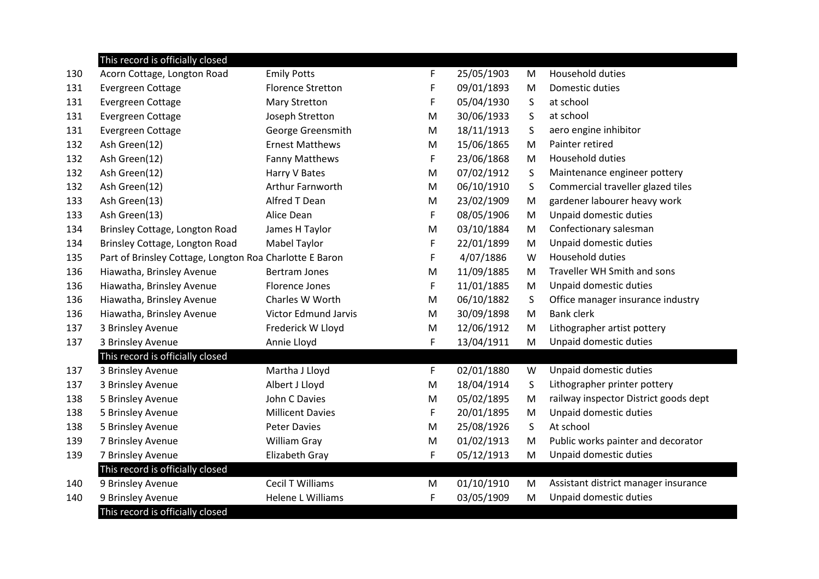|     | This record is officially closed                        |                             |   |            |         |                                       |
|-----|---------------------------------------------------------|-----------------------------|---|------------|---------|---------------------------------------|
| 130 | Acorn Cottage, Longton Road                             | <b>Emily Potts</b>          | F | 25/05/1903 | M       | <b>Household duties</b>               |
| 131 | Evergreen Cottage                                       | <b>Florence Stretton</b>    | F | 09/01/1893 | M       | Domestic duties                       |
| 131 | Evergreen Cottage                                       | <b>Mary Stretton</b>        | F | 05/04/1930 | S       | at school                             |
| 131 | Evergreen Cottage                                       | Joseph Stretton             | M | 30/06/1933 | S       | at school                             |
| 131 | Evergreen Cottage                                       | George Greensmith           | M | 18/11/1913 | S       | aero engine inhibitor                 |
| 132 | Ash Green(12)                                           | <b>Ernest Matthews</b>      | M | 15/06/1865 | M       | Painter retired                       |
| 132 | Ash Green(12)                                           | <b>Fanny Matthews</b>       | F | 23/06/1868 | M       | Household duties                      |
| 132 | Ash Green(12)                                           | Harry V Bates               | M | 07/02/1912 | S       | Maintenance engineer pottery          |
| 132 | Ash Green(12)                                           | Arthur Farnworth            | M | 06/10/1910 | S       | Commercial traveller glazed tiles     |
| 133 | Ash Green(13)                                           | Alfred T Dean               | M | 23/02/1909 | M       | gardener labourer heavy work          |
| 133 | Ash Green(13)                                           | Alice Dean                  | F | 08/05/1906 | M       | Unpaid domestic duties                |
| 134 | Brinsley Cottage, Longton Road                          | James H Taylor              | M | 03/10/1884 | M       | Confectionary salesman                |
| 134 | Brinsley Cottage, Longton Road                          | <b>Mabel Taylor</b>         | F | 22/01/1899 | M       | Unpaid domestic duties                |
| 135 | Part of Brinsley Cottage, Longton Roa Charlotte E Baron |                             | F | 4/07/1886  | W       | Household duties                      |
| 136 | Hiawatha, Brinsley Avenue                               | <b>Bertram Jones</b>        | M | 11/09/1885 | M       | Traveller WH Smith and sons           |
| 136 | Hiawatha, Brinsley Avenue                               | <b>Florence Jones</b>       | F | 11/01/1885 | M       | Unpaid domestic duties                |
| 136 | Hiawatha, Brinsley Avenue                               | Charles W Worth             | M | 06/10/1882 | $\sf S$ | Office manager insurance industry     |
| 136 | Hiawatha, Brinsley Avenue                               | <b>Victor Edmund Jarvis</b> | M | 30/09/1898 | M       | <b>Bank clerk</b>                     |
| 137 | 3 Brinsley Avenue                                       | Frederick W Lloyd           | M | 12/06/1912 | M       | Lithographer artist pottery           |
| 137 | 3 Brinsley Avenue                                       | Annie Lloyd                 | F | 13/04/1911 | M       | Unpaid domestic duties                |
|     | This record is officially closed                        |                             |   |            |         |                                       |
| 137 | 3 Brinsley Avenue                                       | Martha J Lloyd              | F | 02/01/1880 | W       | Unpaid domestic duties                |
| 137 | 3 Brinsley Avenue                                       | Albert J Lloyd              | M | 18/04/1914 | S       | Lithographer printer pottery          |
| 138 | 5 Brinsley Avenue                                       | John C Davies               | M | 05/02/1895 | M       | railway inspector District goods dept |
| 138 | 5 Brinsley Avenue                                       | <b>Millicent Davies</b>     | F | 20/01/1895 | M       | Unpaid domestic duties                |
| 138 | 5 Brinsley Avenue                                       | <b>Peter Davies</b>         | M | 25/08/1926 | S       | At school                             |
| 139 | 7 Brinsley Avenue                                       | William Gray                | M | 01/02/1913 | M       | Public works painter and decorator    |
| 139 | 7 Brinsley Avenue                                       | Elizabeth Gray              | F | 05/12/1913 | M       | Unpaid domestic duties                |
|     | This record is officially closed                        |                             |   |            |         |                                       |
| 140 | 9 Brinsley Avenue                                       | <b>Cecil T Williams</b>     | M | 01/10/1910 | M       | Assistant district manager insurance  |
| 140 | 9 Brinsley Avenue                                       | <b>Helene L Williams</b>    | F | 03/05/1909 | M       | Unpaid domestic duties                |
|     | This record is officially closed                        |                             |   |            |         |                                       |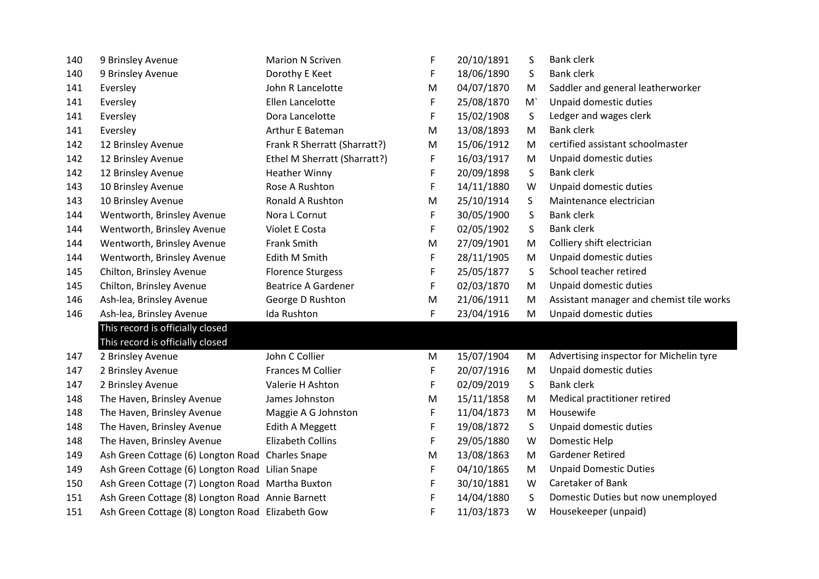| 140 | 9 Brinsley Avenue                                | <b>Marion N Scriven</b>      | F | 20/10/1891 | S       | <b>Bank clerk</b>                        |
|-----|--------------------------------------------------|------------------------------|---|------------|---------|------------------------------------------|
| 140 | 9 Brinsley Avenue                                | Dorothy E Keet               | F | 18/06/1890 | S       | <b>Bank clerk</b>                        |
| 141 | Eversley                                         | John R Lancelotte            | M | 04/07/1870 | M       | Saddler and general leatherworker        |
| 141 | Eversley                                         | Ellen Lancelotte             | F | 25/08/1870 | M       | Unpaid domestic duties                   |
| 141 | Eversley                                         | Dora Lancelotte              | F | 15/02/1908 | S       | Ledger and wages clerk                   |
| 141 | Eversley                                         | Arthur E Bateman             | M | 13/08/1893 | M       | <b>Bank clerk</b>                        |
| 142 | 12 Brinsley Avenue                               | Frank R Sherratt (Sharratt?) | M | 15/06/1912 | M       | certified assistant schoolmaster         |
| 142 | 12 Brinsley Avenue                               | Ethel M Sherratt (Sharratt?) | F | 16/03/1917 | M       | Unpaid domestic duties                   |
| 142 | 12 Brinsley Avenue                               | <b>Heather Winny</b>         | F | 20/09/1898 | S       | <b>Bank clerk</b>                        |
| 143 | 10 Brinsley Avenue                               | Rose A Rushton               | F | 14/11/1880 | W       | Unpaid domestic duties                   |
| 143 | 10 Brinsley Avenue                               | Ronald A Rushton             | M | 25/10/1914 | S       | Maintenance electrician                  |
| 144 | Wentworth, Brinsley Avenue                       | Nora L Cornut                | F | 30/05/1900 | S       | <b>Bank clerk</b>                        |
| 144 | Wentworth, Brinsley Avenue                       | Violet E Costa               | F | 02/05/1902 | S       | <b>Bank clerk</b>                        |
| 144 | Wentworth, Brinsley Avenue                       | <b>Frank Smith</b>           | M | 27/09/1901 | M       | Colliery shift electrician               |
| 144 | Wentworth, Brinsley Avenue                       | Edith M Smith                | F | 28/11/1905 | M       | Unpaid domestic duties                   |
| 145 | Chilton, Brinsley Avenue                         | <b>Florence Sturgess</b>     | F | 25/05/1877 | S       | School teacher retired                   |
| 145 | Chilton, Brinsley Avenue                         | <b>Beatrice A Gardener</b>   | F | 02/03/1870 | M       | Unpaid domestic duties                   |
| 146 | Ash-lea, Brinsley Avenue                         | George D Rushton             | M | 21/06/1911 | M       | Assistant manager and chemist tile works |
| 146 | Ash-lea, Brinsley Avenue                         | Ida Rushton                  | F | 23/04/1916 | M       | Unpaid domestic duties                   |
|     | This record is officially closed                 |                              |   |            |         |                                          |
|     | This record is officially closed                 |                              |   |            |         |                                          |
| 147 | 2 Brinsley Avenue                                | John C Collier               | M | 15/07/1904 | М       | Advertising inspector for Michelin tyre  |
| 147 | 2 Brinsley Avenue                                | Frances M Collier            | F | 20/07/1916 | M       | Unpaid domestic duties                   |
| 147 | 2 Brinsley Avenue                                | Valerie H Ashton             | F | 02/09/2019 | S       | <b>Bank clerk</b>                        |
| 148 | The Haven, Brinsley Avenue                       | James Johnston               | M | 15/11/1858 | M       | Medical practitioner retired             |
| 148 | The Haven, Brinsley Avenue                       | Maggie A G Johnston          | F | 11/04/1873 | M       | Housewife                                |
| 148 | The Haven, Brinsley Avenue                       | Edith A Meggett              | F | 19/08/1872 | $\sf S$ | Unpaid domestic duties                   |
| 148 | The Haven, Brinsley Avenue                       | <b>Elizabeth Collins</b>     | F | 29/05/1880 | W       | Domestic Help                            |
| 149 | Ash Green Cottage (6) Longton Road Charles Snape |                              | M | 13/08/1863 | M       | <b>Gardener Retired</b>                  |
| 149 | Ash Green Cottage (6) Longton Road Lilian Snape  |                              | F | 04/10/1865 | M       | <b>Unpaid Domestic Duties</b>            |
| 150 | Ash Green Cottage (7) Longton Road Martha Buxton |                              | F | 30/10/1881 | W       | Caretaker of Bank                        |
| 151 | Ash Green Cottage (8) Longton Road Annie Barnett |                              | F | 14/04/1880 | S       | Domestic Duties but now unemployed       |
| 151 | Ash Green Cottage (8) Longton Road Elizabeth Gow |                              | F | 11/03/1873 | W       | Housekeeper (unpaid)                     |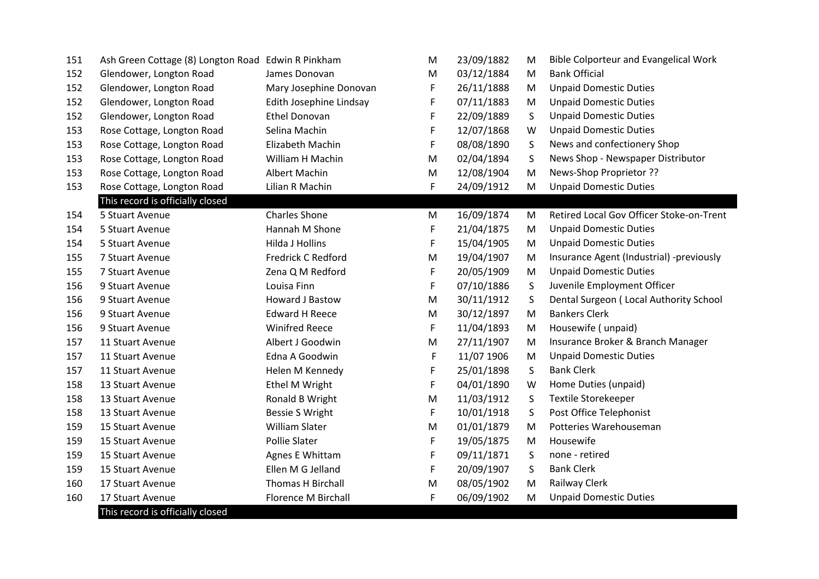| 151 | Ash Green Cottage (8) Longton Road Edwin R Pinkham |                         | M | 23/09/1882 | M       | <b>Bible Colporteur and Evangelical Work</b> |
|-----|----------------------------------------------------|-------------------------|---|------------|---------|----------------------------------------------|
| 152 | Glendower, Longton Road                            | James Donovan           | М | 03/12/1884 | M       | <b>Bank Official</b>                         |
| 152 | Glendower, Longton Road                            | Mary Josephine Donovan  | F | 26/11/1888 | M       | <b>Unpaid Domestic Duties</b>                |
| 152 | Glendower, Longton Road                            | Edith Josephine Lindsay | F | 07/11/1883 | M       | <b>Unpaid Domestic Duties</b>                |
| 152 | Glendower, Longton Road                            | <b>Ethel Donovan</b>    | F | 22/09/1889 | S       | <b>Unpaid Domestic Duties</b>                |
| 153 | Rose Cottage, Longton Road                         | Selina Machin           | F | 12/07/1868 | W       | <b>Unpaid Domestic Duties</b>                |
| 153 | Rose Cottage, Longton Road                         | Elizabeth Machin        | F | 08/08/1890 | S       | News and confectionery Shop                  |
| 153 | Rose Cottage, Longton Road                         | William H Machin        | M | 02/04/1894 | S       | News Shop - Newspaper Distributor            |
| 153 | Rose Cottage, Longton Road                         | <b>Albert Machin</b>    | M | 12/08/1904 | M       | News-Shop Proprietor ??                      |
| 153 | Rose Cottage, Longton Road                         | Lilian R Machin         | F | 24/09/1912 | M       | <b>Unpaid Domestic Duties</b>                |
|     | This record is officially closed                   |                         |   |            |         |                                              |
| 154 | 5 Stuart Avenue                                    | <b>Charles Shone</b>    | M | 16/09/1874 | M       | Retired Local Gov Officer Stoke-on-Trent     |
| 154 | 5 Stuart Avenue                                    | Hannah M Shone          | F | 21/04/1875 | M       | <b>Unpaid Domestic Duties</b>                |
| 154 | 5 Stuart Avenue                                    | <b>Hilda J Hollins</b>  | F | 15/04/1905 | M       | <b>Unpaid Domestic Duties</b>                |
| 155 | 7 Stuart Avenue                                    | Fredrick C Redford      | M | 19/04/1907 | M       | Insurance Agent (Industrial) -previously     |
| 155 | 7 Stuart Avenue                                    | Zena Q M Redford        | F | 20/05/1909 | M       | <b>Unpaid Domestic Duties</b>                |
| 156 | 9 Stuart Avenue                                    | Louisa Finn             | F | 07/10/1886 | S       | Juvenile Employment Officer                  |
| 156 | 9 Stuart Avenue                                    | Howard J Bastow         | M | 30/11/1912 | S       | Dental Surgeon (Local Authority School       |
| 156 | 9 Stuart Avenue                                    | <b>Edward H Reece</b>   | M | 30/12/1897 | M       | <b>Bankers Clerk</b>                         |
| 156 | 9 Stuart Avenue                                    | <b>Winifred Reece</b>   | F | 11/04/1893 | M       | Housewife (unpaid)                           |
| 157 | 11 Stuart Avenue                                   | Albert J Goodwin        | M | 27/11/1907 | M       | Insurance Broker & Branch Manager            |
| 157 | 11 Stuart Avenue                                   | Edna A Goodwin          | F | 11/07 1906 | M       | <b>Unpaid Domestic Duties</b>                |
| 157 | 11 Stuart Avenue                                   | Helen M Kennedy         | F | 25/01/1898 | $\sf S$ | <b>Bank Clerk</b>                            |
| 158 | 13 Stuart Avenue                                   | Ethel M Wright          | F | 04/01/1890 | W       | Home Duties (unpaid)                         |
| 158 | 13 Stuart Avenue                                   | Ronald B Wright         | M | 11/03/1912 | S       | <b>Textile Storekeeper</b>                   |
| 158 | 13 Stuart Avenue                                   | <b>Bessie S Wright</b>  | F | 10/01/1918 | $\sf S$ | Post Office Telephonist                      |
| 159 | 15 Stuart Avenue                                   | William Slater          | M | 01/01/1879 | M       | Potteries Warehouseman                       |
| 159 | 15 Stuart Avenue                                   | <b>Pollie Slater</b>    | F | 19/05/1875 | M       | Housewife                                    |
| 159 | 15 Stuart Avenue                                   | Agnes E Whittam         | F | 09/11/1871 | S       | none - retired                               |
| 159 | 15 Stuart Avenue                                   | Ellen M G Jelland       | F | 20/09/1907 | S       | <b>Bank Clerk</b>                            |
| 160 | 17 Stuart Avenue                                   | Thomas H Birchall       | M | 08/05/1902 | M       | Railway Clerk                                |
| 160 | 17 Stuart Avenue                                   | Florence M Birchall     | F | 06/09/1902 | M       | <b>Unpaid Domestic Duties</b>                |
|     | This record is officially closed                   |                         |   |            |         |                                              |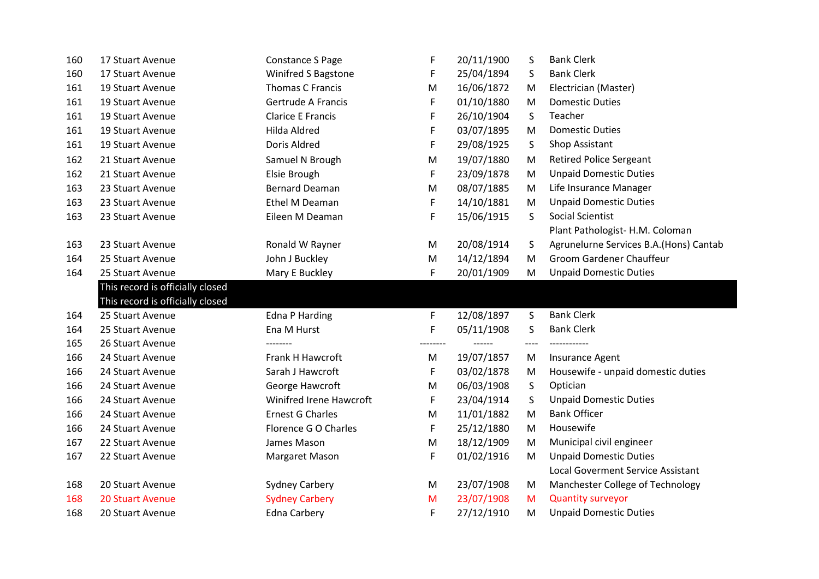| 160 | 17 Stuart Avenue                 | <b>Constance S Page</b>  | F        | 20/11/1900 | S       | <b>Bank Clerk</b>                        |
|-----|----------------------------------|--------------------------|----------|------------|---------|------------------------------------------|
| 160 | 17 Stuart Avenue                 | Winifred S Bagstone      | F        | 25/04/1894 | S       | <b>Bank Clerk</b>                        |
| 161 | 19 Stuart Avenue                 | Thomas C Francis         | M        | 16/06/1872 | M       | Electrician (Master)                     |
| 161 | 19 Stuart Avenue                 | Gertrude A Francis       | F        | 01/10/1880 | M       | <b>Domestic Duties</b>                   |
| 161 | 19 Stuart Avenue                 | <b>Clarice E Francis</b> | F        | 26/10/1904 | S       | Teacher                                  |
| 161 | 19 Stuart Avenue                 | Hilda Aldred             | F        | 03/07/1895 | M       | <b>Domestic Duties</b>                   |
| 161 | 19 Stuart Avenue                 | Doris Aldred             | F        | 29/08/1925 | S       | Shop Assistant                           |
| 162 | 21 Stuart Avenue                 | Samuel N Brough          | M        | 19/07/1880 | M       | <b>Retired Police Sergeant</b>           |
| 162 | 21 Stuart Avenue                 | Elsie Brough             | F        | 23/09/1878 | M       | <b>Unpaid Domestic Duties</b>            |
| 163 | 23 Stuart Avenue                 | <b>Bernard Deaman</b>    | M        | 08/07/1885 | M       | Life Insurance Manager                   |
| 163 | 23 Stuart Avenue                 | Ethel M Deaman           | F        | 14/10/1881 | M       | <b>Unpaid Domestic Duties</b>            |
| 163 | 23 Stuart Avenue                 | Eileen M Deaman          | F        | 15/06/1915 | S       | Social Scientist                         |
|     |                                  |                          |          |            |         | Plant Pathologist- H.M. Coloman          |
| 163 | 23 Stuart Avenue                 | Ronald W Rayner          | M        | 20/08/1914 | S       | Agrunelurne Services B.A.(Hons) Cantab   |
| 164 | 25 Stuart Avenue                 | John J Buckley           | M        | 14/12/1894 | M       | Groom Gardener Chauffeur                 |
| 164 | 25 Stuart Avenue                 | Mary E Buckley           | F        | 20/01/1909 | M       | <b>Unpaid Domestic Duties</b>            |
|     | This record is officially closed |                          |          |            |         |                                          |
|     | This record is officially closed |                          |          |            |         |                                          |
| 164 | 25 Stuart Avenue                 | <b>Edna P Harding</b>    | F        | 12/08/1897 | S       | <b>Bank Clerk</b>                        |
| 164 | 25 Stuart Avenue                 | Ena M Hurst              | F        | 05/11/1908 | S       | <b>Bank Clerk</b>                        |
| 165 | 26 Stuart Avenue                 |                          | -------- |            | $--- -$ |                                          |
| 166 | 24 Stuart Avenue                 | <b>Frank H Hawcroft</b>  | М        | 19/07/1857 | M       | Insurance Agent                          |
| 166 | 24 Stuart Avenue                 | Sarah J Hawcroft         | F        | 03/02/1878 | M       | Housewife - unpaid domestic duties       |
| 166 | 24 Stuart Avenue                 | George Hawcroft          | М        | 06/03/1908 | S       | Optician                                 |
| 166 | 24 Stuart Avenue                 | Winifred Irene Hawcroft  | F        | 23/04/1914 | S       | <b>Unpaid Domestic Duties</b>            |
| 166 | 24 Stuart Avenue                 | <b>Ernest G Charles</b>  | M        | 11/01/1882 | M       | <b>Bank Officer</b>                      |
| 166 | 24 Stuart Avenue                 | Florence G O Charles     | F        | 25/12/1880 | M       | Housewife                                |
| 167 | 22 Stuart Avenue                 | James Mason              | M        | 18/12/1909 | M       | Municipal civil engineer                 |
| 167 | 22 Stuart Avenue                 | Margaret Mason           | F        | 01/02/1916 | M       | <b>Unpaid Domestic Duties</b>            |
|     |                                  |                          |          |            |         | <b>Local Goverment Service Assistant</b> |
| 168 | 20 Stuart Avenue                 | <b>Sydney Carbery</b>    | M        | 23/07/1908 | M       | Manchester College of Technology         |
| 168 | <b>20 Stuart Avenue</b>          | <b>Sydney Carbery</b>    | M        | 23/07/1908 | M       | <b>Quantity surveyor</b>                 |
|     |                                  |                          |          | 27/12/1910 |         | <b>Unpaid Domestic Duties</b>            |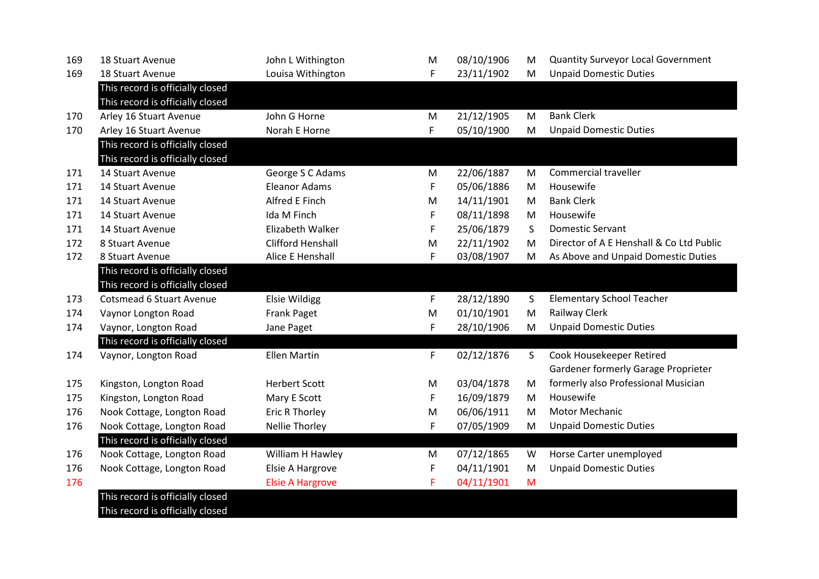| 169 | <b>18 Stuart Avenue</b>          | John L Withington        | M  | 08/10/1906 | M            | <b>Quantity Surveyor Local Government</b> |
|-----|----------------------------------|--------------------------|----|------------|--------------|-------------------------------------------|
| 169 | 18 Stuart Avenue                 | Louisa Withington        | F  | 23/11/1902 | M            | <b>Unpaid Domestic Duties</b>             |
|     | This record is officially closed |                          |    |            |              |                                           |
|     | This record is officially closed |                          |    |            |              |                                           |
| 170 | Arley 16 Stuart Avenue           | John G Horne             | M  | 21/12/1905 | M            | <b>Bank Clerk</b>                         |
| 170 | Arley 16 Stuart Avenue           | Norah E Horne            | F  | 05/10/1900 | M            | <b>Unpaid Domestic Duties</b>             |
|     | This record is officially closed |                          |    |            |              |                                           |
|     | This record is officially closed |                          |    |            |              |                                           |
| 171 | 14 Stuart Avenue                 | George S C Adams         | M  | 22/06/1887 | M            | Commercial traveller                      |
| 171 | 14 Stuart Avenue                 | <b>Eleanor Adams</b>     | F  | 05/06/1886 | M            | Housewife                                 |
| 171 | 14 Stuart Avenue                 | Alfred E Finch           | M  | 14/11/1901 | M            | <b>Bank Clerk</b>                         |
| 171 | 14 Stuart Avenue                 | Ida M Finch              | F  | 08/11/1898 | M            | Housewife                                 |
| 171 | 14 Stuart Avenue                 | Elizabeth Walker         | F  | 25/06/1879 | S            | <b>Domestic Servant</b>                   |
| 172 | 8 Stuart Avenue                  | <b>Clifford Henshall</b> | M  | 22/11/1902 | M            | Director of A E Henshall & Co Ltd Public  |
| 172 | 8 Stuart Avenue                  | Alice E Henshall         | F  | 03/08/1907 | M            | As Above and Unpaid Domestic Duties       |
|     | This record is officially closed |                          |    |            |              |                                           |
|     | This record is officially closed |                          |    |            |              |                                           |
| 173 | <b>Cotsmead 6 Stuart Avenue</b>  | <b>Elsie Wildigg</b>     | F  | 28/12/1890 | S            | <b>Elementary School Teacher</b>          |
| 174 | Vaynor Longton Road              | Frank Paget              | M  | 01/10/1901 | M            | Railway Clerk                             |
| 174 | Vaynor, Longton Road             | Jane Paget               | F  | 28/10/1906 | M            | <b>Unpaid Domestic Duties</b>             |
|     | This record is officially closed |                          |    |            |              |                                           |
| 174 | Vaynor, Longton Road             | <b>Ellen Martin</b>      | F. | 02/12/1876 | $\mathsf{S}$ | Cook Housekeeper Retired                  |
|     |                                  |                          |    |            |              | Gardener formerly Garage Proprieter       |
| 175 | Kingston, Longton Road           | <b>Herbert Scott</b>     | M  | 03/04/1878 | M            | formerly also Professional Musician       |
| 175 | Kingston, Longton Road           | Mary E Scott             | F  | 16/09/1879 | M            | Housewife                                 |
| 176 | Nook Cottage, Longton Road       | <b>Eric R Thorley</b>    | M  | 06/06/1911 | M            | <b>Motor Mechanic</b>                     |
| 176 | Nook Cottage, Longton Road       | <b>Nellie Thorley</b>    | F  | 07/05/1909 | M            | <b>Unpaid Domestic Duties</b>             |
|     | This record is officially closed |                          |    |            |              |                                           |
| 176 | Nook Cottage, Longton Road       | William H Hawley         | M  | 07/12/1865 | W            | Horse Carter unemployed                   |
| 176 | Nook Cottage, Longton Road       | Elsie A Hargrove         | F  | 04/11/1901 | M            | <b>Unpaid Domestic Duties</b>             |
| 176 |                                  | <b>Elsie A Hargrove</b>  | F  | 04/11/1901 | M            |                                           |
|     | This record is officially closed |                          |    |            |              |                                           |
|     | This record is officially closed |                          |    |            |              |                                           |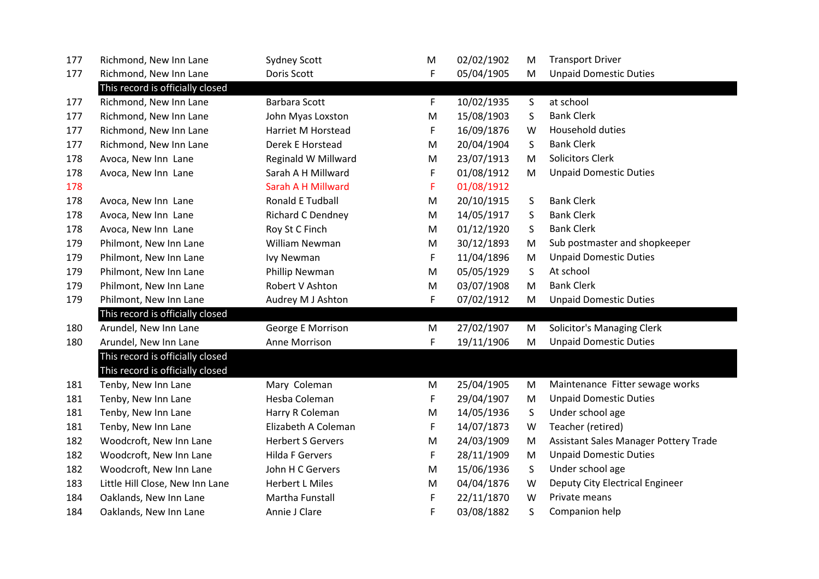| 177 | Richmond, New Inn Lane           | <b>Sydney Scott</b>      | M | 02/02/1902 | M | <b>Transport Driver</b>               |
|-----|----------------------------------|--------------------------|---|------------|---|---------------------------------------|
| 177 | Richmond, New Inn Lane           | Doris Scott              | F | 05/04/1905 | M | <b>Unpaid Domestic Duties</b>         |
|     | This record is officially closed |                          |   |            |   |                                       |
| 177 | Richmond, New Inn Lane           | Barbara Scott            | F | 10/02/1935 | S | at school                             |
| 177 | Richmond, New Inn Lane           | John Myas Loxston        | M | 15/08/1903 | S | <b>Bank Clerk</b>                     |
| 177 | Richmond, New Inn Lane           | Harriet M Horstead       | F | 16/09/1876 | W | Household duties                      |
| 177 | Richmond, New Inn Lane           | Derek E Horstead         | M | 20/04/1904 | S | <b>Bank Clerk</b>                     |
| 178 | Avoca, New Inn Lane              | Reginald W Millward      | M | 23/07/1913 | M | <b>Solicitors Clerk</b>               |
| 178 | Avoca, New Inn Lane              | Sarah A H Millward       | F | 01/08/1912 | M | <b>Unpaid Domestic Duties</b>         |
| 178 |                                  | Sarah A H Millward       | F | 01/08/1912 |   |                                       |
| 178 | Avoca, New Inn Lane              | <b>Ronald E Tudball</b>  | M | 20/10/1915 | S | <b>Bank Clerk</b>                     |
| 178 | Avoca, New Inn Lane              | Richard C Dendney        | M | 14/05/1917 | S | <b>Bank Clerk</b>                     |
| 178 | Avoca, New Inn Lane              | Roy St C Finch           | M | 01/12/1920 | S | <b>Bank Clerk</b>                     |
| 179 | Philmont, New Inn Lane           | William Newman           | M | 30/12/1893 | M | Sub postmaster and shopkeeper         |
| 179 | Philmont, New Inn Lane           | Ivy Newman               | F | 11/04/1896 | M | <b>Unpaid Domestic Duties</b>         |
| 179 | Philmont, New Inn Lane           | Phillip Newman           | M | 05/05/1929 | S | At school                             |
| 179 | Philmont, New Inn Lane           | Robert V Ashton          | M | 03/07/1908 | M | <b>Bank Clerk</b>                     |
| 179 | Philmont, New Inn Lane           | Audrey M J Ashton        | F | 07/02/1912 | M | <b>Unpaid Domestic Duties</b>         |
|     | This record is officially closed |                          |   |            |   |                                       |
| 180 | Arundel, New Inn Lane            | George E Morrison        | M | 27/02/1907 | M | Solicitor's Managing Clerk            |
| 180 | Arundel, New Inn Lane            | Anne Morrison            | F | 19/11/1906 | M | <b>Unpaid Domestic Duties</b>         |
|     | This record is officially closed |                          |   |            |   |                                       |
|     | This record is officially closed |                          |   |            |   |                                       |
| 181 | Tenby, New Inn Lane              | Mary Coleman             | M | 25/04/1905 | M | Maintenance Fitter sewage works       |
| 181 | Tenby, New Inn Lane              | Hesba Coleman            | F | 29/04/1907 | M | <b>Unpaid Domestic Duties</b>         |
| 181 | Tenby, New Inn Lane              | Harry R Coleman          | M | 14/05/1936 | S | Under school age                      |
| 181 | Tenby, New Inn Lane              | Elizabeth A Coleman      | F | 14/07/1873 | W | Teacher (retired)                     |
| 182 | Woodcroft, New Inn Lane          | <b>Herbert S Gervers</b> | M | 24/03/1909 | M | Assistant Sales Manager Pottery Trade |
| 182 | Woodcroft, New Inn Lane          | <b>Hilda F Gervers</b>   | F | 28/11/1909 | M | <b>Unpaid Domestic Duties</b>         |
| 182 | Woodcroft, New Inn Lane          | John H C Gervers         | M | 15/06/1936 | S | Under school age                      |
| 183 | Little Hill Close, New Inn Lane  | <b>Herbert L Miles</b>   | M | 04/04/1876 | W | Deputy City Electrical Engineer       |
| 184 | Oaklands, New Inn Lane           | Martha Funstall          | F | 22/11/1870 | W | Private means                         |
| 184 | Oaklands, New Inn Lane           | Annie J Clare            | F | 03/08/1882 | S | Companion help                        |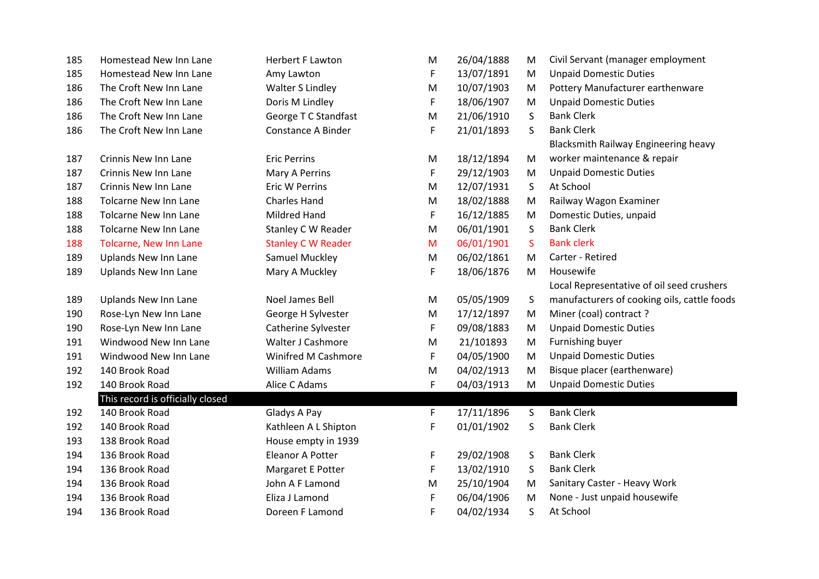| 185 | Homestead New Inn Lane           | <b>Herbert F Lawton</b>   | M | 26/04/1888 | M  | Civil Servant (manager employment           |
|-----|----------------------------------|---------------------------|---|------------|----|---------------------------------------------|
| 185 | Homestead New Inn Lane           | Amy Lawton                | F | 13/07/1891 | M  | <b>Unpaid Domestic Duties</b>               |
| 186 | The Croft New Inn Lane           | <b>Walter S Lindley</b>   | M | 10/07/1903 | M  | Pottery Manufacturer earthenware            |
| 186 | The Croft New Inn Lane           | Doris M Lindley           | F | 18/06/1907 | M  | <b>Unpaid Domestic Duties</b>               |
| 186 | The Croft New Inn Lane           | George T C Standfast      | M | 21/06/1910 | S  | <b>Bank Clerk</b>                           |
| 186 | The Croft New Inn Lane           | Constance A Binder        | F | 21/01/1893 | S  | <b>Bank Clerk</b>                           |
|     |                                  |                           |   |            |    | <b>Blacksmith Railway Engineering heavy</b> |
| 187 | Crinnis New Inn Lane             | <b>Eric Perrins</b>       | M | 18/12/1894 | M  | worker maintenance & repair                 |
| 187 | Crinnis New Inn Lane             | Mary A Perrins            | F | 29/12/1903 | M  | <b>Unpaid Domestic Duties</b>               |
| 187 | Crinnis New Inn Lane             | Eric W Perrins            | M | 12/07/1931 | S  | At School                                   |
| 188 | <b>Tolcarne New Inn Lane</b>     | <b>Charles Hand</b>       | M | 18/02/1888 | M  | Railway Wagon Examiner                      |
| 188 | <b>Tolcarne New Inn Lane</b>     | Mildred Hand              | F | 16/12/1885 | M  | Domestic Duties, unpaid                     |
| 188 | <b>Tolcarne New Inn Lane</b>     | Stanley C W Reader        | M | 06/01/1901 | S  | <b>Bank Clerk</b>                           |
| 188 | Tolcarne, New Inn Lane           | <b>Stanley C W Reader</b> | M | 06/01/1901 | S. | <b>Bank clerk</b>                           |
| 189 | Uplands New Inn Lane             | Samuel Muckley            | M | 06/02/1861 | M  | Carter - Retired                            |
| 189 | <b>Uplands New Inn Lane</b>      | Mary A Muckley            | F | 18/06/1876 | M  | Housewife                                   |
|     |                                  |                           |   |            |    | Local Representative of oil seed crushers   |
| 189 | <b>Uplands New Inn Lane</b>      | Noel James Bell           | M | 05/05/1909 | S  | manufacturers of cooking oils, cattle foods |
| 190 | Rose-Lyn New Inn Lane            | George H Sylvester        | M | 17/12/1897 | M  | Miner (coal) contract ?                     |
| 190 | Rose-Lyn New Inn Lane            | Catherine Sylvester       | F | 09/08/1883 | M  | <b>Unpaid Domestic Duties</b>               |
| 191 | Windwood New Inn Lane            | Walter J Cashmore         | M | 21/101893  | M  | Furnishing buyer                            |
| 191 | Windwood New Inn Lane            | Winifred M Cashmore       | F | 04/05/1900 | M  | <b>Unpaid Domestic Duties</b>               |
| 192 | 140 Brook Road                   | <b>William Adams</b>      | M | 04/02/1913 | M  | Bisque placer (earthenware)                 |
| 192 | 140 Brook Road                   | Alice C Adams             | F | 04/03/1913 | M  | <b>Unpaid Domestic Duties</b>               |
|     | This record is officially closed |                           |   |            |    |                                             |
| 192 | 140 Brook Road                   | Gladys A Pay              | F | 17/11/1896 | S  | <b>Bank Clerk</b>                           |
| 192 | 140 Brook Road                   | Kathleen A L Shipton      | F | 01/01/1902 | S  | <b>Bank Clerk</b>                           |
| 193 | 138 Brook Road                   | House empty in 1939       |   |            |    |                                             |
| 194 | 136 Brook Road                   | <b>Eleanor A Potter</b>   | F | 29/02/1908 | S  | <b>Bank Clerk</b>                           |
| 194 | 136 Brook Road                   | Margaret E Potter         | F | 13/02/1910 | S  | <b>Bank Clerk</b>                           |
| 194 | 136 Brook Road                   | John A F Lamond           | M | 25/10/1904 | M  | Sanitary Caster - Heavy Work                |
| 194 | 136 Brook Road                   | Eliza J Lamond            | F | 06/04/1906 | M  | None - Just unpaid housewife                |
| 194 | 136 Brook Road                   | Doreen F Lamond           | F | 04/02/1934 | S  | At School                                   |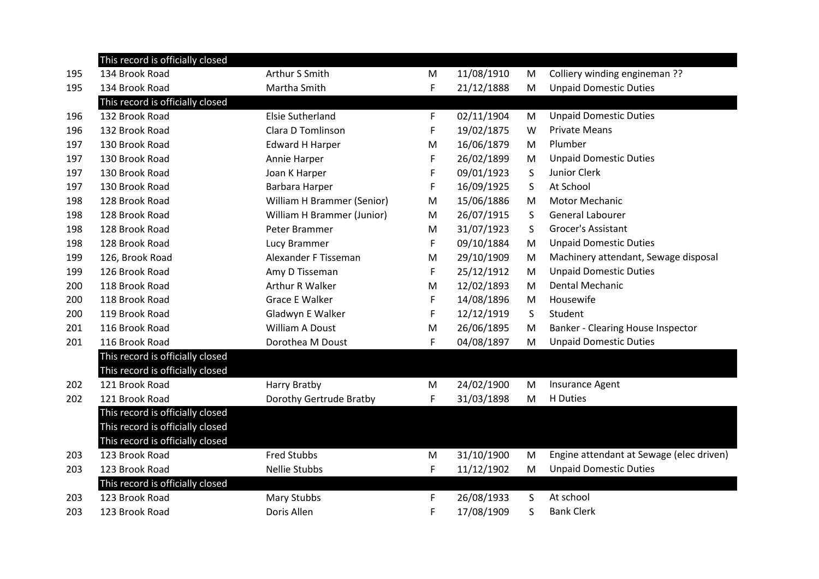|     | This record is officially closed |                            |    |            |   |                                          |
|-----|----------------------------------|----------------------------|----|------------|---|------------------------------------------|
| 195 | 134 Brook Road                   | Arthur S Smith             | M  | 11/08/1910 | M | Colliery winding engineman ??            |
| 195 | 134 Brook Road                   | Martha Smith               | F. | 21/12/1888 | M | <b>Unpaid Domestic Duties</b>            |
|     | This record is officially closed |                            |    |            |   |                                          |
| 196 | 132 Brook Road                   | <b>Elsie Sutherland</b>    | F  | 02/11/1904 | M | <b>Unpaid Domestic Duties</b>            |
| 196 | 132 Brook Road                   | Clara D Tomlinson          | F  | 19/02/1875 | W | <b>Private Means</b>                     |
| 197 | 130 Brook Road                   | <b>Edward H Harper</b>     | M  | 16/06/1879 | M | Plumber                                  |
| 197 | 130 Brook Road                   | Annie Harper               | F  | 26/02/1899 | M | <b>Unpaid Domestic Duties</b>            |
| 197 | 130 Brook Road                   | Joan K Harper              | F  | 09/01/1923 | S | Junior Clerk                             |
| 197 | 130 Brook Road                   | Barbara Harper             | F  | 16/09/1925 | S | At School                                |
| 198 | 128 Brook Road                   | William H Brammer (Senior) | M  | 15/06/1886 | M | <b>Motor Mechanic</b>                    |
| 198 | 128 Brook Road                   | William H Brammer (Junior) | M  | 26/07/1915 | S | General Labourer                         |
| 198 | 128 Brook Road                   | Peter Brammer              | M  | 31/07/1923 | S | Grocer's Assistant                       |
| 198 | 128 Brook Road                   | Lucy Brammer               | F  | 09/10/1884 | M | <b>Unpaid Domestic Duties</b>            |
| 199 | 126, Brook Road                  | Alexander F Tisseman       | M  | 29/10/1909 | M | Machinery attendant, Sewage disposal     |
| 199 | 126 Brook Road                   | Amy D Tisseman             | F  | 25/12/1912 | M | <b>Unpaid Domestic Duties</b>            |
| 200 | 118 Brook Road                   | Arthur R Walker            | М  | 12/02/1893 | M | Dental Mechanic                          |
| 200 | 118 Brook Road                   | <b>Grace E Walker</b>      | F  | 14/08/1896 | M | Housewife                                |
| 200 | 119 Brook Road                   | Gladwyn E Walker           | F  | 12/12/1919 | S | Student                                  |
| 201 | 116 Brook Road                   | William A Doust            | M  | 26/06/1895 | M | Banker - Clearing House Inspector        |
| 201 | 116 Brook Road                   | Dorothea M Doust           | F  | 04/08/1897 | M | <b>Unpaid Domestic Duties</b>            |
|     | This record is officially closed |                            |    |            |   |                                          |
|     | This record is officially closed |                            |    |            |   |                                          |
| 202 | 121 Brook Road                   | Harry Bratby               | M  | 24/02/1900 | M | Insurance Agent                          |
| 202 | 121 Brook Road                   | Dorothy Gertrude Bratby    | F  | 31/03/1898 | м | H Duties                                 |
|     | This record is officially closed |                            |    |            |   |                                          |
|     | This record is officially closed |                            |    |            |   |                                          |
|     | This record is officially closed |                            |    |            |   |                                          |
| 203 | 123 Brook Road                   | <b>Fred Stubbs</b>         | M  | 31/10/1900 | M | Engine attendant at Sewage (elec driven) |
| 203 | 123 Brook Road                   | <b>Nellie Stubbs</b>       | F  | 11/12/1902 | M | <b>Unpaid Domestic Duties</b>            |
|     | This record is officially closed |                            |    |            |   |                                          |
| 203 | 123 Brook Road                   | Mary Stubbs                | F  | 26/08/1933 | S | At school                                |
| 203 | 123 Brook Road                   | Doris Allen                | F  | 17/08/1909 | S | <b>Bank Clerk</b>                        |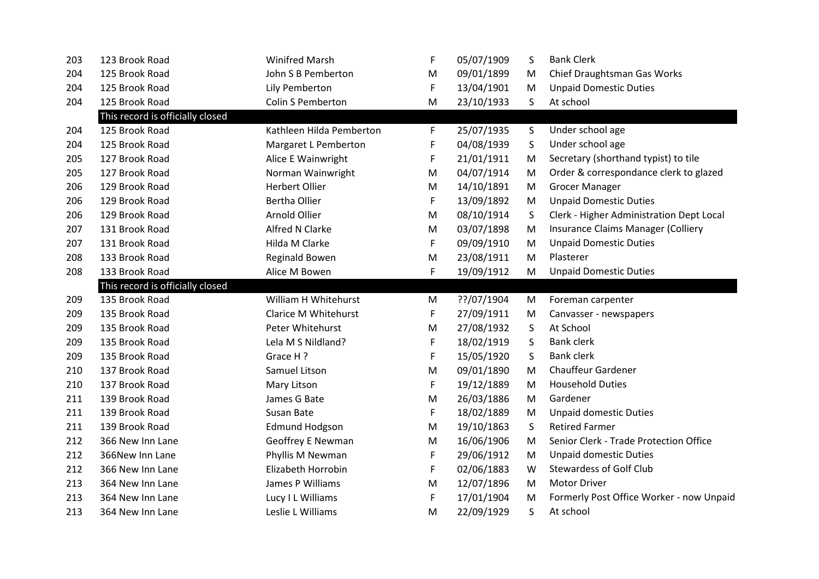| 203 | 123 Brook Road                   | <b>Winifred Marsh</b>       | F | 05/07/1909 | S  | <b>Bank Clerk</b>                        |
|-----|----------------------------------|-----------------------------|---|------------|----|------------------------------------------|
| 204 | 125 Brook Road                   | John S B Pemberton          | М | 09/01/1899 | M  | Chief Draughtsman Gas Works              |
| 204 | 125 Brook Road                   | Lily Pemberton              | F | 13/04/1901 | M  | <b>Unpaid Domestic Duties</b>            |
| 204 | 125 Brook Road                   | <b>Colin S Pemberton</b>    | M | 23/10/1933 | S. | At school                                |
|     | This record is officially closed |                             |   |            |    |                                          |
| 204 | 125 Brook Road                   | Kathleen Hilda Pemberton    | F | 25/07/1935 | S  | Under school age                         |
| 204 | 125 Brook Road                   | Margaret L Pemberton        | F | 04/08/1939 | S  | Under school age                         |
| 205 | 127 Brook Road                   | Alice E Wainwright          | F | 21/01/1911 | M  | Secretary (shorthand typist) to tile     |
| 205 | 127 Brook Road                   | Norman Wainwright           | M | 04/07/1914 | M  | Order & correspondance clerk to glazed   |
| 206 | 129 Brook Road                   | <b>Herbert Ollier</b>       | M | 14/10/1891 | M  | <b>Grocer Manager</b>                    |
| 206 | 129 Brook Road                   | <b>Bertha Ollier</b>        | F | 13/09/1892 | M  | <b>Unpaid Domestic Duties</b>            |
| 206 | 129 Brook Road                   | Arnold Ollier               | M | 08/10/1914 | S  | Clerk - Higher Administration Dept Local |
| 207 | 131 Brook Road                   | <b>Alfred N Clarke</b>      | M | 03/07/1898 | M  | Insurance Claims Manager (Colliery       |
| 207 | 131 Brook Road                   | Hilda M Clarke              | F | 09/09/1910 | M  | <b>Unpaid Domestic Duties</b>            |
| 208 | 133 Brook Road                   | <b>Reginald Bowen</b>       | M | 23/08/1911 | M  | Plasterer                                |
| 208 | 133 Brook Road                   | Alice M Bowen               | F | 19/09/1912 | M  | <b>Unpaid Domestic Duties</b>            |
|     |                                  |                             |   |            |    |                                          |
|     | This record is officially closed |                             |   |            |    |                                          |
| 209 | 135 Brook Road                   | William H Whitehurst        | M | ??/07/1904 | M  | Foreman carpenter                        |
| 209 | 135 Brook Road                   | <b>Clarice M Whitehurst</b> | F | 27/09/1911 | M  | Canvasser - newspapers                   |
| 209 | 135 Brook Road                   | Peter Whitehurst            | M | 27/08/1932 | S  | At School                                |
| 209 | 135 Brook Road                   | Lela M S Nildland?          | F | 18/02/1919 | S  | <b>Bank clerk</b>                        |
| 209 | 135 Brook Road                   | Grace H?                    | F | 15/05/1920 | S  | <b>Bank clerk</b>                        |
| 210 | 137 Brook Road                   | Samuel Litson               | M | 09/01/1890 | M  | <b>Chauffeur Gardener</b>                |
| 210 | 137 Brook Road                   | Mary Litson                 | F | 19/12/1889 | M  | <b>Household Duties</b>                  |
| 211 | 139 Brook Road                   | James G Bate                | M | 26/03/1886 | M  | Gardener                                 |
| 211 | 139 Brook Road                   | Susan Bate                  | F | 18/02/1889 | M  | <b>Unpaid domestic Duties</b>            |
| 211 | 139 Brook Road                   | <b>Edmund Hodgson</b>       | M | 19/10/1863 | S  | <b>Retired Farmer</b>                    |
| 212 | 366 New Inn Lane                 | <b>Geoffrey E Newman</b>    | M | 16/06/1906 | M  | Senior Clerk - Trade Protection Office   |
| 212 | 366New Inn Lane                  | Phyllis M Newman            | F | 29/06/1912 | M  | <b>Unpaid domestic Duties</b>            |
| 212 | 366 New Inn Lane                 | Elizabeth Horrobin          | F | 02/06/1883 | W  | <b>Stewardess of Golf Club</b>           |
| 213 | 364 New Inn Lane                 | James P Williams            | M | 12/07/1896 | M  | <b>Motor Driver</b>                      |
| 213 | 364 New Inn Lane                 | Lucy I L Williams           | F | 17/01/1904 | M  | Formerly Post Office Worker - now Unpaid |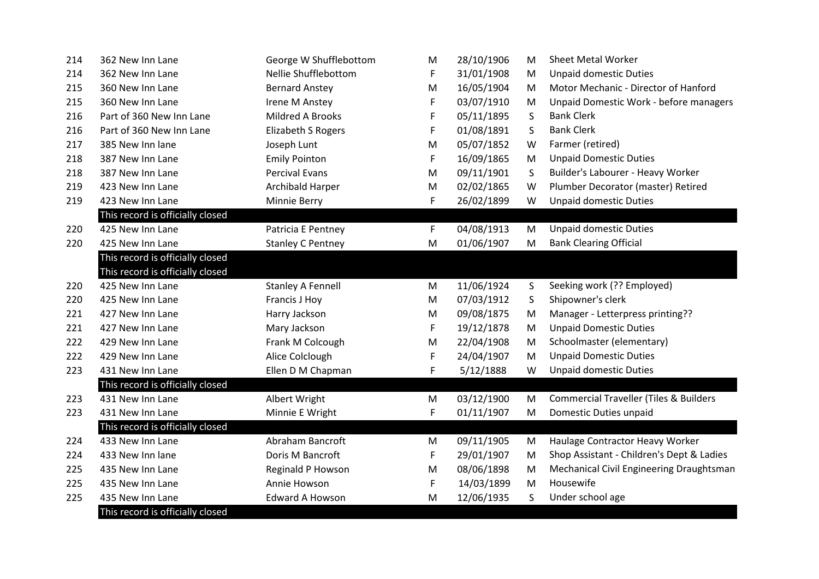| 214 | 362 New Inn Lane                 | George W Shufflebottom   | M | 28/10/1906 | M | <b>Sheet Metal Worker</b>                         |
|-----|----------------------------------|--------------------------|---|------------|---|---------------------------------------------------|
| 214 | 362 New Inn Lane                 | Nellie Shufflebottom     | F | 31/01/1908 | M | <b>Unpaid domestic Duties</b>                     |
| 215 | 360 New Inn Lane                 | <b>Bernard Anstey</b>    | M | 16/05/1904 | M | Motor Mechanic - Director of Hanford              |
| 215 | 360 New Inn Lane                 | Irene M Anstey           | F | 03/07/1910 | M | Unpaid Domestic Work - before managers            |
| 216 | Part of 360 New Inn Lane         | Mildred A Brooks         | F | 05/11/1895 | S | <b>Bank Clerk</b>                                 |
| 216 | Part of 360 New Inn Lane         | Elizabeth S Rogers       | F | 01/08/1891 | S | <b>Bank Clerk</b>                                 |
| 217 | 385 New Inn lane                 | Joseph Lunt              | M | 05/07/1852 | W | Farmer (retired)                                  |
| 218 | 387 New Inn Lane                 | <b>Emily Pointon</b>     | F | 16/09/1865 | M | <b>Unpaid Domestic Duties</b>                     |
| 218 | 387 New Inn Lane                 | <b>Percival Evans</b>    | M | 09/11/1901 | S | Builder's Labourer - Heavy Worker                 |
| 219 | 423 New Inn Lane                 | <b>Archibald Harper</b>  | M | 02/02/1865 | W | Plumber Decorator (master) Retired                |
| 219 | 423 New Inn Lane                 | Minnie Berry             | F | 26/02/1899 | W | <b>Unpaid domestic Duties</b>                     |
|     | This record is officially closed |                          |   |            |   |                                                   |
| 220 | 425 New Inn Lane                 | Patricia E Pentney       | F | 04/08/1913 | M | <b>Unpaid domestic Duties</b>                     |
| 220 | 425 New Inn Lane                 | <b>Stanley C Pentney</b> | M | 01/06/1907 | М | <b>Bank Clearing Official</b>                     |
|     | This record is officially closed |                          |   |            |   |                                                   |
|     | This record is officially closed |                          |   |            |   |                                                   |
| 220 | 425 New Inn Lane                 | <b>Stanley A Fennell</b> | M | 11/06/1924 | S | Seeking work (?? Employed)                        |
| 220 | 425 New Inn Lane                 | Francis J Hoy            | M | 07/03/1912 | S | Shipowner's clerk                                 |
| 221 | 427 New Inn Lane                 | Harry Jackson            | M | 09/08/1875 | M | Manager - Letterpress printing??                  |
| 221 | 427 New Inn Lane                 | Mary Jackson             | F | 19/12/1878 | M | <b>Unpaid Domestic Duties</b>                     |
| 222 | 429 New Inn Lane                 | Frank M Colcough         | M | 22/04/1908 | M | Schoolmaster (elementary)                         |
| 222 | 429 New Inn Lane                 | Alice Colclough          | F | 24/04/1907 | M | <b>Unpaid Domestic Duties</b>                     |
| 223 | 431 New Inn Lane                 | Ellen D M Chapman        | F | 5/12/1888  | W | <b>Unpaid domestic Duties</b>                     |
|     | This record is officially closed |                          |   |            |   |                                                   |
| 223 | 431 New Inn Lane                 | Albert Wright            | M | 03/12/1900 | M | <b>Commercial Traveller (Tiles &amp; Builders</b> |
| 223 | 431 New Inn Lane                 | Minnie E Wright          | F | 01/11/1907 | M | Domestic Duties unpaid                            |
|     | This record is officially closed |                          |   |            |   |                                                   |
| 224 | 433 New Inn Lane                 | Abraham Bancroft         | M | 09/11/1905 | M | Haulage Contractor Heavy Worker                   |
| 224 | 433 New Inn lane                 | Doris M Bancroft         | F | 29/01/1907 | M | Shop Assistant - Children's Dept & Ladies         |
| 225 | 435 New Inn Lane                 | Reginald P Howson        | M | 08/06/1898 | M | Mechanical Civil Engineering Draughtsman          |
| 225 | 435 New Inn Lane                 | Annie Howson             | F | 14/03/1899 | M | Housewife                                         |
| 225 | 435 New Inn Lane                 | <b>Edward A Howson</b>   | M | 12/06/1935 | S | Under school age                                  |
|     | This record is officially closed |                          |   |            |   |                                                   |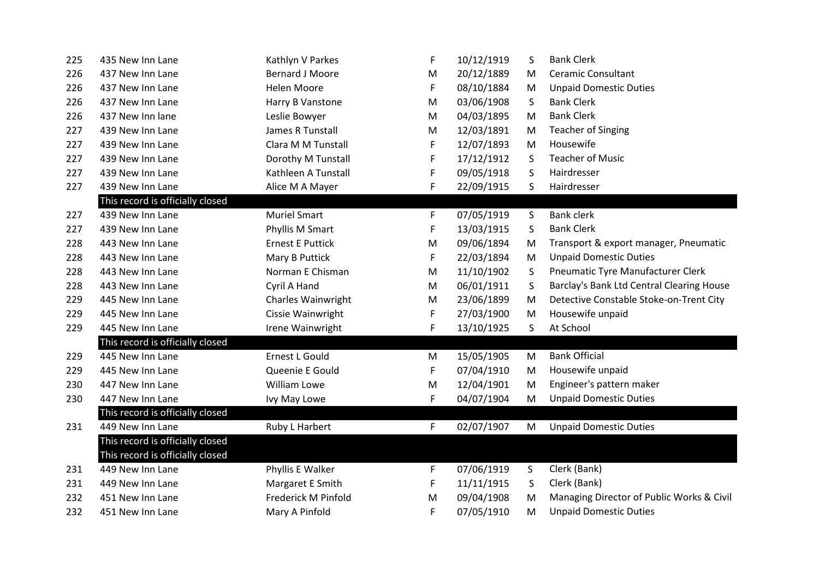| 225 | 435 New Inn Lane                 | Kathlyn V Parkes          | F  | 10/12/1919 | S  | <b>Bank Clerk</b>                         |  |
|-----|----------------------------------|---------------------------|----|------------|----|-------------------------------------------|--|
| 226 | 437 New Inn Lane                 | <b>Bernard J Moore</b>    | M  | 20/12/1889 | M  | <b>Ceramic Consultant</b>                 |  |
| 226 | 437 New Inn Lane                 | Helen Moore               | F  | 08/10/1884 | M  | <b>Unpaid Domestic Duties</b>             |  |
| 226 | 437 New Inn Lane                 | Harry B Vanstone          | M  | 03/06/1908 | S  | <b>Bank Clerk</b>                         |  |
| 226 | 437 New Inn lane                 | Leslie Bowyer             | M  | 04/03/1895 | M  | <b>Bank Clerk</b>                         |  |
| 227 | 439 New Inn Lane                 | James R Tunstall          | M  | 12/03/1891 | M  | <b>Teacher of Singing</b>                 |  |
| 227 | 439 New Inn Lane                 | Clara M M Tunstall        | F  | 12/07/1893 | M  | Housewife                                 |  |
| 227 | 439 New Inn Lane                 | Dorothy M Tunstall        | F  | 17/12/1912 | S  | <b>Teacher of Music</b>                   |  |
| 227 | 439 New Inn Lane                 | Kathleen A Tunstall       | F  | 09/05/1918 | S  | Hairdresser                               |  |
| 227 | 439 New Inn Lane                 | Alice M A Mayer           | F  | 22/09/1915 | S. | Hairdresser                               |  |
|     | This record is officially closed |                           |    |            |    |                                           |  |
| 227 | 439 New Inn Lane                 | <b>Muriel Smart</b>       | F  | 07/05/1919 | S  | <b>Bank clerk</b>                         |  |
| 227 | 439 New Inn Lane                 | Phyllis M Smart           | F  | 13/03/1915 | S  | <b>Bank Clerk</b>                         |  |
| 228 | 443 New Inn Lane                 | <b>Ernest E Puttick</b>   | M  | 09/06/1894 | M  | Transport & export manager, Pneumatic     |  |
| 228 | 443 New Inn Lane                 | Mary B Puttick            | F  | 22/03/1894 | M  | <b>Unpaid Domestic Duties</b>             |  |
| 228 | 443 New Inn Lane                 | Norman E Chisman          | M  | 11/10/1902 | S  | Pneumatic Tyre Manufacturer Clerk         |  |
| 228 | 443 New Inn Lane                 | Cyril A Hand              | M  | 06/01/1911 | S  | Barclay's Bank Ltd Central Clearing House |  |
| 229 | 445 New Inn Lane                 | <b>Charles Wainwright</b> | M  | 23/06/1899 | M  | Detective Constable Stoke-on-Trent City   |  |
| 229 | 445 New Inn Lane                 | Cissie Wainwright         | F  | 27/03/1900 | M  | Housewife unpaid                          |  |
| 229 | 445 New Inn Lane                 | Irene Wainwright          | F  | 13/10/1925 | S  | At School                                 |  |
|     | This record is officially closed |                           |    |            |    |                                           |  |
| 229 | 445 New Inn Lane                 | Ernest L Gould            | M  | 15/05/1905 | M  | <b>Bank Official</b>                      |  |
| 229 | 445 New Inn Lane                 | Queenie E Gould           | F  | 07/04/1910 | M  | Housewife unpaid                          |  |
| 230 | 447 New Inn Lane                 | William Lowe              | M  | 12/04/1901 | M  | Engineer's pattern maker                  |  |
| 230 | 447 New Inn Lane                 | Ivy May Lowe              | F. | 04/07/1904 | M  | <b>Unpaid Domestic Duties</b>             |  |
|     | This record is officially closed |                           |    |            |    |                                           |  |
| 231 | 449 New Inn Lane                 | Ruby L Harbert            | F  | 02/07/1907 | M  | <b>Unpaid Domestic Duties</b>             |  |
|     | This record is officially closed |                           |    |            |    |                                           |  |
|     | This record is officially closed |                           |    |            |    |                                           |  |
| 231 | 449 New Inn Lane                 | Phyllis E Walker          | F  | 07/06/1919 | S  | Clerk (Bank)                              |  |
| 231 | 449 New Inn Lane                 | Margaret E Smith          | F  | 11/11/1915 | S  | Clerk (Bank)                              |  |
| 232 | 451 New Inn Lane                 | Frederick M Pinfold       | M  | 09/04/1908 | M  | Managing Director of Public Works & Civil |  |
| 232 | 451 New Inn Lane                 | Mary A Pinfold            | F  | 07/05/1910 | М  | <b>Unpaid Domestic Duties</b>             |  |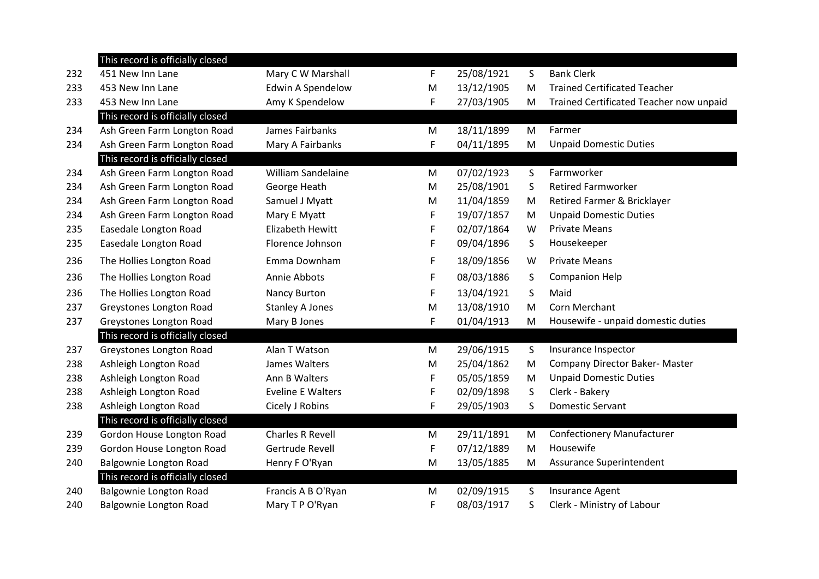|     | This record is officially closed |                           |   |            |    |                                         |  |
|-----|----------------------------------|---------------------------|---|------------|----|-----------------------------------------|--|
| 232 | 451 New Inn Lane                 | Mary C W Marshall         | F | 25/08/1921 | S  | <b>Bank Clerk</b>                       |  |
| 233 | 453 New Inn Lane                 | Edwin A Spendelow         | M | 13/12/1905 | M  | <b>Trained Certificated Teacher</b>     |  |
| 233 | 453 New Inn Lane                 | Amy K Spendelow           | F | 27/03/1905 | M  | Trained Certificated Teacher now unpaid |  |
|     | This record is officially closed |                           |   |            |    |                                         |  |
| 234 | Ash Green Farm Longton Road      | James Fairbanks           | M | 18/11/1899 | M  | Farmer                                  |  |
| 234 | Ash Green Farm Longton Road      | Mary A Fairbanks          | F | 04/11/1895 | M  | <b>Unpaid Domestic Duties</b>           |  |
|     | This record is officially closed |                           |   |            |    |                                         |  |
| 234 | Ash Green Farm Longton Road      | <b>William Sandelaine</b> | M | 07/02/1923 | S. | Farmworker                              |  |
| 234 | Ash Green Farm Longton Road      | George Heath              | M | 25/08/1901 | S  | <b>Retired Farmworker</b>               |  |
| 234 | Ash Green Farm Longton Road      | Samuel J Myatt            | M | 11/04/1859 | M  | Retired Farmer & Bricklayer             |  |
| 234 | Ash Green Farm Longton Road      | Mary E Myatt              | F | 19/07/1857 | M  | <b>Unpaid Domestic Duties</b>           |  |
| 235 | Easedale Longton Road            | <b>Elizabeth Hewitt</b>   | F | 02/07/1864 | W  | <b>Private Means</b>                    |  |
| 235 | Easedale Longton Road            | Florence Johnson          | F | 09/04/1896 | S  | Housekeeper                             |  |
| 236 | The Hollies Longton Road         | Emma Downham              | F | 18/09/1856 | W  | <b>Private Means</b>                    |  |
| 236 | The Hollies Longton Road         | Annie Abbots              | F | 08/03/1886 | S  | <b>Companion Help</b>                   |  |
| 236 | The Hollies Longton Road         | Nancy Burton              | F | 13/04/1921 | S  | Maid                                    |  |
| 237 | Greystones Longton Road          | <b>Stanley A Jones</b>    | M | 13/08/1910 | M  | Corn Merchant                           |  |
| 237 | Greystones Longton Road          | Mary B Jones              | F | 01/04/1913 | M  | Housewife - unpaid domestic duties      |  |
|     | This record is officially closed |                           |   |            |    |                                         |  |
| 237 | Greystones Longton Road          | Alan T Watson             | M | 29/06/1915 | S  | Insurance Inspector                     |  |
| 238 | Ashleigh Longton Road            | James Walters             | M | 25/04/1862 | M  | Company Director Baker- Master          |  |
| 238 | Ashleigh Longton Road            | Ann B Walters             | F | 05/05/1859 | M  | <b>Unpaid Domestic Duties</b>           |  |
| 238 | Ashleigh Longton Road            | <b>Eveline E Walters</b>  | F | 02/09/1898 | S  | Clerk - Bakery                          |  |
| 238 | Ashleigh Longton Road            | Cicely J Robins           | F | 29/05/1903 | S  | <b>Domestic Servant</b>                 |  |
|     | This record is officially closed |                           |   |            |    |                                         |  |
| 239 | Gordon House Longton Road        | <b>Charles R Revell</b>   | M | 29/11/1891 | M  | <b>Confectionery Manufacturer</b>       |  |
| 239 | Gordon House Longton Road        | Gertrude Revell           | F | 07/12/1889 | M  | Housewife                               |  |
| 240 | Balgownie Longton Road           | Henry F O'Ryan            | M | 13/05/1885 | M  | Assurance Superintendent                |  |
|     | This record is officially closed |                           |   |            |    |                                         |  |
| 240 | Balgownie Longton Road           | Francis A B O'Ryan        | М | 02/09/1915 | S  | <b>Insurance Agent</b>                  |  |
| 240 | Balgownie Longton Road           | Mary T P O'Ryan           | F | 08/03/1917 | S  | Clerk - Ministry of Labour              |  |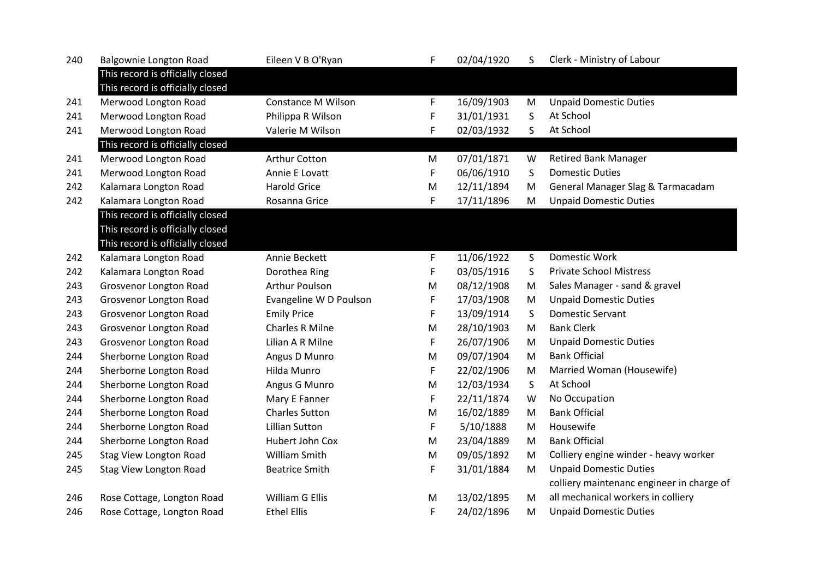| 240 | Balgownie Longton Road                                               | Eileen V B O'Ryan         | F | 02/04/1920 | S. | Clerk - Ministry of Labour                |
|-----|----------------------------------------------------------------------|---------------------------|---|------------|----|-------------------------------------------|
|     | This record is officially closed<br>This record is officially closed |                           |   |            |    |                                           |
| 241 | Merwood Longton Road                                                 | <b>Constance M Wilson</b> | F | 16/09/1903 | M  | <b>Unpaid Domestic Duties</b>             |
| 241 | Merwood Longton Road                                                 | Philippa R Wilson         | F | 31/01/1931 | S  | At School                                 |
| 241 | Merwood Longton Road                                                 | Valerie M Wilson          | F | 02/03/1932 | S  | At School                                 |
|     | This record is officially closed                                     |                           |   |            |    |                                           |
| 241 | Merwood Longton Road                                                 | Arthur Cotton             | M | 07/01/1871 | W  | <b>Retired Bank Manager</b>               |
| 241 | Merwood Longton Road                                                 | Annie E Lovatt            | F | 06/06/1910 | S  | <b>Domestic Duties</b>                    |
| 242 | Kalamara Longton Road                                                | <b>Harold Grice</b>       | M | 12/11/1894 | M  | General Manager Slag & Tarmacadam         |
| 242 | Kalamara Longton Road                                                | Rosanna Grice             | F | 17/11/1896 | M  | <b>Unpaid Domestic Duties</b>             |
|     | This record is officially closed                                     |                           |   |            |    |                                           |
|     | This record is officially closed                                     |                           |   |            |    |                                           |
|     | This record is officially closed                                     |                           |   |            |    |                                           |
| 242 | Kalamara Longton Road                                                | Annie Beckett             | F | 11/06/1922 | S  | Domestic Work                             |
| 242 | Kalamara Longton Road                                                | Dorothea Ring             | F | 03/05/1916 | S  | <b>Private School Mistress</b>            |
| 243 | Grosvenor Longton Road                                               | <b>Arthur Poulson</b>     | M | 08/12/1908 | M  | Sales Manager - sand & gravel             |
| 243 | Grosvenor Longton Road                                               | Evangeline W D Poulson    | F | 17/03/1908 | M  | <b>Unpaid Domestic Duties</b>             |
| 243 | Grosvenor Longton Road                                               | <b>Emily Price</b>        | F | 13/09/1914 | S  | <b>Domestic Servant</b>                   |
| 243 | Grosvenor Longton Road                                               | <b>Charles R Milne</b>    | M | 28/10/1903 | M  | <b>Bank Clerk</b>                         |
| 243 | Grosvenor Longton Road                                               | Lilian A R Milne          | F | 26/07/1906 | M  | <b>Unpaid Domestic Duties</b>             |
| 244 | Sherborne Longton Road                                               | Angus D Munro             | M | 09/07/1904 | M  | <b>Bank Official</b>                      |
| 244 | Sherborne Longton Road                                               | Hilda Munro               | F | 22/02/1906 | M  | Married Woman (Housewife)                 |
| 244 | Sherborne Longton Road                                               | Angus G Munro             | M | 12/03/1934 | S. | At School                                 |
| 244 | Sherborne Longton Road                                               | Mary E Fanner             | F | 22/11/1874 | W  | No Occupation                             |
| 244 | Sherborne Longton Road                                               | <b>Charles Sutton</b>     | M | 16/02/1889 | M  | <b>Bank Official</b>                      |
| 244 | Sherborne Longton Road                                               | <b>Lillian Sutton</b>     | F | 5/10/1888  | M  | Housewife                                 |
| 244 | Sherborne Longton Road                                               | Hubert John Cox           | M | 23/04/1889 | M  | <b>Bank Official</b>                      |
| 245 | <b>Stag View Longton Road</b>                                        | William Smith             | M | 09/05/1892 | M  | Colliery engine winder - heavy worker     |
| 245 | <b>Stag View Longton Road</b>                                        | <b>Beatrice Smith</b>     | F | 31/01/1884 | M  | <b>Unpaid Domestic Duties</b>             |
|     |                                                                      |                           |   |            |    | colliery maintenanc engineer in charge of |
| 246 | Rose Cottage, Longton Road                                           | William G Ellis           | M | 13/02/1895 | M  | all mechanical workers in colliery        |
| 246 | Rose Cottage, Longton Road                                           | <b>Ethel Ellis</b>        | F | 24/02/1896 | M  | <b>Unpaid Domestic Duties</b>             |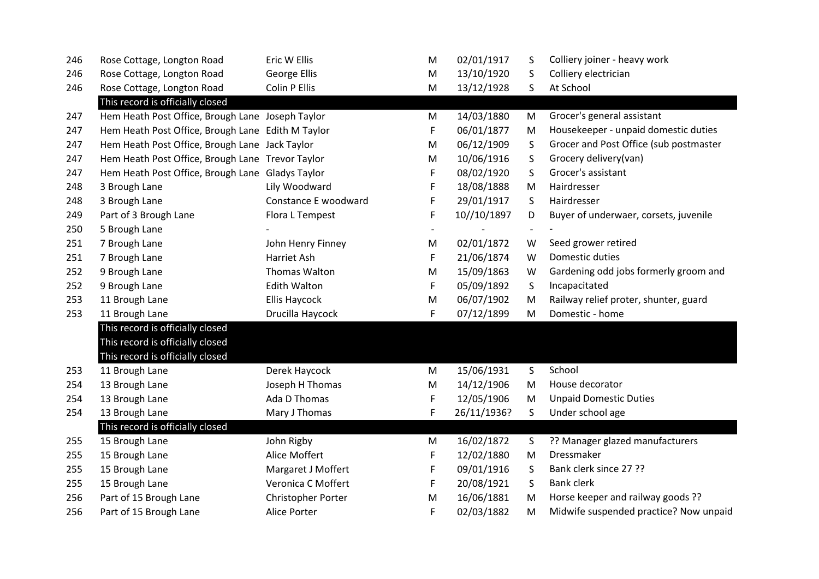| 246 | Rose Cottage, Longton Road                        | Eric W Ellis         | M | 02/01/1917  | S                        | Colliery joiner - heavy work           |
|-----|---------------------------------------------------|----------------------|---|-------------|--------------------------|----------------------------------------|
| 246 | Rose Cottage, Longton Road                        | <b>George Ellis</b>  | M | 13/10/1920  | S                        | Colliery electrician                   |
| 246 | Rose Cottage, Longton Road                        | Colin P Ellis        | M | 13/12/1928  | S                        | At School                              |
|     | This record is officially closed                  |                      |   |             |                          |                                        |
| 247 | Hem Heath Post Office, Brough Lane Joseph Taylor  |                      | M | 14/03/1880  | M                        | Grocer's general assistant             |
| 247 | Hem Heath Post Office, Brough Lane Edith M Taylor |                      | F | 06/01/1877  | M                        | Housekeeper - unpaid domestic duties   |
| 247 | Hem Heath Post Office, Brough Lane Jack Taylor    |                      | M | 06/12/1909  | S                        | Grocer and Post Office (sub postmaster |
| 247 | Hem Heath Post Office, Brough Lane Trevor Taylor  |                      | M | 10/06/1916  | S                        | Grocery delivery(van)                  |
| 247 | Hem Heath Post Office, Brough Lane Gladys Taylor  |                      | F | 08/02/1920  | S                        | Grocer's assistant                     |
| 248 | 3 Brough Lane                                     | Lily Woodward        | F | 18/08/1888  | M                        | Hairdresser                            |
| 248 | 3 Brough Lane                                     | Constance E woodward | F | 29/01/1917  | S                        | Hairdresser                            |
| 249 | Part of 3 Brough Lane                             | Flora L Tempest      | F | 10//10/1897 | D                        | Buyer of underwaer, corsets, juvenile  |
| 250 | 5 Brough Lane                                     |                      |   |             | $\overline{\phantom{a}}$ |                                        |
| 251 | 7 Brough Lane                                     | John Henry Finney    | M | 02/01/1872  | W                        | Seed grower retired                    |
| 251 | 7 Brough Lane                                     | Harriet Ash          | F | 21/06/1874  | W                        | Domestic duties                        |
| 252 | 9 Brough Lane                                     | Thomas Walton        | M | 15/09/1863  | W                        | Gardening odd jobs formerly groom and  |
| 252 | 9 Brough Lane                                     | <b>Edith Walton</b>  | F | 05/09/1892  | S                        | Incapacitated                          |
| 253 | 11 Brough Lane                                    | <b>Ellis Haycock</b> | M | 06/07/1902  | M                        | Railway relief proter, shunter, guard  |
| 253 | 11 Brough Lane                                    | Drucilla Haycock     | F | 07/12/1899  | M                        | Domestic - home                        |
|     | This record is officially closed                  |                      |   |             |                          |                                        |
|     | This record is officially closed                  |                      |   |             |                          |                                        |
|     | This record is officially closed                  |                      |   |             |                          |                                        |
| 253 | 11 Brough Lane                                    | Derek Haycock        | M | 15/06/1931  | S                        | School                                 |
| 254 | 13 Brough Lane                                    | Joseph H Thomas      | M | 14/12/1906  | M                        | House decorator                        |
| 254 | 13 Brough Lane                                    | Ada D Thomas         | F | 12/05/1906  | M                        | <b>Unpaid Domestic Duties</b>          |
| 254 | 13 Brough Lane                                    | Mary J Thomas        | F | 26/11/1936? | S                        | Under school age                       |
|     | This record is officially closed                  |                      |   |             |                          |                                        |
| 255 | 15 Brough Lane                                    | John Rigby           | M | 16/02/1872  | S                        | ?? Manager glazed manufacturers        |
| 255 | 15 Brough Lane                                    | Alice Moffert        | F | 12/02/1880  | M                        | Dressmaker                             |
| 255 | 15 Brough Lane                                    | Margaret J Moffert   | F | 09/01/1916  | S                        | Bank clerk since 27 ??                 |
| 255 | 15 Brough Lane                                    | Veronica C Moffert   | F | 20/08/1921  | S                        | <b>Bank clerk</b>                      |
| 256 | Part of 15 Brough Lane                            | Christopher Porter   | M | 16/06/1881  | M                        | Horse keeper and railway goods ??      |
| 256 | Part of 15 Brough Lane                            | <b>Alice Porter</b>  | F | 02/03/1882  | M                        | Midwife suspended practice? Now unpaid |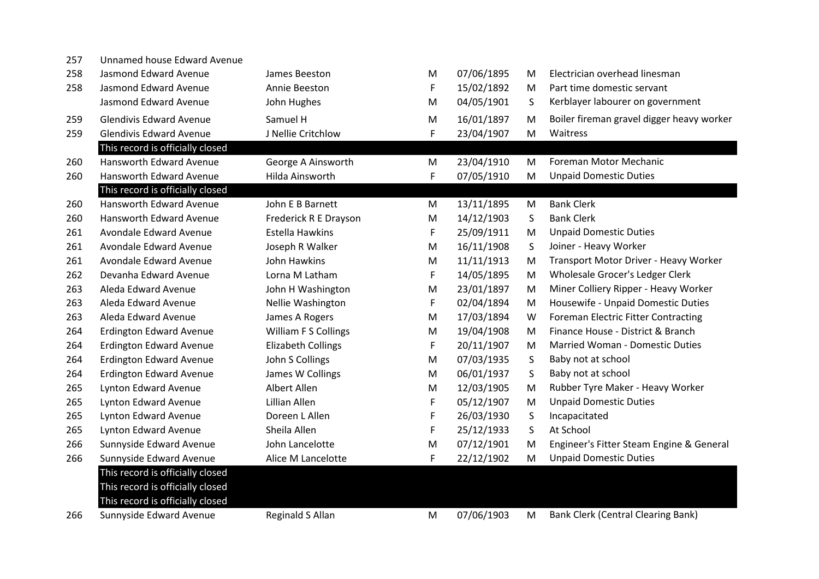| 257 | Unnamed house Edward Avenue      |                           |   |            |   |                                            |
|-----|----------------------------------|---------------------------|---|------------|---|--------------------------------------------|
| 258 | Jasmond Edward Avenue            | James Beeston             | М | 07/06/1895 | М | Electrician overhead linesman              |
| 258 | Jasmond Edward Avenue            | Annie Beeston             | F | 15/02/1892 | M | Part time domestic servant                 |
|     | Jasmond Edward Avenue            | John Hughes               | M | 04/05/1901 | S | Kerblayer labourer on government           |
| 259 | <b>Glendivis Edward Avenue</b>   | Samuel H                  | M | 16/01/1897 | M | Boiler fireman gravel digger heavy worker  |
| 259 | <b>Glendivis Edward Avenue</b>   | J Nellie Critchlow        | F | 23/04/1907 | M | Waitress                                   |
|     | This record is officially closed |                           |   |            |   |                                            |
| 260 | <b>Hansworth Edward Avenue</b>   | George A Ainsworth        | M | 23/04/1910 | M | <b>Foreman Motor Mechanic</b>              |
| 260 | Hansworth Edward Avenue          | Hilda Ainsworth           | F | 07/05/1910 | M | <b>Unpaid Domestic Duties</b>              |
|     | This record is officially closed |                           |   |            |   |                                            |
| 260 | Hansworth Edward Avenue          | John E B Barnett          | M | 13/11/1895 | M | <b>Bank Clerk</b>                          |
| 260 | Hansworth Edward Avenue          | Frederick R E Drayson     | M | 14/12/1903 | S | <b>Bank Clerk</b>                          |
| 261 | Avondale Edward Avenue           | <b>Estella Hawkins</b>    | F | 25/09/1911 | M | <b>Unpaid Domestic Duties</b>              |
| 261 | Avondale Edward Avenue           | Joseph R Walker           | M | 16/11/1908 | S | Joiner - Heavy Worker                      |
| 261 | Avondale Edward Avenue           | John Hawkins              | M | 11/11/1913 | M | Transport Motor Driver - Heavy Worker      |
| 262 | Devanha Edward Avenue            | Lorna M Latham            | F | 14/05/1895 | M | Wholesale Grocer's Ledger Clerk            |
| 263 | Aleda Edward Avenue              | John H Washington         | M | 23/01/1897 | M | Miner Colliery Ripper - Heavy Worker       |
| 263 | Aleda Edward Avenue              | Nellie Washington         | F | 02/04/1894 | M | Housewife - Unpaid Domestic Duties         |
| 263 | Aleda Edward Avenue              | James A Rogers            | M | 17/03/1894 | W | <b>Foreman Electric Fitter Contracting</b> |
| 264 | <b>Erdington Edward Avenue</b>   | William F S Collings      | M | 19/04/1908 | М | Finance House - District & Branch          |
| 264 | <b>Erdington Edward Avenue</b>   | <b>Elizabeth Collings</b> | F | 20/11/1907 | M | Married Woman - Domestic Duties            |
| 264 | <b>Erdington Edward Avenue</b>   | John S Collings           | M | 07/03/1935 | S | Baby not at school                         |
| 264 | <b>Erdington Edward Avenue</b>   | James W Collings          | М | 06/01/1937 | S | Baby not at school                         |
| 265 | <b>Lynton Edward Avenue</b>      | Albert Allen              | М | 12/03/1905 | M | Rubber Tyre Maker - Heavy Worker           |
| 265 | Lynton Edward Avenue             | Lillian Allen             | F | 05/12/1907 | M | <b>Unpaid Domestic Duties</b>              |
| 265 | Lynton Edward Avenue             | Doreen L Allen            | F | 26/03/1930 | S | Incapacitated                              |
| 265 | Lynton Edward Avenue             | Sheila Allen              | F | 25/12/1933 | S | At School                                  |
| 266 | Sunnyside Edward Avenue          | John Lancelotte           | M | 07/12/1901 | M | Engineer's Fitter Steam Engine & General   |
| 266 | Sunnyside Edward Avenue          | Alice M Lancelotte        | F | 22/12/1902 | M | <b>Unpaid Domestic Duties</b>              |
|     | This record is officially closed |                           |   |            |   |                                            |
|     | This record is officially closed |                           |   |            |   |                                            |
|     | This record is officially closed |                           |   |            |   |                                            |
| 266 | Sunnyside Edward Avenue          | <b>Reginald S Allan</b>   | M | 07/06/1903 | М | <b>Bank Clerk (Central Clearing Bank)</b>  |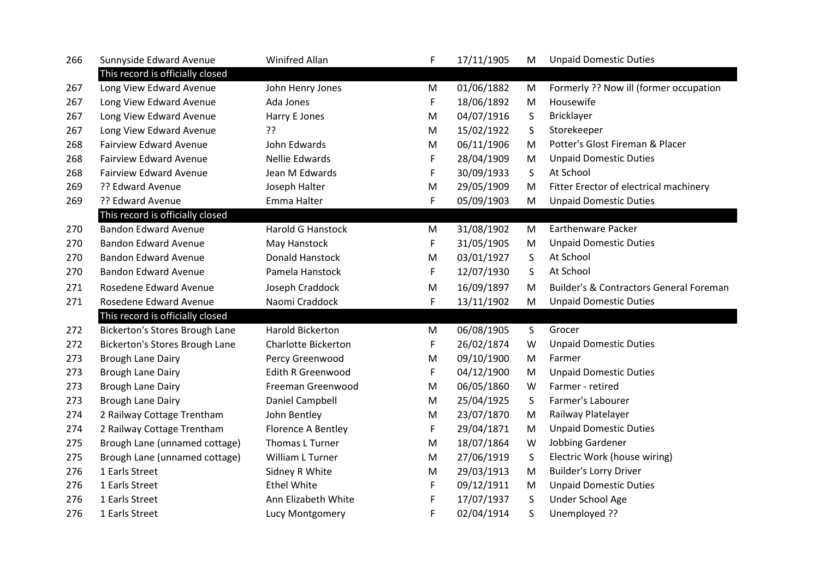| 266 | Sunnyside Edward Avenue          | Winifred Allan             | F  | 17/11/1905 | M         | <b>Unpaid Domestic Duties</b>           |
|-----|----------------------------------|----------------------------|----|------------|-----------|-----------------------------------------|
|     | This record is officially closed |                            |    |            |           |                                         |
| 267 | Long View Edward Avenue          | John Henry Jones           | M  | 01/06/1882 | M         | Formerly ?? Now ill (former occupation  |
| 267 | Long View Edward Avenue          | Ada Jones                  | F  | 18/06/1892 | M         | Housewife                               |
| 267 | Long View Edward Avenue          | Harry E Jones              | M  | 04/07/1916 | S         | <b>Bricklayer</b>                       |
| 267 | Long View Edward Avenue          | ??                         | M  | 15/02/1922 | S         | Storekeeper                             |
| 268 | <b>Fairview Edward Avenue</b>    | John Edwards               | M  | 06/11/1906 | M         | Potter's Glost Fireman & Placer         |
| 268 | <b>Fairview Edward Avenue</b>    | Nellie Edwards             | F  | 28/04/1909 | M         | <b>Unpaid Domestic Duties</b>           |
| 268 | <b>Fairview Edward Avenue</b>    | Jean M Edwards             | F  | 30/09/1933 | S         | At School                               |
| 269 | ?? Edward Avenue                 | Joseph Halter              | M  | 29/05/1909 | M         | Fitter Erector of electrical machinery  |
| 269 | ?? Edward Avenue                 | Emma Halter                | F  | 05/09/1903 | M         | <b>Unpaid Domestic Duties</b>           |
|     | This record is officially closed |                            |    |            |           |                                         |
| 270 | <b>Bandon Edward Avenue</b>      | <b>Harold G Hanstock</b>   | M  | 31/08/1902 | M         | <b>Earthenware Packer</b>               |
| 270 | <b>Bandon Edward Avenue</b>      | May Hanstock               | F  | 31/05/1905 | M         | <b>Unpaid Domestic Duties</b>           |
| 270 | <b>Bandon Edward Avenue</b>      | Donald Hanstock            | M  | 03/01/1927 | S         | At School                               |
| 270 | <b>Bandon Edward Avenue</b>      | Pamela Hanstock            | F. | 12/07/1930 | S.        | At School                               |
| 271 | Rosedene Edward Avenue           | Joseph Craddock            | M  | 16/09/1897 | M         | Builder's & Contractors General Foreman |
| 271 | Rosedene Edward Avenue           | Naomi Craddock             | F. | 13/11/1902 | M         | <b>Unpaid Domestic Duties</b>           |
|     | This record is officially closed |                            |    |            |           |                                         |
| 272 | Bickerton's Stores Brough Lane   | <b>Harold Bickerton</b>    | M  | 06/08/1905 | S         | Grocer                                  |
| 272 | Bickerton's Stores Brough Lane   | <b>Charlotte Bickerton</b> | F  | 26/02/1874 | W         | <b>Unpaid Domestic Duties</b>           |
| 273 | Brough Lane Dairy                | Percy Greenwood            | M  | 09/10/1900 | M         | Farmer                                  |
| 273 | <b>Brough Lane Dairy</b>         | <b>Edith R Greenwood</b>   | F  | 04/12/1900 | M         | <b>Unpaid Domestic Duties</b>           |
| 273 | Brough Lane Dairy                | Freeman Greenwood          | M  | 06/05/1860 | W         | Farmer - retired                        |
| 273 | <b>Brough Lane Dairy</b>         | Daniel Campbell            | M  | 25/04/1925 | S         | Farmer's Labourer                       |
| 274 | 2 Railway Cottage Trentham       | John Bentley               | M  | 23/07/1870 | M         | Railway Platelayer                      |
| 274 | 2 Railway Cottage Trentham       | Florence A Bentley         | F  | 29/04/1871 | M         | <b>Unpaid Domestic Duties</b>           |
| 275 | Brough Lane (unnamed cottage)    | Thomas L Turner            | M  | 18/07/1864 | W         | Jobbing Gardener                        |
| 275 | Brough Lane (unnamed cottage)    | William L Turner           | M  | 27/06/1919 | S         | Electric Work (house wiring)            |
| 276 | 1 Earls Street                   | Sidney R White             | M  | 29/03/1913 | ${\sf M}$ | <b>Builder's Lorry Driver</b>           |
| 276 | 1 Earls Street                   | <b>Ethel White</b>         | F. | 09/12/1911 | M         | <b>Unpaid Domestic Duties</b>           |
| 276 | 1 Earls Street                   | Ann Elizabeth White        | F  | 17/07/1937 | S         | Under School Age                        |
| 276 | 1 Earls Street                   | Lucy Montgomery            | F  | 02/04/1914 | S.        | Unemployed ??                           |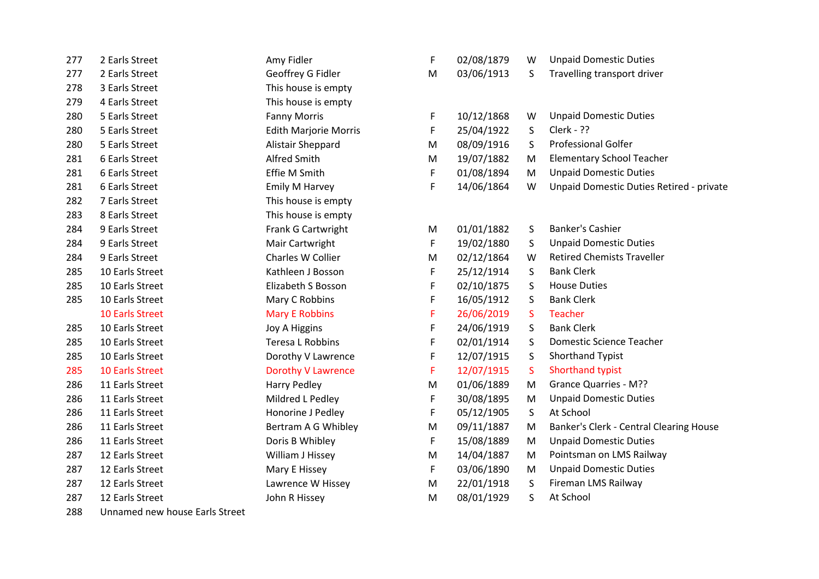| 277 | 2 Earls Street         | Amy Fidler                   | F | 02/08/1879 | W | <b>Unpaid Domestic Duties</b>            |
|-----|------------------------|------------------------------|---|------------|---|------------------------------------------|
| 277 | 2 Earls Street         | Geoffrey G Fidler            | M | 03/06/1913 | S | Travelling transport driver              |
| 278 | 3 Earls Street         | This house is empty          |   |            |   |                                          |
| 279 | 4 Earls Street         | This house is empty          |   |            |   |                                          |
| 280 | 5 Earls Street         | <b>Fanny Morris</b>          | F | 10/12/1868 | W | <b>Unpaid Domestic Duties</b>            |
| 280 | 5 Earls Street         | <b>Edith Marjorie Morris</b> | F | 25/04/1922 | S | Clerk - ??                               |
| 280 | 5 Earls Street         | Alistair Sheppard            | M | 08/09/1916 | S | <b>Professional Golfer</b>               |
| 281 | 6 Earls Street         | Alfred Smith                 | M | 19/07/1882 | M | <b>Elementary School Teacher</b>         |
| 281 | 6 Earls Street         | Effie M Smith                | F | 01/08/1894 | M | <b>Unpaid Domestic Duties</b>            |
| 281 | 6 Earls Street         | Emily M Harvey               | F | 14/06/1864 | W | Unpaid Domestic Duties Retired - private |
| 282 | 7 Earls Street         | This house is empty          |   |            |   |                                          |
| 283 | 8 Earls Street         | This house is empty          |   |            |   |                                          |
| 284 | 9 Earls Street         | Frank G Cartwright           | M | 01/01/1882 | S | <b>Banker's Cashier</b>                  |
| 284 | 9 Earls Street         | Mair Cartwright              | F | 19/02/1880 | S | <b>Unpaid Domestic Duties</b>            |
| 284 | 9 Earls Street         | Charles W Collier            | M | 02/12/1864 | W | <b>Retired Chemists Traveller</b>        |
| 285 | 10 Earls Street        | Kathleen J Bosson            | F | 25/12/1914 | S | <b>Bank Clerk</b>                        |
| 285 | 10 Earls Street        | Elizabeth S Bosson           | F | 02/10/1875 | S | <b>House Duties</b>                      |
| 285 | 10 Earls Street        | Mary C Robbins               | F | 16/05/1912 | S | <b>Bank Clerk</b>                        |
|     | <b>10 Earls Street</b> | <b>Mary E Robbins</b>        | F | 26/06/2019 | S | <b>Teacher</b>                           |
| 285 | 10 Earls Street        | <b>Joy A Higgins</b>         | F | 24/06/1919 | S | <b>Bank Clerk</b>                        |
| 285 | 10 Earls Street        | Teresa L Robbins             | F | 02/01/1914 | S | <b>Domestic Science Teacher</b>          |
| 285 | 10 Earls Street        | Dorothy V Lawrence           | F | 12/07/1915 | S | Shorthand Typist                         |
| 285 | <b>10 Earls Street</b> | <b>Dorothy V Lawrence</b>    | F | 12/07/1915 | S | Shorthand typist                         |
| 286 | 11 Earls Street        | <b>Harry Pedley</b>          | M | 01/06/1889 | M | <b>Grance Quarries - M??</b>             |
| 286 | 11 Earls Street        | Mildred L Pedley             | F | 30/08/1895 | M | <b>Unpaid Domestic Duties</b>            |
| 286 | 11 Earls Street        | Honorine J Pedley            | F | 05/12/1905 | S | At School                                |
| 286 | 11 Earls Street        | Bertram A G Whibley          | M | 09/11/1887 | M | Banker's Clerk - Central Clearing House  |
| 286 | 11 Earls Street        | Doris B Whibley              | F | 15/08/1889 | M | <b>Unpaid Domestic Duties</b>            |
| 287 | 12 Earls Street        | William J Hissey             | М | 14/04/1887 | M | Pointsman on LMS Railway                 |
| 287 | 12 Earls Street        | Mary E Hissey                | F | 03/06/1890 | M | <b>Unpaid Domestic Duties</b>            |
| 287 | 12 Earls Street        | Lawrence W Hissey            | M | 22/01/1918 | S | Fireman LMS Railway                      |
| 287 | 12 Earls Street        | John R Hissey                | M | 08/01/1929 | S | At School                                |

Unnamed new house Earls Street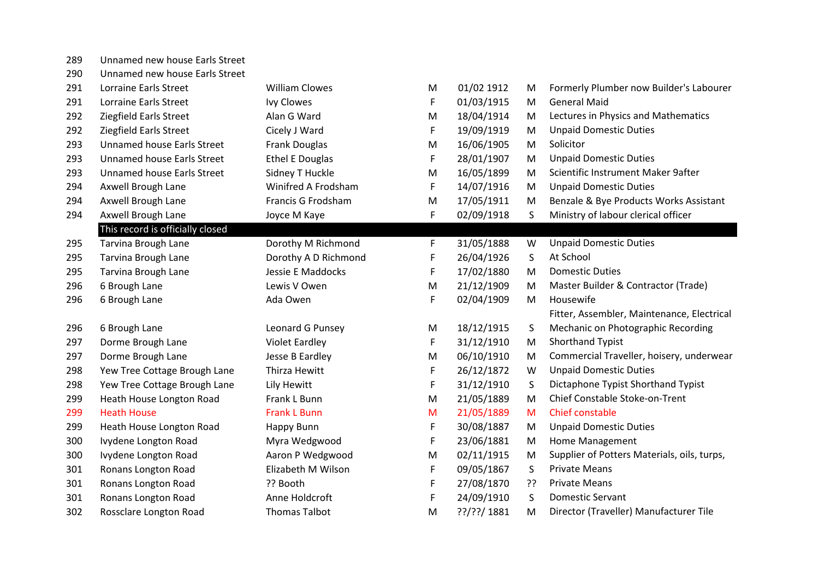| 289 | Unnamed new house Earls Street |  |  |  |
|-----|--------------------------------|--|--|--|
|-----|--------------------------------|--|--|--|

Unnamed new house Earls Street

| 291 | Lorraine Earls Street             | <b>William Clowes</b>  | M | 01/02 1912  | M  | Formerly Plumber now Builder's Labourer     |
|-----|-----------------------------------|------------------------|---|-------------|----|---------------------------------------------|
| 291 | Lorraine Earls Street             | Ivy Clowes             | F | 01/03/1915  | M  | <b>General Maid</b>                         |
| 292 | Ziegfield Earls Street            | Alan G Ward            | M | 18/04/1914  | M  | Lectures in Physics and Mathematics         |
| 292 | Ziegfield Earls Street            | Cicely J Ward          | F | 19/09/1919  | M  | <b>Unpaid Domestic Duties</b>               |
| 293 | <b>Unnamed house Earls Street</b> | <b>Frank Douglas</b>   | M | 16/06/1905  | M  | Solicitor                                   |
| 293 | <b>Unnamed house Earls Street</b> | <b>Ethel E Douglas</b> | F | 28/01/1907  | M  | <b>Unpaid Domestic Duties</b>               |
| 293 | <b>Unnamed house Earls Street</b> | Sidney T Huckle        | M | 16/05/1899  | M  | Scientific Instrument Maker 9after          |
| 294 | Axwell Brough Lane                | Winifred A Frodsham    | F | 14/07/1916  | M  | <b>Unpaid Domestic Duties</b>               |
| 294 | Axwell Brough Lane                | Francis G Frodsham     | M | 17/05/1911  | M  | Benzale & Bye Products Works Assistant      |
| 294 | Axwell Brough Lane                | Joyce M Kaye           | F | 02/09/1918  | S  | Ministry of labour clerical officer         |
|     | This record is officially closed  |                        |   |             |    |                                             |
| 295 | Tarvina Brough Lane               | Dorothy M Richmond     | F | 31/05/1888  | W  | <b>Unpaid Domestic Duties</b>               |
| 295 | Tarvina Brough Lane               | Dorothy A D Richmond   | F | 26/04/1926  | S  | At School                                   |
| 295 | Tarvina Brough Lane               | Jessie E Maddocks      | F | 17/02/1880  | M  | <b>Domestic Duties</b>                      |
| 296 | 6 Brough Lane                     | Lewis V Owen           | M | 21/12/1909  | M  | Master Builder & Contractor (Trade)         |
| 296 | 6 Brough Lane                     | Ada Owen               | F | 02/04/1909  | M  | Housewife                                   |
|     |                                   |                        |   |             |    | Fitter, Assembler, Maintenance, Electrical  |
| 296 | 6 Brough Lane                     | Leonard G Punsey       | M | 18/12/1915  | S  | Mechanic on Photographic Recording          |
| 297 | Dorme Brough Lane                 | <b>Violet Eardley</b>  | F | 31/12/1910  | M  | <b>Shorthand Typist</b>                     |
| 297 | Dorme Brough Lane                 | Jesse B Eardley        | M | 06/10/1910  | M  | Commercial Traveller, hoisery, underwear    |
| 298 | Yew Tree Cottage Brough Lane      | Thirza Hewitt          | F | 26/12/1872  | W  | <b>Unpaid Domestic Duties</b>               |
| 298 | Yew Tree Cottage Brough Lane      | Lily Hewitt            | F | 31/12/1910  | S  | Dictaphone Typist Shorthand Typist          |
| 299 | Heath House Longton Road          | Frank L Bunn           | M | 21/05/1889  | M  | Chief Constable Stoke-on-Trent              |
| 299 | <b>Heath House</b>                | <b>Frank L Bunn</b>    | M | 21/05/1889  | M  | Chief constable                             |
| 299 | Heath House Longton Road          | Happy Bunn             | F | 30/08/1887  | M  | <b>Unpaid Domestic Duties</b>               |
| 300 | Ivydene Longton Road              | Myra Wedgwood          | F | 23/06/1881  | M  | Home Management                             |
| 300 | Ivydene Longton Road              | Aaron P Wedgwood       | M | 02/11/1915  | M  | Supplier of Potters Materials, oils, turps, |
| 301 | Ronans Longton Road               | Elizabeth M Wilson     | F | 09/05/1867  | S  | <b>Private Means</b>                        |
| 301 | Ronans Longton Road               | ?? Booth               | F | 27/08/1870  | ?? | <b>Private Means</b>                        |
| 301 | Ronans Longton Road               | Anne Holdcroft         | F | 24/09/1910  | S  | <b>Domestic Servant</b>                     |
| 302 | Rossclare Longton Road            | <b>Thomas Talbot</b>   | M | ??/??/ 1881 | M  | Director (Traveller) Manufacturer Tile      |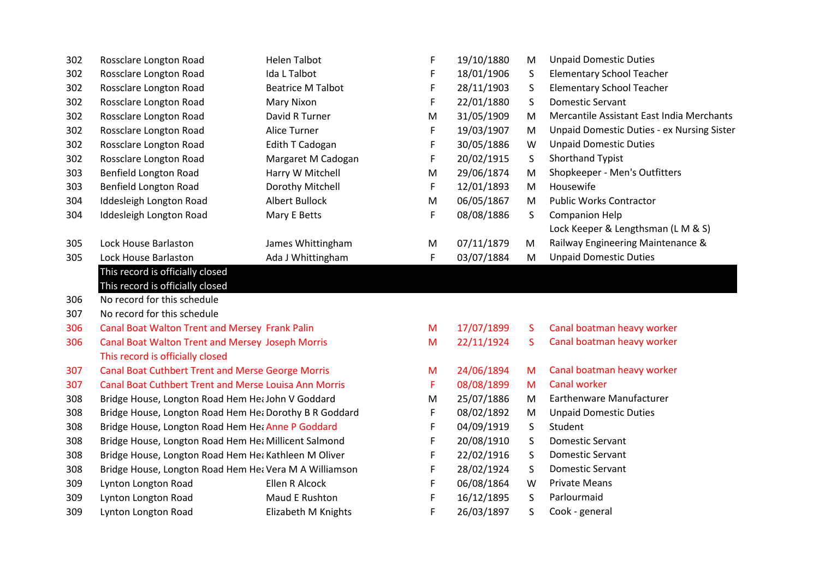| 302 | Rossclare Longton Road                                       | <b>Helen Talbot</b>      | F | 19/10/1880 | М            | <b>Unpaid Domestic Duties</b>                     |
|-----|--------------------------------------------------------------|--------------------------|---|------------|--------------|---------------------------------------------------|
| 302 | Rossclare Longton Road                                       | Ida L Talbot             | F | 18/01/1906 | S            | <b>Elementary School Teacher</b>                  |
| 302 | Rossclare Longton Road                                       | <b>Beatrice M Talbot</b> | F | 28/11/1903 | S            | <b>Elementary School Teacher</b>                  |
| 302 | Rossclare Longton Road                                       | <b>Mary Nixon</b>        | F | 22/01/1880 | S            | <b>Domestic Servant</b>                           |
| 302 | Rossclare Longton Road                                       | David R Turner           | M | 31/05/1909 | M            | Mercantile Assistant East India Merchants         |
| 302 | Rossclare Longton Road                                       | Alice Turner             | F | 19/03/1907 | M            | <b>Unpaid Domestic Duties - ex Nursing Sister</b> |
| 302 | Rossclare Longton Road                                       | Edith T Cadogan          | F | 30/05/1886 | W            | <b>Unpaid Domestic Duties</b>                     |
| 302 | Rossclare Longton Road                                       | Margaret M Cadogan       | F | 20/02/1915 | S.           | Shorthand Typist                                  |
| 303 | <b>Benfield Longton Road</b>                                 | Harry W Mitchell         | M | 29/06/1874 | M            | Shopkeeper - Men's Outfitters                     |
| 303 | <b>Benfield Longton Road</b>                                 | Dorothy Mitchell         | F | 12/01/1893 | М            | Housewife                                         |
| 304 | Iddesleigh Longton Road                                      | <b>Albert Bullock</b>    | M | 06/05/1867 | М            | <b>Public Works Contractor</b>                    |
| 304 | Iddesleigh Longton Road                                      | Mary E Betts             | F | 08/08/1886 | S            | <b>Companion Help</b>                             |
|     |                                                              |                          |   |            |              | Lock Keeper & Lengthsman (L M & S)                |
| 305 | Lock House Barlaston                                         | James Whittingham        | M | 07/11/1879 | M            | Railway Engineering Maintenance &                 |
| 305 | Lock House Barlaston                                         | Ada J Whittingham        | F | 03/07/1884 | м            | <b>Unpaid Domestic Duties</b>                     |
|     | This record is officially closed                             |                          |   |            |              |                                                   |
|     | This record is officially closed                             |                          |   |            |              |                                                   |
| 306 | No record for this schedule                                  |                          |   |            |              |                                                   |
| 307 | No record for this schedule                                  |                          |   |            |              |                                                   |
| 306 | <b>Canal Boat Walton Trent and Mersey Frank Palin</b>        |                          | M | 17/07/1899 | <sub>S</sub> | Canal boatman heavy worker                        |
| 306 | <b>Canal Boat Walton Trent and Mersey Joseph Morris</b>      |                          | M | 22/11/1924 | S.           | Canal boatman heavy worker                        |
|     | This record is officially closed                             |                          |   |            |              |                                                   |
| 307 | <b>Canal Boat Cuthbert Trent and Merse George Morris</b>     |                          | M | 24/06/1894 | M            | Canal boatman heavy worker                        |
| 307 | <b>Canal Boat Cuthbert Trent and Merse Louisa Ann Morris</b> |                          | F | 08/08/1899 | м            | <b>Canal worker</b>                               |
| 308 | Bridge House, Longton Road Hem Het John V Goddard            |                          | M | 25/07/1886 | м            | Earthenware Manufacturer                          |
| 308 | Bridge House, Longton Road Hem Het Dorothy B R Goddard       |                          | F | 08/02/1892 | M            | <b>Unpaid Domestic Duties</b>                     |
| 308 | Bridge House, Longton Road Hem Het Anne P Goddard            |                          | F | 04/09/1919 | S            | Student                                           |
| 308 | Bridge House, Longton Road Hem Het Millicent Salmond         |                          | F | 20/08/1910 | S            | <b>Domestic Servant</b>                           |
| 308 | Bridge House, Longton Road Hem Het Kathleen M Oliver         |                          | F | 22/02/1916 | S            | <b>Domestic Servant</b>                           |
| 308 | Bridge House, Longton Road Hem Hea Vera M A Williamson       |                          | F | 28/02/1924 | S            | <b>Domestic Servant</b>                           |
| 309 | Lynton Longton Road                                          | Ellen R Alcock           | F | 06/08/1864 | w            | <b>Private Means</b>                              |
| 309 | Lynton Longton Road                                          | Maud E Rushton           | F | 16/12/1895 | S            | Parlourmaid                                       |
| 309 | Lynton Longton Road                                          | Elizabeth M Knights      | F | 26/03/1897 | S            | Cook - general                                    |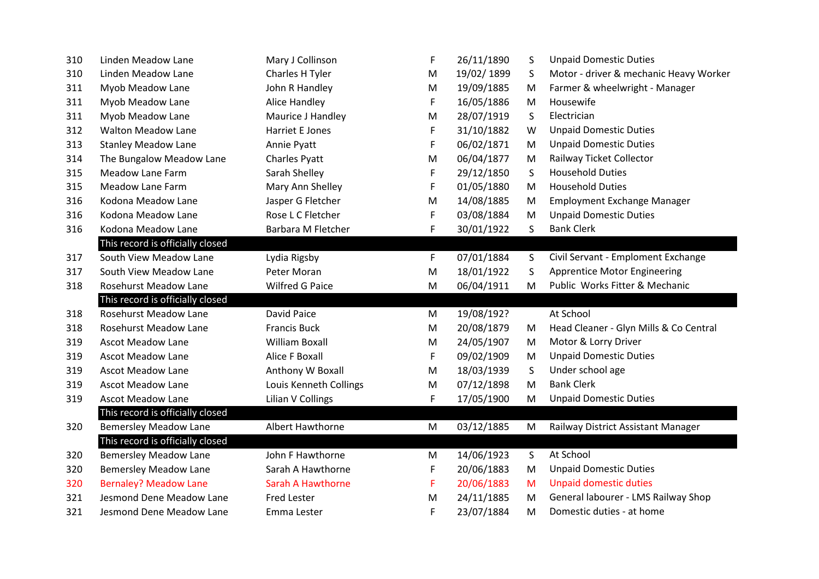| 310 | Linden Meadow Lane               | Mary J Collinson         | F  | 26/11/1890 | S            | <b>Unpaid Domestic Duties</b>          |
|-----|----------------------------------|--------------------------|----|------------|--------------|----------------------------------------|
| 310 | Linden Meadow Lane               | Charles H Tyler          | M  | 19/02/1899 | S            | Motor - driver & mechanic Heavy Worker |
| 311 | Myob Meadow Lane                 | John R Handley           | M  | 19/09/1885 | M            | Farmer & wheelwright - Manager         |
| 311 | Myob Meadow Lane                 | <b>Alice Handley</b>     | F  | 16/05/1886 | M            | Housewife                              |
| 311 | Myob Meadow Lane                 | Maurice J Handley        | M  | 28/07/1919 | S            | Electrician                            |
| 312 | <b>Walton Meadow Lane</b>        | Harriet E Jones          | F  | 31/10/1882 | W            | <b>Unpaid Domestic Duties</b>          |
| 313 | <b>Stanley Meadow Lane</b>       | Annie Pyatt              | F  | 06/02/1871 | M            | <b>Unpaid Domestic Duties</b>          |
| 314 | The Bungalow Meadow Lane         | Charles Pyatt            | M  | 06/04/1877 | M            | Railway Ticket Collector               |
| 315 | Meadow Lane Farm                 | Sarah Shelley            | F  | 29/12/1850 | S            | <b>Household Duties</b>                |
| 315 | <b>Meadow Lane Farm</b>          | Mary Ann Shelley         | F  | 01/05/1880 | M            | <b>Household Duties</b>                |
| 316 | Kodona Meadow Lane               | Jasper G Fletcher        | M  | 14/08/1885 | M            | Employment Exchange Manager            |
| 316 | Kodona Meadow Lane               | Rose L C Fletcher        | F  | 03/08/1884 | M            | <b>Unpaid Domestic Duties</b>          |
| 316 | Kodona Meadow Lane               | Barbara M Fletcher       | F  | 30/01/1922 | S            | <b>Bank Clerk</b>                      |
|     | This record is officially closed |                          |    |            |              |                                        |
| 317 | South View Meadow Lane           | Lydia Rigsby             | F  | 07/01/1884 | S            | Civil Servant - Emploment Exchange     |
| 317 | South View Meadow Lane           | Peter Moran              | M  | 18/01/1922 | S.           | <b>Apprentice Motor Engineering</b>    |
| 318 | <b>Rosehurst Meadow Lane</b>     | Wilfred G Paice          | M  | 06/04/1911 | М            | Public Works Fitter & Mechanic         |
|     | This record is officially closed |                          |    |            |              |                                        |
| 318 | <b>Rosehurst Meadow Lane</b>     | David Paice              | M  | 19/08/192? |              | At School                              |
| 318 | <b>Rosehurst Meadow Lane</b>     | <b>Francis Buck</b>      | M  | 20/08/1879 | M            | Head Cleaner - Glyn Mills & Co Central |
| 319 | <b>Ascot Meadow Lane</b>         | <b>William Boxall</b>    | M  | 24/05/1907 | M            | Motor & Lorry Driver                   |
| 319 | <b>Ascot Meadow Lane</b>         | <b>Alice F Boxall</b>    | F  | 09/02/1909 | M            | <b>Unpaid Domestic Duties</b>          |
| 319 | <b>Ascot Meadow Lane</b>         | Anthony W Boxall         | M  | 18/03/1939 | S            | Under school age                       |
| 319 | <b>Ascot Meadow Lane</b>         | Louis Kenneth Collings   | M  | 07/12/1898 | M            | <b>Bank Clerk</b>                      |
| 319 | <b>Ascot Meadow Lane</b>         | Lilian V Collings        | F  | 17/05/1900 | M            | <b>Unpaid Domestic Duties</b>          |
|     | This record is officially closed |                          |    |            |              |                                        |
| 320 | <b>Bemersley Meadow Lane</b>     | Albert Hawthorne         | M  | 03/12/1885 | M            | Railway District Assistant Manager     |
|     | This record is officially closed |                          |    |            |              |                                        |
| 320 | <b>Bemersley Meadow Lane</b>     | John F Hawthorne         | M  | 14/06/1923 | $\mathsf{S}$ | At School                              |
| 320 | <b>Bemersley Meadow Lane</b>     | Sarah A Hawthorne        | F  | 20/06/1883 | M            | <b>Unpaid Domestic Duties</b>          |
| 320 | <b>Bernaley? Meadow Lane</b>     | <b>Sarah A Hawthorne</b> | F. | 20/06/1883 | M            | <b>Unpaid domestic duties</b>          |
| 321 | Jesmond Dene Meadow Lane         | <b>Fred Lester</b>       | M  | 24/11/1885 | M            | General labourer - LMS Railway Shop    |
| 321 | Jesmond Dene Meadow Lane         | Emma Lester              | F  | 23/07/1884 | M            | Domestic duties - at home              |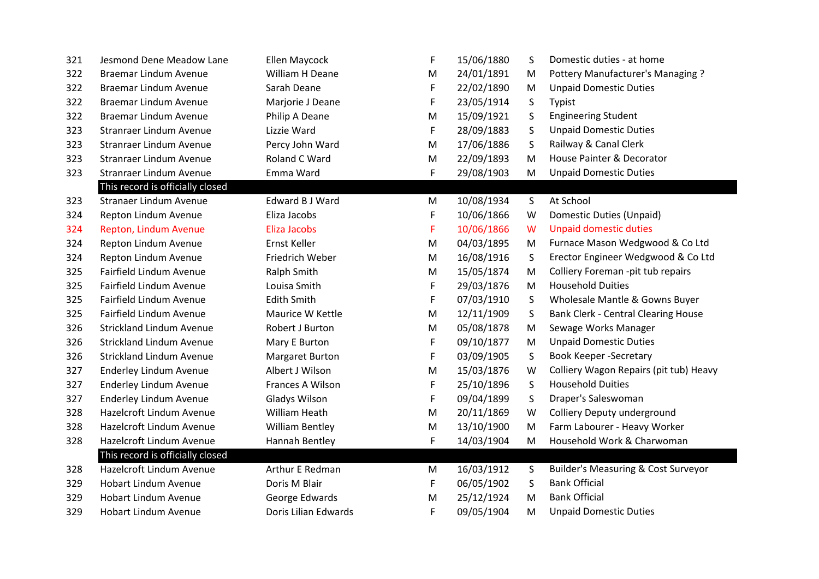| 321 | Jesmond Dene Meadow Lane         | Ellen Maycock          | F | 15/06/1880 | S | Domestic duties - at home                      |
|-----|----------------------------------|------------------------|---|------------|---|------------------------------------------------|
| 322 | <b>Braemar Lindum Avenue</b>     | William H Deane        | M | 24/01/1891 | M | Pottery Manufacturer's Managing ?              |
| 322 | Braemar Lindum Avenue            | Sarah Deane            | F | 22/02/1890 | M | <b>Unpaid Domestic Duties</b>                  |
| 322 | Braemar Lindum Avenue            | Marjorie J Deane       | F | 23/05/1914 | S | Typist                                         |
| 322 | Braemar Lindum Avenue            | Philip A Deane         | M | 15/09/1921 | S | <b>Engineering Student</b>                     |
| 323 | <b>Stranraer Lindum Avenue</b>   | Lizzie Ward            | F | 28/09/1883 | S | <b>Unpaid Domestic Duties</b>                  |
| 323 | <b>Stranraer Lindum Avenue</b>   | Percy John Ward        | M | 17/06/1886 | S | Railway & Canal Clerk                          |
| 323 | <b>Stranraer Lindum Avenue</b>   | Roland C Ward          | М | 22/09/1893 | M | House Painter & Decorator                      |
| 323 | <b>Stranraer Lindum Avenue</b>   | Emma Ward              | F | 29/08/1903 | M | <b>Unpaid Domestic Duties</b>                  |
|     | This record is officially closed |                        |   |            |   |                                                |
| 323 | Stranaer Lindum Avenue           | Edward B J Ward        | М | 10/08/1934 | S | At School                                      |
| 324 | Repton Lindum Avenue             | Eliza Jacobs           | F | 10/06/1866 | W | Domestic Duties (Unpaid)                       |
| 324 | Repton, Lindum Avenue            | <b>Eliza Jacobs</b>    | F | 10/06/1866 | W | <b>Unpaid domestic duties</b>                  |
| 324 | Repton Lindum Avenue             | Ernst Keller           | M | 04/03/1895 | M | Furnace Mason Wedgwood & Co Ltd                |
| 324 | Repton Lindum Avenue             | Friedrich Weber        | М | 16/08/1916 | S | Erector Engineer Wedgwood & Co Ltd             |
| 325 | Fairfield Lindum Avenue          | Ralph Smith            | M | 15/05/1874 | M | Colliery Foreman -pit tub repairs              |
| 325 | Fairfield Lindum Avenue          | Louisa Smith           | F | 29/03/1876 | M | <b>Household Duities</b>                       |
| 325 | Fairfield Lindum Avenue          | <b>Edith Smith</b>     | F | 07/03/1910 | S | Wholesale Mantle & Gowns Buyer                 |
| 325 | <b>Fairfield Lindum Avenue</b>   | Maurice W Kettle       | M | 12/11/1909 | S | <b>Bank Clerk - Central Clearing House</b>     |
| 326 | <b>Strickland Lindum Avenue</b>  | Robert J Burton        | M | 05/08/1878 | M | Sewage Works Manager                           |
| 326 | <b>Strickland Lindum Avenue</b>  | Mary E Burton          | F | 09/10/1877 | M | <b>Unpaid Domestic Duties</b>                  |
| 326 | <b>Strickland Lindum Avenue</b>  | <b>Margaret Burton</b> | F | 03/09/1905 | S | <b>Book Keeper -Secretary</b>                  |
| 327 | <b>Enderley Lindum Avenue</b>    | Albert J Wilson        | M | 15/03/1876 | W | Colliery Wagon Repairs (pit tub) Heavy         |
| 327 | <b>Enderley Lindum Avenue</b>    | Frances A Wilson       | F | 25/10/1896 | S | <b>Household Duities</b>                       |
| 327 | <b>Enderley Lindum Avenue</b>    | Gladys Wilson          | F | 09/04/1899 | S | Draper's Saleswoman                            |
| 328 | Hazelcroft Lindum Avenue         | William Heath          | M | 20/11/1869 | W | Colliery Deputy underground                    |
| 328 | Hazelcroft Lindum Avenue         | <b>William Bentley</b> | M | 13/10/1900 | M | Farm Labourer - Heavy Worker                   |
| 328 | Hazelcroft Lindum Avenue         | Hannah Bentley         | F | 14/03/1904 | M | Household Work & Charwoman                     |
|     | This record is officially closed |                        |   |            |   |                                                |
| 328 | Hazelcroft Lindum Avenue         | Arthur E Redman        | M | 16/03/1912 | S | <b>Builder's Measuring &amp; Cost Surveyor</b> |
| 329 | <b>Hobart Lindum Avenue</b>      | Doris M Blair          | F | 06/05/1902 | S | <b>Bank Official</b>                           |
| 329 | <b>Hobart Lindum Avenue</b>      | George Edwards         | M | 25/12/1924 | M | <b>Bank Official</b>                           |
| 329 | <b>Hobart Lindum Avenue</b>      | Doris Lilian Edwards   | F | 09/05/1904 | M | <b>Unpaid Domestic Duties</b>                  |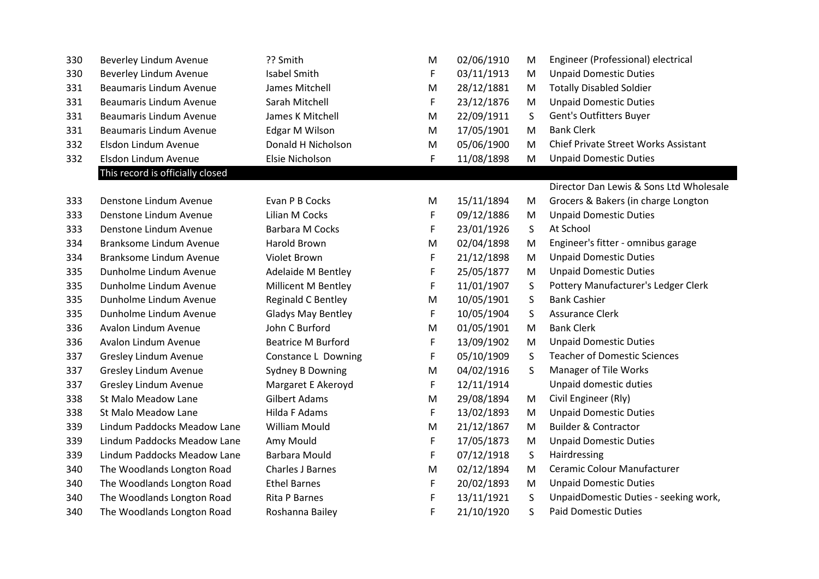| 330 | Beverley Lindum Avenue           | ?? Smith                  | М | 02/06/1910 | M | Engineer (Professional) electrical      |
|-----|----------------------------------|---------------------------|---|------------|---|-----------------------------------------|
| 330 | Beverley Lindum Avenue           | <b>Isabel Smith</b>       | F | 03/11/1913 | M | <b>Unpaid Domestic Duties</b>           |
| 331 | <b>Beaumaris Lindum Avenue</b>   | James Mitchell            | M | 28/12/1881 | M | <b>Totally Disabled Soldier</b>         |
| 331 | <b>Beaumaris Lindum Avenue</b>   | Sarah Mitchell            | F | 23/12/1876 | M | <b>Unpaid Domestic Duties</b>           |
| 331 | <b>Beaumaris Lindum Avenue</b>   | James K Mitchell          | M | 22/09/1911 | S | Gent's Outfitters Buyer                 |
| 331 | <b>Beaumaris Lindum Avenue</b>   | Edgar M Wilson            | M | 17/05/1901 | M | <b>Bank Clerk</b>                       |
| 332 | Elsdon Lindum Avenue             | Donald H Nicholson        | M | 05/06/1900 | M | Chief Private Street Works Assistant    |
| 332 | Elsdon Lindum Avenue             | Elsie Nicholson           | F | 11/08/1898 | M | <b>Unpaid Domestic Duties</b>           |
|     | This record is officially closed |                           |   |            |   |                                         |
|     |                                  |                           |   |            |   | Director Dan Lewis & Sons Ltd Wholesale |
| 333 | Denstone Lindum Avenue           | Evan P B Cocks            | М | 15/11/1894 | M | Grocers & Bakers (in charge Longton     |
| 333 | Denstone Lindum Avenue           | Lilian M Cocks            | F | 09/12/1886 | M | <b>Unpaid Domestic Duties</b>           |
| 333 | Denstone Lindum Avenue           | <b>Barbara M Cocks</b>    | F | 23/01/1926 | S | At School                               |
| 334 | Branksome Lindum Avenue          | <b>Harold Brown</b>       | M | 02/04/1898 | M | Engineer's fitter - omnibus garage      |
| 334 | Branksome Lindum Avenue          | Violet Brown              | F | 21/12/1898 | M | <b>Unpaid Domestic Duties</b>           |
| 335 | Dunholme Lindum Avenue           | Adelaide M Bentley        | F | 25/05/1877 | M | <b>Unpaid Domestic Duties</b>           |
| 335 | Dunholme Lindum Avenue           | Millicent M Bentley       | F | 11/01/1907 | S | Pottery Manufacturer's Ledger Clerk     |
| 335 | Dunholme Lindum Avenue           | <b>Reginald C Bentley</b> | M | 10/05/1901 | S | <b>Bank Cashier</b>                     |
| 335 | Dunholme Lindum Avenue           | <b>Gladys May Bentley</b> | F | 10/05/1904 | S | <b>Assurance Clerk</b>                  |
| 336 | Avalon Lindum Avenue             | John C Burford            | M | 01/05/1901 | M | <b>Bank Clerk</b>                       |
| 336 | Avalon Lindum Avenue             | <b>Beatrice M Burford</b> | F | 13/09/1902 | M | <b>Unpaid Domestic Duties</b>           |
| 337 | Gresley Lindum Avenue            | Constance L Downing       | F | 05/10/1909 | S | <b>Teacher of Domestic Sciences</b>     |
| 337 | Gresley Lindum Avenue            | Sydney B Downing          | M | 04/02/1916 | S | Manager of Tile Works                   |
| 337 | Gresley Lindum Avenue            | Margaret E Akeroyd        | F | 12/11/1914 |   | Unpaid domestic duties                  |
| 338 | St Malo Meadow Lane              | <b>Gilbert Adams</b>      | M | 29/08/1894 | M | Civil Engineer (Rly)                    |
| 338 | St Malo Meadow Lane              | Hilda F Adams             | F | 13/02/1893 | M | <b>Unpaid Domestic Duties</b>           |
| 339 | Lindum Paddocks Meadow Lane      | <b>William Mould</b>      | M | 21/12/1867 | M | <b>Builder &amp; Contractor</b>         |
| 339 | Lindum Paddocks Meadow Lane      | Amy Mould                 | F | 17/05/1873 | M | <b>Unpaid Domestic Duties</b>           |
| 339 | Lindum Paddocks Meadow Lane      | <b>Barbara Mould</b>      | F | 07/12/1918 | S | Hairdressing                            |
| 340 | The Woodlands Longton Road       | Charles J Barnes          | M | 02/12/1894 | M | Ceramic Colour Manufacturer             |
| 340 | The Woodlands Longton Road       | <b>Ethel Barnes</b>       | F | 20/02/1893 | M | <b>Unpaid Domestic Duties</b>           |
| 340 | The Woodlands Longton Road       | <b>Rita P Barnes</b>      | F | 13/11/1921 | S | UnpaidDomestic Duties - seeking work,   |
| 340 | The Woodlands Longton Road       | Roshanna Bailey           | F | 21/10/1920 | S | <b>Paid Domestic Duties</b>             |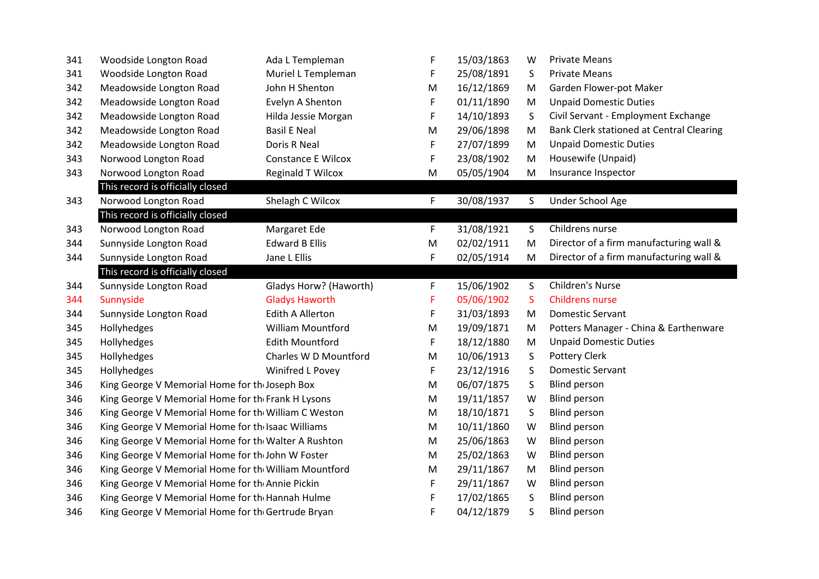| 341 | Woodside Longton Road                                 | Ada L Templeman           | F  | 15/03/1863 | W  | <b>Private Means</b>                     |  |  |
|-----|-------------------------------------------------------|---------------------------|----|------------|----|------------------------------------------|--|--|
| 341 | Woodside Longton Road                                 | Muriel L Templeman        | F  | 25/08/1891 | S  | <b>Private Means</b>                     |  |  |
| 342 | Meadowside Longton Road                               | John H Shenton            | M  | 16/12/1869 | M  | Garden Flower-pot Maker                  |  |  |
| 342 | Meadowside Longton Road                               | Evelyn A Shenton          | F  | 01/11/1890 | M  | <b>Unpaid Domestic Duties</b>            |  |  |
| 342 | Meadowside Longton Road                               | Hilda Jessie Morgan       | F  | 14/10/1893 | S  | Civil Servant - Employment Exchange      |  |  |
| 342 | Meadowside Longton Road                               | <b>Basil E Neal</b>       | M  | 29/06/1898 | M  | Bank Clerk stationed at Central Clearing |  |  |
| 342 | Meadowside Longton Road                               | Doris R Neal              | F  | 27/07/1899 | M  | <b>Unpaid Domestic Duties</b>            |  |  |
| 343 | Norwood Longton Road                                  | <b>Constance E Wilcox</b> | F  | 23/08/1902 | M  | Housewife (Unpaid)                       |  |  |
| 343 | Norwood Longton Road                                  | Reginald T Wilcox         | M  | 05/05/1904 | M  | Insurance Inspector                      |  |  |
|     | This record is officially closed                      |                           |    |            |    |                                          |  |  |
| 343 | Norwood Longton Road                                  | Shelagh C Wilcox          | F. | 30/08/1937 | S. | Under School Age                         |  |  |
|     | This record is officially closed                      |                           |    |            |    |                                          |  |  |
| 343 | Norwood Longton Road                                  | Margaret Ede              | F  | 31/08/1921 | S. | Childrens nurse                          |  |  |
| 344 | Sunnyside Longton Road                                | <b>Edward B Ellis</b>     | M  | 02/02/1911 | M  | Director of a firm manufacturing wall &  |  |  |
| 344 | Sunnyside Longton Road                                | Jane L Ellis              | F  | 02/05/1914 | M  | Director of a firm manufacturing wall &  |  |  |
|     | This record is officially closed                      |                           |    |            |    |                                          |  |  |
| 344 | Sunnyside Longton Road                                | Gladys Horw? (Haworth)    | F  | 15/06/1902 | S  | <b>Children's Nurse</b>                  |  |  |
| 344 | Sunnyside                                             | <b>Gladys Haworth</b>     | F  | 05/06/1902 | S  | <b>Childrens nurse</b>                   |  |  |
| 344 | Sunnyside Longton Road                                | <b>Edith A Allerton</b>   | F  | 31/03/1893 | M  | <b>Domestic Servant</b>                  |  |  |
| 345 | Hollyhedges                                           | <b>William Mountford</b>  | M  | 19/09/1871 | M  | Potters Manager - China & Earthenware    |  |  |
| 345 | Hollyhedges                                           | <b>Edith Mountford</b>    | F  | 18/12/1880 | M  | <b>Unpaid Domestic Duties</b>            |  |  |
| 345 | Hollyhedges                                           | Charles W D Mountford     | M  | 10/06/1913 | S  | Pottery Clerk                            |  |  |
| 345 | Hollyhedges                                           | Winifred L Povey          | F  | 23/12/1916 | S  | <b>Domestic Servant</b>                  |  |  |
| 346 | King George V Memorial Home for the Joseph Box        |                           | M  | 06/07/1875 | S  | <b>Blind person</b>                      |  |  |
| 346 | King George V Memorial Home for the Frank H Lysons    |                           |    | 19/11/1857 | W  | <b>Blind person</b>                      |  |  |
| 346 | King George V Memorial Home for the William C Weston  |                           |    | 18/10/1871 | S  | <b>Blind person</b>                      |  |  |
| 346 | King George V Memorial Home for the Isaac Williams    |                           | M  | 10/11/1860 | W  | <b>Blind person</b>                      |  |  |
| 346 | King George V Memorial Home for the Walter A Rushton  |                           |    | 25/06/1863 | W  | <b>Blind person</b>                      |  |  |
| 346 | King George V Memorial Home for the John W Foster     |                           | M  | 25/02/1863 | W  | <b>Blind person</b>                      |  |  |
| 346 | King George V Memorial Home for the William Mountford |                           | M  | 29/11/1867 | M  | Blind person                             |  |  |
| 346 | King George V Memorial Home for the Annie Pickin      |                           | F  | 29/11/1867 | W  | <b>Blind person</b>                      |  |  |
| 346 | King George V Memorial Home for the Hannah Hulme      |                           | F  | 17/02/1865 | S  | <b>Blind person</b>                      |  |  |
| 346 | King George V Memorial Home for the Gertrude Bryan    |                           | F  | 04/12/1879 | S  | <b>Blind person</b>                      |  |  |